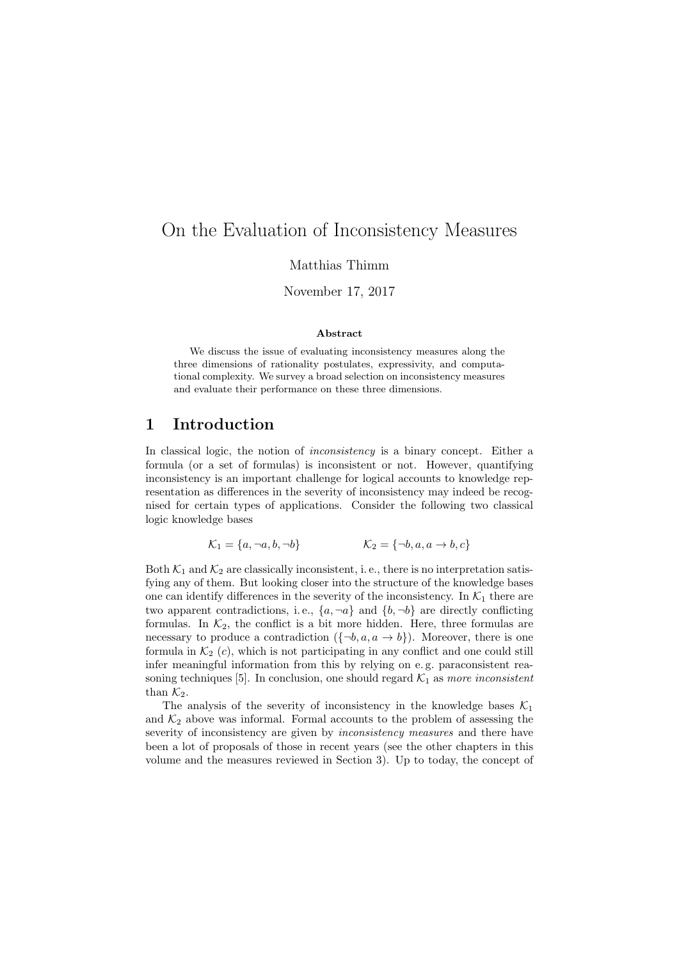# On the Evaluation of Inconsistency Measures

Matthias Thimm

November 17, 2017

#### Abstract

We discuss the issue of evaluating inconsistency measures along the three dimensions of rationality postulates, expressivity, and computational complexity. We survey a broad selection on inconsistency measures and evaluate their performance on these three dimensions.

### 1 Introduction

In classical logic, the notion of *inconsistency* is a binary concept. Either a formula (or a set of formulas) is inconsistent or not. However, quantifying inconsistency is an important challenge for logical accounts to knowledge representation as differences in the severity of inconsistency may indeed be recognised for certain types of applications. Consider the following two classical logic knowledge bases

$$
\mathcal{K}_1 = \{a, \neg a, b, \neg b\} \qquad \qquad \mathcal{K}_2 = \{\neg b, a, a \to b, c\}
$$

Both  $\mathcal{K}_1$  and  $\mathcal{K}_2$  are classically inconsistent, i.e., there is no interpretation satisfying any of them. But looking closer into the structure of the knowledge bases one can identify differences in the severity of the inconsistency. In  $K_1$  there are two apparent contradictions, i.e.,  $\{a, \neg a\}$  and  $\{b, \neg b\}$  are directly conflicting formulas. In  $K_2$ , the conflict is a bit more hidden. Here, three formulas are necessary to produce a contradiction  $({\lbrace \neg b, a, a \rightarrow b \rbrace})$ . Moreover, there is one formula in  $\mathcal{K}_2$  (c), which is not participating in any conflict and one could still infer meaningful information from this by relying on e. g. paraconsistent reasoning techniques [5]. In conclusion, one should regard  $K_1$  as more inconsistent than  $\mathcal{K}_2$ .

The analysis of the severity of inconsistency in the knowledge bases  $\mathcal{K}_1$ and  $\mathcal{K}_2$  above was informal. Formal accounts to the problem of assessing the severity of inconsistency are given by *inconsistency measures* and there have been a lot of proposals of those in recent years (see the other chapters in this volume and the measures reviewed in Section 3). Up to today, the concept of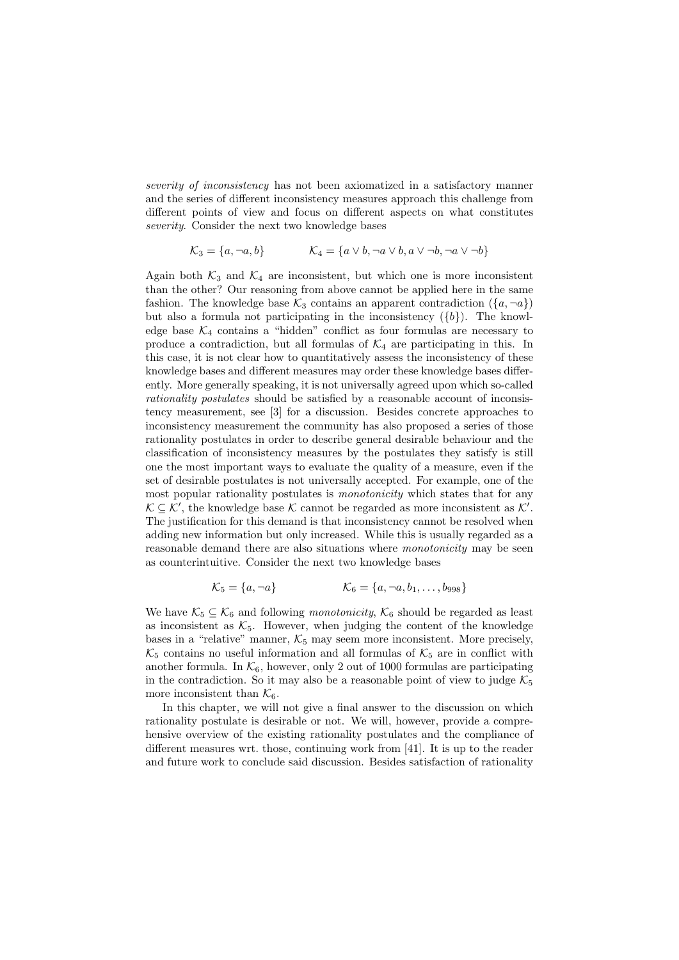severity of inconsistency has not been axiomatized in a satisfactory manner and the series of different inconsistency measures approach this challenge from different points of view and focus on different aspects on what constitutes severity. Consider the next two knowledge bases

$$
\mathcal{K}_3 = \{a, \neg a, b\} \qquad \qquad \mathcal{K}_4 = \{a \lor b, \neg a \lor b, a \lor \neg b, \neg a \lor \neg b\}
$$

Again both  $K_3$  and  $K_4$  are inconsistent, but which one is more inconsistent than the other? Our reasoning from above cannot be applied here in the same fashion. The knowledge base  $\mathcal{K}_3$  contains an apparent contradiction  $(\lbrace a, \neg a \rbrace)$ but also a formula not participating in the inconsistency  $({b})$ . The knowledge base  $K_4$  contains a "hidden" conflict as four formulas are necessary to produce a contradiction, but all formulas of  $\mathcal{K}_4$  are participating in this. In this case, it is not clear how to quantitatively assess the inconsistency of these knowledge bases and different measures may order these knowledge bases differently. More generally speaking, it is not universally agreed upon which so-called rationality postulates should be satisfied by a reasonable account of inconsistency measurement, see [3] for a discussion. Besides concrete approaches to inconsistency measurement the community has also proposed a series of those rationality postulates in order to describe general desirable behaviour and the classification of inconsistency measures by the postulates they satisfy is still one the most important ways to evaluate the quality of a measure, even if the set of desirable postulates is not universally accepted. For example, one of the most popular rationality postulates is *monotonicity* which states that for any  $\mathcal{K} \subseteq \mathcal{K}'$ , the knowledge base  $\mathcal{K}$  cannot be regarded as more inconsistent as  $\mathcal{K}'$ . The justification for this demand is that inconsistency cannot be resolved when adding new information but only increased. While this is usually regarded as a reasonable demand there are also situations where monotonicity may be seen as counterintuitive. Consider the next two knowledge bases

$$
\mathcal{K}_5 = \{a, \neg a\} \qquad \qquad \mathcal{K}_6 = \{a, \neg a, b_1, \dots, b_{998}\}\
$$

We have  $\mathcal{K}_5 \subseteq \mathcal{K}_6$  and following *monotonicity*,  $\mathcal{K}_6$  should be regarded as least as inconsistent as  $K_5$ . However, when judging the content of the knowledge bases in a "relative" manner,  $K_5$  may seem more inconsistent. More precisely,  $\mathcal{K}_5$  contains no useful information and all formulas of  $\mathcal{K}_5$  are in conflict with another formula. In  $K_6$ , however, only 2 out of 1000 formulas are participating in the contradiction. So it may also be a reasonable point of view to judge  $K_5$ more inconsistent than  $\mathcal{K}_6$ .

In this chapter, we will not give a final answer to the discussion on which rationality postulate is desirable or not. We will, however, provide a comprehensive overview of the existing rationality postulates and the compliance of different measures wrt. those, continuing work from [41]. It is up to the reader and future work to conclude said discussion. Besides satisfaction of rationality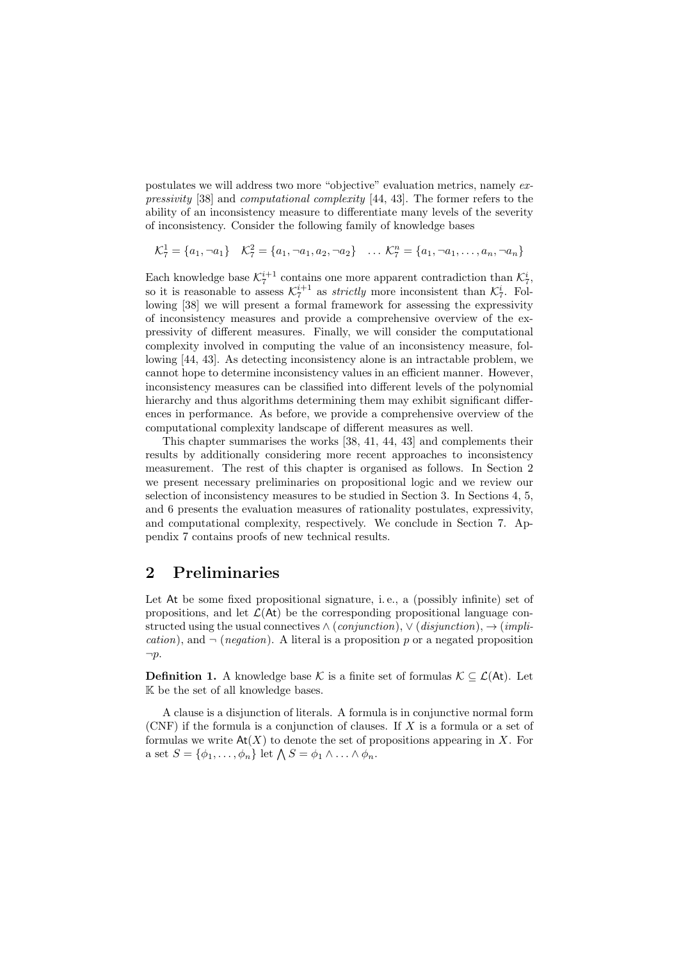postulates we will address two more "objective" evaluation metrics, namely expressivity [38] and computational complexity [44, 43]. The former refers to the ability of an inconsistency measure to differentiate many levels of the severity of inconsistency. Consider the following family of knowledge bases

$$
\mathcal{K}_7^1 = \{a_1, \neg a_1\} \quad \mathcal{K}_7^2 = \{a_1, \neg a_1, a_2, \neg a_2\} \quad \dots \quad \mathcal{K}_7^n = \{a_1, \neg a_1, \dots, a_n, \neg a_n\}
$$

Each knowledge base  $\mathcal{K}_7^{i+1}$  contains one more apparent contradiction than  $\mathcal{K}_7^i$ , so it is reasonable to assess  $\mathcal{K}_7^{i+1}$  as *strictly* more inconsistent than  $\mathcal{K}_7^i$ . Following [38] we will present a formal framework for assessing the expressivity of inconsistency measures and provide a comprehensive overview of the expressivity of different measures. Finally, we will consider the computational complexity involved in computing the value of an inconsistency measure, following [44, 43]. As detecting inconsistency alone is an intractable problem, we cannot hope to determine inconsistency values in an efficient manner. However, inconsistency measures can be classified into different levels of the polynomial hierarchy and thus algorithms determining them may exhibit significant differences in performance. As before, we provide a comprehensive overview of the computational complexity landscape of different measures as well.

This chapter summarises the works [38, 41, 44, 43] and complements their results by additionally considering more recent approaches to inconsistency measurement. The rest of this chapter is organised as follows. In Section 2 we present necessary preliminaries on propositional logic and we review our selection of inconsistency measures to be studied in Section 3. In Sections 4, 5, and 6 presents the evaluation measures of rationality postulates, expressivity, and computational complexity, respectively. We conclude in Section 7. Appendix 7 contains proofs of new technical results.

# 2 Preliminaries

Let At be some fixed propositional signature, i.e., a (possibly infinite) set of propositions, and let  $\mathcal{L}(A_t)$  be the corresponding propositional language constructed using the usual connectives  $\land$  (conjunction),  $\lor$  (disjunction),  $\rightarrow$  (implication), and  $\neg$  (*negation*). A literal is a proposition p or a negated proposition  $\neg p$ .

**Definition 1.** A knowledge base K is a finite set of formulas  $K \subseteq \mathcal{L}(At)$ . Let K be the set of all knowledge bases.

A clause is a disjunction of literals. A formula is in conjunctive normal form (CNF) if the formula is a conjunction of clauses. If X is a formula or a set of formulas we write  $\mathsf{At}(X)$  to denote the set of propositions appearing in X. For a set  $S = {\phi_1, \ldots, \phi_n}$  let  $\bigwedge S = \phi_1 \wedge \ldots \wedge \phi_n$ .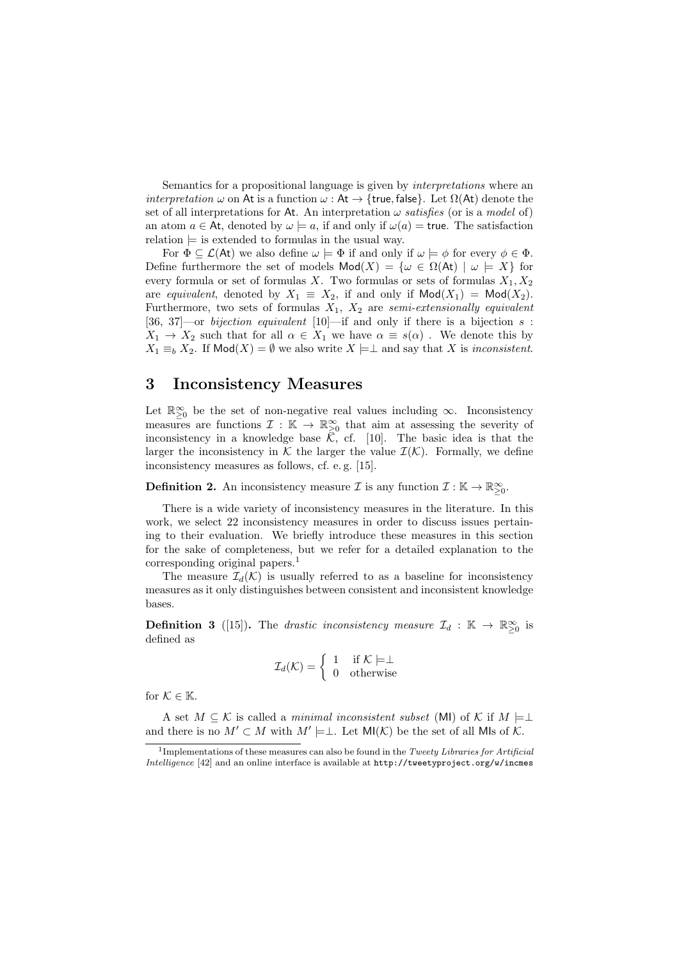Semantics for a propositional language is given by *interpretations* where an *interpretation*  $\omega$  on At is a function  $\omega$  : At  $\rightarrow$  {true, false}. Let  $\Omega$ (At) denote the set of all interpretations for At. An interpretation  $\omega$  satisfies (or is a model of) an atom  $a \in At$ , denoted by  $\omega \models a$ , if and only if  $\omega(a) =$  true. The satisfaction relation  $\models$  is extended to formulas in the usual way.

For  $\Phi \subseteq \mathcal{L}(A_t)$  we also define  $\omega \models \Phi$  if and only if  $\omega \models \phi$  for every  $\phi \in \Phi$ . Define furthermore the set of models  $Mod(X) = {\omega \in \Omega(\mathsf{At}) \mid \omega \models X}$  for every formula or set of formulas X. Two formulas or sets of formulas  $X_1, X_2$ are equivalent, denoted by  $X_1 \equiv X_2$ , if and only if  $\textsf{Mod}(X_1) = \textsf{Mod}(X_2)$ . Furthermore, two sets of formulas  $X_1$ ,  $X_2$  are semi-extensionally equivalent [36, 37]—or bijection equivalent [10]—if and only if there is a bijection  $s$ :  $X_1 \to X_2$  such that for all  $\alpha \in X_1$  we have  $\alpha \equiv s(\alpha)$ . We denote this by  $X_1 \equiv_b X_2$ . If Mod(X) =  $\emptyset$  we also write  $X \models \bot$  and say that X is inconsistent.

### 3 Inconsistency Measures

Let  $\mathbb{R}_{\geq 0}^{\infty}$  be the set of non-negative real values including  $\infty$ . Inconsistency measures are functions  $\mathcal{I}: \mathbb{K} \to \mathbb{R}^{\infty}_{\geq 0}$  that aim at assessing the severity of inconsistency in a knowledge base  $\overline{K}$ , cf. [10]. The basic idea is that the larger the inconsistency in K the larger the value  $\mathcal{I}(\mathcal{K})$ . Formally, we define inconsistency measures as follows, cf. e. g. [15].

**Definition 2.** An inconsistency measure  $\mathcal{I}$  is any function  $\mathcal{I}: \mathbb{K} \to \mathbb{R}_{\geq 0}^{\infty}$ .

There is a wide variety of inconsistency measures in the literature. In this work, we select 22 inconsistency measures in order to discuss issues pertaining to their evaluation. We briefly introduce these measures in this section for the sake of completeness, but we refer for a detailed explanation to the corresponding original papers.<sup>1</sup>

The measure  $\mathcal{I}_d(\mathcal{K})$  is usually referred to as a baseline for inconsistency measures as it only distinguishes between consistent and inconsistent knowledge bases.

**Definition 3** ([15]). The drastic inconsistency measure  $\mathcal{I}_d$  :  $\mathbb{K} \to \mathbb{R}^{\infty}_{\geq 0}$  is defined as

$$
\mathcal{I}_d(\mathcal{K}) = \left\{ \begin{array}{ll} 1 & \text{if } \mathcal{K} \models \perp \\ 0 & \text{otherwise} \end{array} \right.
$$

for  $\mathcal{K} \in \mathbb{K}$ .

A set  $M \subseteq \mathcal{K}$  is called a minimal inconsistent subset (MI) of  $\mathcal{K}$  if  $M \models \perp$ and there is no  $M' \subset M$  with  $M' \models \perp$ . Let  $\mathsf{MI}(\mathcal{K})$  be the set of all MIs of  $\mathcal{K}$ .

<sup>&</sup>lt;sup>1</sup>Implementations of these measures can also be found in the Tweety Libraries for Artificial Intelligence [42] and an online interface is available at http://tweetyproject.org/w/incmes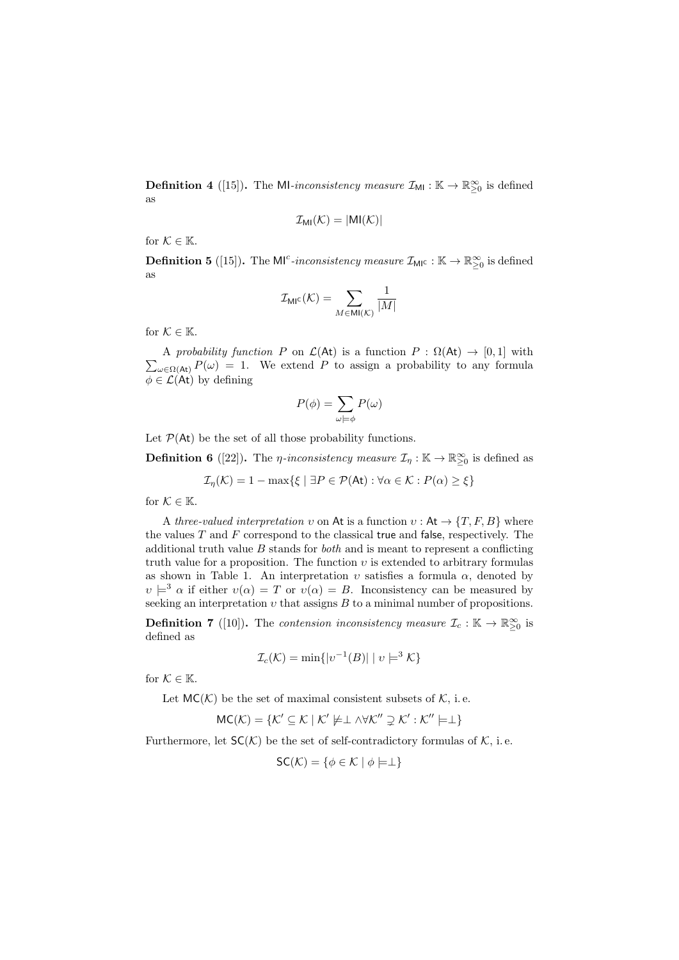**Definition 4** ([15]). The MI-inconsistency measure  $\mathcal{I}_{\text{MI}} : \mathbb{K} \to \mathbb{R}^{\infty}_{\geq 0}$  is defined as

$$
\mathcal{I}_{\text{MI}}(\mathcal{K}) = |\text{MI}(\mathcal{K})|
$$

for  $\mathcal{K} \in \mathbb{K}$ .

**Definition 5** ([15]). The M<sup>c</sup>-inconsistency measure  $\mathcal{I}_{\text{MIC}} : \mathbb{K} \to \mathbb{R}^{\infty}_{\geq 0}$  is defined as

$$
\mathcal{I}_{\text{MI}^{\text{C}}}(\mathcal{K})=\sum_{M\in\text{MI}(\mathcal{K})}\frac{1}{|M|}
$$

for  $K \in \mathbb{K}$ .

 $\sum_{\omega \in \Omega(\mathcal{A}^{\dagger})} P(\omega) = 1$ . We extend P to assign a probability to any formula A probability function P on  $\mathcal{L}(\mathsf{At})$  is a function  $P : \Omega(\mathsf{At}) \to [0,1]$  with  $\phi \in \mathcal{L}(\mathsf{At})$  by defining

$$
P(\phi) = \sum_{\omega \models \phi} P(\omega)
$$

Let  $P(\mathsf{At})$  be the set of all those probability functions.

**Definition 6** ([22]). The *η*-inconsistency measure  $\mathcal{I}_\eta$ :  $\mathbb{K} \to \mathbb{R}^\infty_{\geq 0}$  is defined as

$$
\mathcal{I}_{\eta}(\mathcal{K}) = 1 - \max\{\xi \mid \exists P \in \mathcal{P}(\mathsf{At}) : \forall \alpha \in \mathcal{K} : P(\alpha) \ge \xi\}
$$

for  $\mathcal{K} \in \mathbb{K}$ .

A three-valued interpretation v on At is a function  $v : At \to \{T, F, B\}$  where the values  $T$  and  $F$  correspond to the classical true and false, respectively. The additional truth value  $B$  stands for *both* and is meant to represent a conflicting truth value for a proposition. The function  $v$  is extended to arbitrary formulas as shown in Table 1. An interpretation  $v$  satisfies a formula  $\alpha$ , denoted by  $v \models^3 \alpha$  if either  $v(\alpha) = T$  or  $v(\alpha) = B$ . Inconsistency can be measured by seeking an interpretation  $v$  that assigns  $B$  to a minimal number of propositions.

**Definition 7** ([10]). The contension inconsistency measure  $\mathcal{I}_c : \mathbb{K} \to \mathbb{R}^{\infty}_{\geq 0}$  is defined as

$$
\mathcal{I}_c(\mathcal{K}) = \min\{|v^{-1}(B)| \mid v \models^3 \mathcal{K}\}\
$$

for  $\mathcal{K} \in \mathbb{K}$ .

Let  $MC(K)$  be the set of maximal consistent subsets of K, i.e.

$$
MC(\mathcal{K}) = \{ \mathcal{K}' \subseteq \mathcal{K} \mid \mathcal{K}' \not\models \perp \land \forall \mathcal{K}'' \supsetneq \mathcal{K}' : \mathcal{K}'' \models \perp \}
$$

Furthermore, let  $SC(K)$  be the set of self-contradictory formulas of K, i.e.

$$
\mathsf{SC}(\mathcal{K}) = \{ \phi \in \mathcal{K} \mid \phi \models \perp \}
$$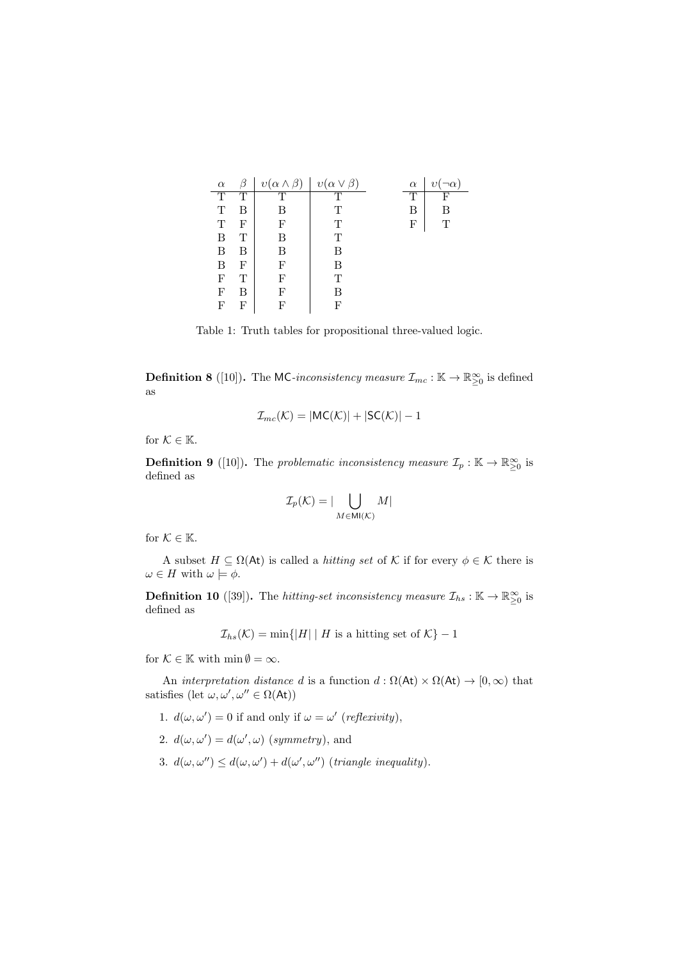| $\alpha$ | 17 | $v(\alpha \wedge$ | ß`<br>$v(\alpha \vee$ | $\alpha$ |   |
|----------|----|-------------------|-----------------------|----------|---|
| Ͳ        | Τ  | Ͳ                 | T                     | Ͳ        | F |
| Т        | В  | В                 | Ͳ                     | В        | в |
| т        | F  | F                 | Т                     | F        | Т |
| В        | Т  | В                 | т                     |          |   |
| Β        | В  | В                 | R                     |          |   |
| В        | F  | F                 | R                     |          |   |
| F        | Т  | F                 | Т                     |          |   |
| F        | В  | F                 | в                     |          |   |
| F        | F  | F                 | F                     |          |   |

Table 1: Truth tables for propositional three-valued logic.

**Definition 8** ([10]). The MC-inconsistency measure  $\mathcal{I}_{mc}$ :  $\mathbb{K} \to \mathbb{R}^{\infty}_{\geq 0}$  is defined as

$$
\mathcal{I}_{mc}(\mathcal{K}) = |\mathsf{MC}(\mathcal{K})| + |\mathsf{SC}(\mathcal{K})| - 1
$$

for  $K \in \mathbb{K}$ .

**Definition 9** ([10]). The problematic inconsistency measure  $\mathcal{I}_p : \mathbb{K} \to \mathbb{R}^{\infty}_{\geq 0}$  is defined as

$$
\mathcal{I}_p(\mathcal{K}) = |\bigcup_{M \in \text{MI}(\mathcal{K})} M|
$$

for  $K \in \mathbb{K}$ .

A subset  $H \subseteq \Omega(\mathsf{At})$  is called a *hitting set* of K if for every  $\phi \in \mathcal{K}$  there is  $\omega \in H$  with  $\omega \models \phi$ .

**Definition 10** ([39]). The *hitting-set inconsistency measure*  $\mathcal{I}_{hs} : \mathbb{K} \to \mathbb{R}^{\infty}_{\geq 0}$  is defined as

 $\mathcal{I}_{hs}(\mathcal{K}) = \min\{|H| \mid H \text{ is a hitting set of } \mathcal{K}\}-1$ 

for  $\mathcal{K} \in \mathbb{K}$  with  $\min \emptyset = \infty$ .

An interpretation distance d is a function  $d : \Omega(\mathsf{At}) \times \Omega(\mathsf{At}) \to [0, \infty)$  that satisfies  $(\text{let } \omega, \omega', \omega'' \in \Omega(\mathsf{At}))$ 

- 1.  $d(\omega, \omega') = 0$  if and only if  $\omega = \omega'$  (reflexivity),
- 2.  $d(\omega, \omega') = d(\omega', \omega)$  (symmetry), and
- 3.  $d(\omega, \omega'') \leq d(\omega, \omega') + d(\omega', \omega'')$  (triangle inequality).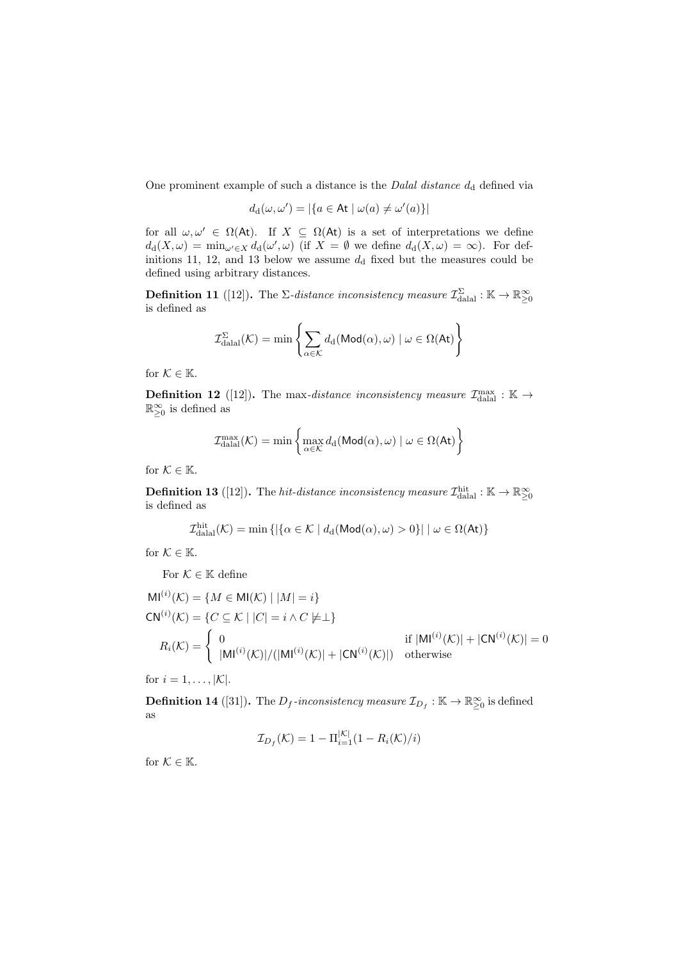One prominent example of such a distance is the *Dalal distance*  $d_d$  defined via

$$
d_{\mathrm{d}}(\omega,\omega')=|\{a\in\mathsf{At}\mid\omega(a)\neq\omega'(a)\}|
$$

for all  $\omega, \omega' \in \Omega(\mathsf{At})$ . If  $X \subseteq \Omega(\mathsf{At})$  is a set of interpretations we define  $d_d(X,\omega) = \min_{\omega' \in X} d_d(\omega',\omega)$  (if  $X = \emptyset$  we define  $d_d(X,\omega) = \infty$ ). For definitions 11, 12, and 13 below we assume  $d_d$  fixed but the measures could be defined using arbitrary distances.

**Definition 11** ([12]). The  $\Sigma$ -distance inconsistency measure  $\mathcal{I}_{\text{dala}}^{\Sigma} : \mathbb{K} \to \mathbb{R}_{\geq 0}^{\infty}$ is defined as

$$
\mathcal{I}_{\mathrm{dala}}^{\Sigma}(\mathcal{K}) = \min \left\{ \sum_{\alpha \in \mathcal{K}} d_{\mathrm{d}}(\mathsf{Mod}(\alpha), \omega) \mid \omega \in \Omega(\mathsf{At}) \right\}
$$

for  $K \in \mathbb{K}$ .

**Definition 12** ([12]). The max-distance inconsistency measure  $\mathcal{I}_{\text{datal}}^{\text{max}} : \mathbb{K} \to$  $\mathbb{R}_{\geq 0}^{\infty}$  is defined as

$$
\mathcal{I}_{\text{dala} }^{\max}(\mathcal{K}) = \min \left\{ \max_{\alpha \in \mathcal{K}} d_d(\text{Mod}(\alpha), \omega) \mid \omega \in \Omega(\text{At}) \right\}
$$

for  $\mathcal{K} \in \mathbb{K}.$ 

**Definition 13** ([12]). The *hit-distance inconsistency measure*  $\mathcal{I}_{\text{dala}}^{\text{hit}} : \mathbb{K} \to \mathbb{R}^{\infty}_{\geq 0}$ is defined as

$$
\mathcal{I}_{\text{dala}}^{\text{hit}}(\mathcal{K}) = \min \left\{ \left| \{ \alpha \in \mathcal{K} \mid d_d(\text{Mod}(\alpha), \omega) > 0 \} \right| \mid \omega \in \Omega(\text{At}) \right\}
$$

for  $K \in \mathbb{K}$ .

For  $\mathcal{K} \in \mathbb{K}$  define

$$
MI^{(i)}(\mathcal{K}) = \{ M \in MI(\mathcal{K}) \mid |M| = i \}
$$
  
\n
$$
CN^{(i)}(\mathcal{K}) = \{ C \subseteq \mathcal{K} \mid |C| = i \land C \neq \perp \}
$$
  
\n
$$
R_i(\mathcal{K}) = \begin{cases} 0 & \text{if } |MI^{(i)}(\mathcal{K})| + |CN^{(i)}(\mathcal{K})| = 0 \\ |MI^{(i)}(\mathcal{K})| / (|MI^{(i)}(\mathcal{K})| + |CN^{(i)}(\mathcal{K})|) & \text{otherwise} \end{cases}
$$

for  $i = 1, \ldots, |\mathcal{K}|$ .

**Definition 14** ([31]). The  $D_f$ -inconsistency measure  $\mathcal{I}_{D_f} : \mathbb{K} \to \mathbb{R}^{\infty}_{\geq 0}$  is defined as

$$
\mathcal{I}_{D_f}(\mathcal{K}) = 1 - \Pi_{i=1}^{|\mathcal{K}|} (1 - R_i(\mathcal{K})/i)
$$

for  $K \in \mathbb{K}$ .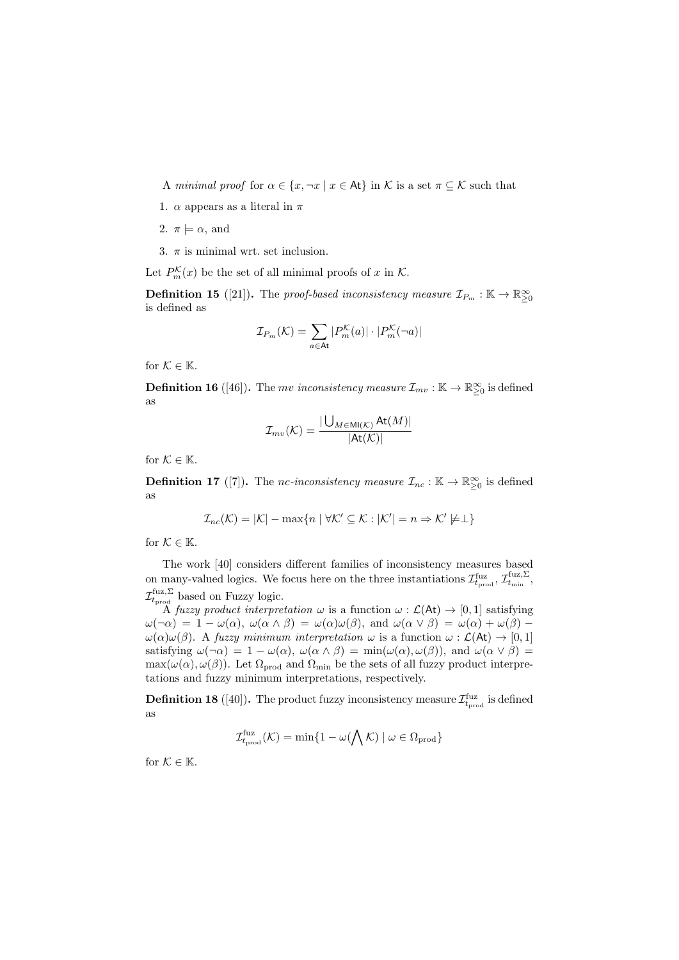A minimal proof for  $\alpha \in \{x, \neg x \mid x \in \mathsf{At}\}\$ in K is a set  $\pi \subseteq \mathcal{K}$  such that

- 1.  $\alpha$  appears as a literal in  $\pi$
- 2.  $\pi \models \alpha$ , and
- 3.  $\pi$  is minimal wrt. set inclusion.
- Let  $P_m^{\mathcal{K}}(x)$  be the set of all minimal proofs of x in  $\mathcal{K}$ .

**Definition 15** ([21]). The proof-based inconsistency measure  $\mathcal{I}_{P_m} : \mathbb{K} \to \mathbb{R}^{\infty}_{\geq 0}$ is defined as

$$
\mathcal{I}_{P_m}(\mathcal{K}) = \sum_{a \in \mathsf{At}} |P_m^{\mathcal{K}}(a)| \cdot |P_m^{\mathcal{K}}(\neg a)|
$$

for  $K \in \mathbb{K}$ .

**Definition 16** ([46]). The mv inconsistency measure  $\mathcal{I}_{mv} : \mathbb{K} \to \mathbb{R}^{\infty}_{\geq 0}$  is defined as

$$
\mathcal{I}_{mv}(\mathcal{K}) = \frac{|\bigcup_{M \in \text{MI}(\mathcal{K})} \text{At}(M)|}{|\text{At}(\mathcal{K})|}
$$

for  $\mathcal{K} \in \mathbb{K}$ .

**Definition 17** ([7]). The nc-inconsistency measure  $\mathcal{I}_{nc} : \mathbb{K} \to \mathbb{R}^{\infty}_{\geq 0}$  is defined as

$$
\mathcal{I}_{nc}(\mathcal{K}) = |\mathcal{K}| - \max\{n \mid \forall \mathcal{K}' \subseteq \mathcal{K} : |\mathcal{K}'| = n \Rightarrow \mathcal{K}' \not\models \perp\}
$$

for  $\mathcal{K} \in \mathbb{K}$ .

The work [40] considers different families of inconsistency measures based on many-valued logics. We focus here on the three instantiations  $\mathcal{I}_{t_{\text{prod}}}^{\text{fuz}}, \mathcal{I}_{t_{\text{min}}}^{\text{fuz},\Sigma}$  $\mathcal{I}_{t_{\text{prod}}}^{\text{fuz},\Sigma}$  based on Fuzzy logic.

A fuzzy product interpretation  $\omega$  is a function  $\omega$ :  $\mathcal{L}(\mathsf{At}) \to [0,1]$  satisfying  $\omega(\neg \alpha) = 1 - \omega(\alpha), \ \omega(\alpha \wedge \beta) = \omega(\alpha)\omega(\beta), \text{ and } \omega(\alpha \vee \beta) = \omega(\alpha) + \omega(\beta) - \omega(\beta)$  $\omega(\alpha)\omega(\beta)$ . A fuzzy minimum interpretation  $\omega$  is a function  $\omega : \mathcal{L}(\mathsf{At}) \to [0,1]$ satisfying  $\omega(\neg \alpha) = 1 - \omega(\alpha)$ ,  $\omega(\alpha \wedge \beta) = \min(\omega(\alpha), \omega(\beta))$ , and  $\omega(\alpha \vee \beta) =$  $\max(\omega(\alpha), \omega(\beta))$ . Let  $\Omega_{\text{prod}}$  and  $\Omega_{\text{min}}$  be the sets of all fuzzy product interpretations and fuzzy minimum interpretations, respectively.

**Definition 18** ([40]). The product fuzzy inconsistency measure  $\mathcal{I}_{t_{\text{prod}}}^{\text{fuz}}$  is defined as

$$
\mathcal{I}_{t_{\mathrm{prod}}}^{\mathrm{fuz}}(\mathcal{K}) = \min\{1 - \omega(\bigwedge \mathcal{K}) \mid \omega \in \Omega_{\mathrm{prod}}\}
$$

for  $K \in \mathbb{K}$ .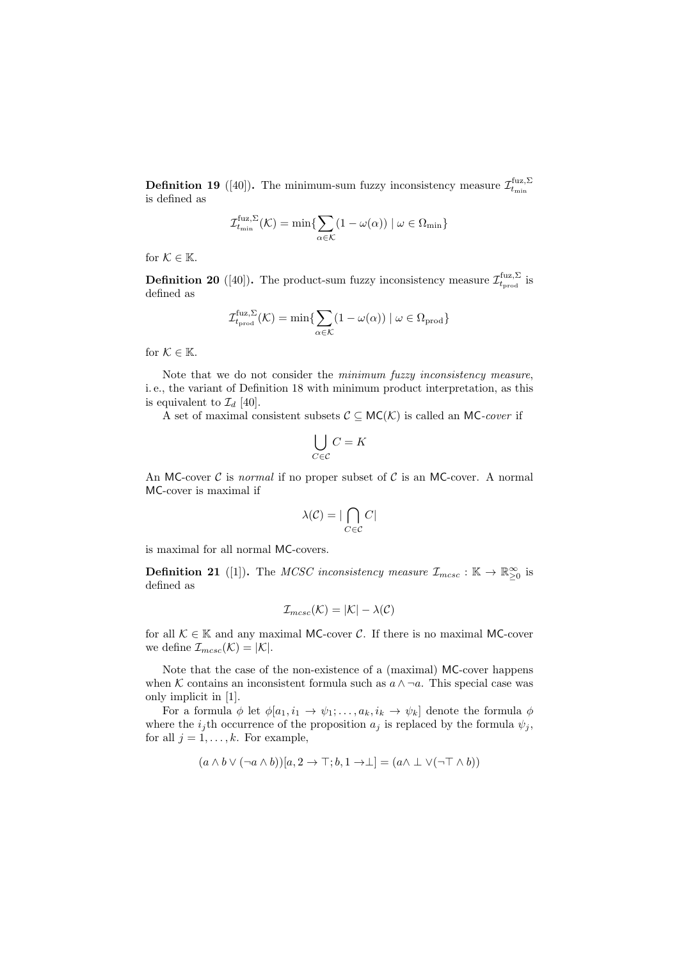**Definition 19** ([40]). The minimum-sum fuzzy inconsistency measure  $\mathcal{I}_{t_{\min}}^{\text{fuz},\Sigma}$ is defined as

$$
\mathcal{I}_{t_{\min}}^{\text{fuz},\Sigma}(\mathcal{K}) = \min \{ \sum_{\alpha \in \mathcal{K}} (1 - \omega(\alpha)) \mid \omega \in \Omega_{\min} \}
$$

for  $\mathcal{K} \in \mathbb{K}$ .

**Definition 20** ([40]). The product-sum fuzzy inconsistency measure  $\mathcal{I}_{t_{\text{prod}}}^{\text{fuz},\Sigma}$  is defined as

$$
\mathcal{I}_{t_{\mathrm{prod}}}^{\mathrm{fuz},\Sigma}(\mathcal{K}) = \min\{\sum_{\alpha\in\mathcal{K}}(1-\omega(\alpha))\mid\omega\in\Omega_{\mathrm{prod}}\}
$$

for  $K \in \mathbb{K}$ .

Note that we do not consider the minimum fuzzy inconsistency measure, i. e., the variant of Definition 18 with minimum product interpretation, as this is equivalent to  $\mathcal{I}_d$  [40].

A set of maximal consistent subsets  $C \subseteq MC(\mathcal{K})$  is called an MC-cover if

$$
\bigcup_{C \in \mathcal{C}} C = K
$$

An MC-cover  $\mathcal C$  is normal if no proper subset of  $\mathcal C$  is an MC-cover. A normal MC-cover is maximal if

$$
\lambda(\mathcal{C}) = |\bigcap_{C \in \mathcal{C}} C|
$$

is maximal for all normal MC-covers.

**Definition 21** ([1]). The MCSC inconsistency measure  $\mathcal{I}_{mcsc}$  :  $\mathbb{K} \to \mathbb{R}^{\infty}_{\geq 0}$  is defined as

$$
\mathcal{I}_{mcsc}(\mathcal{K}) = |\mathcal{K}| - \lambda(\mathcal{C})
$$

for all  $\mathcal{K} \in \mathbb{K}$  and any maximal MC-cover C. If there is no maximal MC-cover we define  $\mathcal{I}_{mcsc}(\mathcal{K}) = |\mathcal{K}|$ .

Note that the case of the non-existence of a (maximal) MC-cover happens when K contains an inconsistent formula such as  $a \wedge \neg a$ . This special case was only implicit in [1].

For a formula  $\phi$  let  $\phi[a_1, i_1 \to \psi_1; \dots, a_k, i_k \to \psi_k]$  denote the formula  $\phi$ where the  $i_j$ th occurrence of the proposition  $a_j$  is replaced by the formula  $\psi_j$ , for all  $j = 1, \ldots, k$ . For example,

$$
(a \wedge b \vee (\neg a \wedge b))[a, 2 \rightarrow \top; b, 1 \rightarrow \bot] = (a \wedge \bot \vee (\neg \top \wedge b))
$$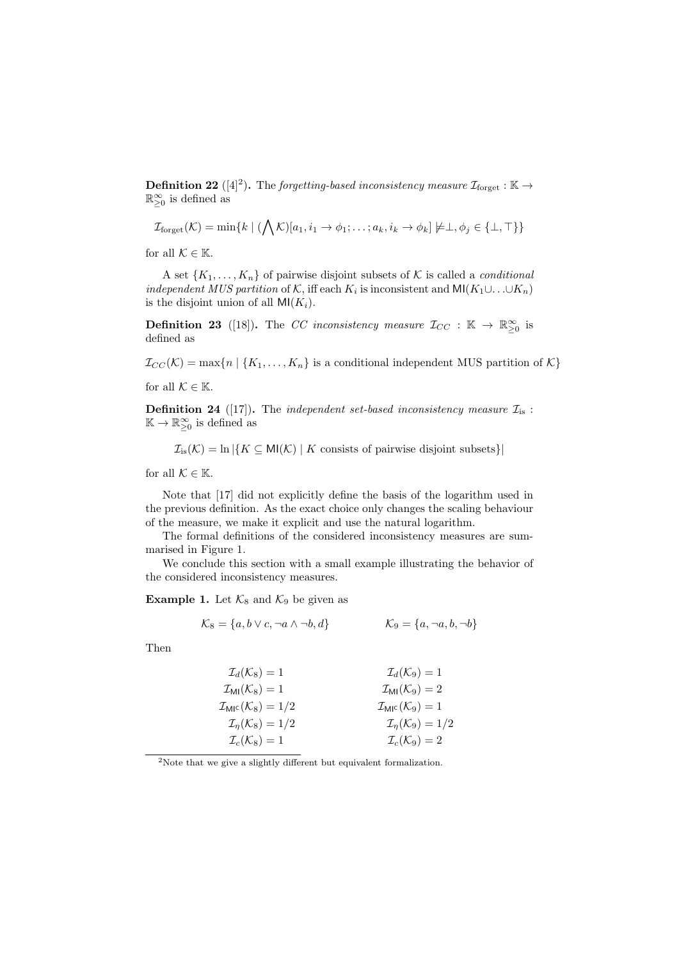**Definition 22** ([4]<sup>2</sup>). The forgetting-based inconsistency measure  $\mathcal{I}_{\text{forget}} : \mathbb{K} \to$  $\mathbb{R}_{\geq 0}^{\infty}$  is defined as

$$
\mathcal{I}_{\text{forget}}(\mathcal{K}) = \min\{k \mid (\bigwedge \mathcal{K})[a_1, i_1 \to \phi_1; \ldots; a_k, i_k \to \phi_k] \not\models \bot, \phi_j \in \{\bot, \top\}\}\
$$

for all  $\mathcal{K} \in \mathbb{K}$ .

A set  $\{K_1, \ldots, K_n\}$  of pairwise disjoint subsets of K is called a *conditional* independent MUS partition of K, iff each  $K_i$  is inconsistent and MI $(K_1 \cup \ldots \cup K_n)$ is the disjoint union of all  $\mathsf{MI}(K_i)$ .

**Definition 23** ([18]). The CC inconsistency measure  $\mathcal{I}_{CC}$  :  $\mathbb{K} \to \mathbb{R}^{\infty}_{\geq 0}$  is defined as

 $\mathcal{I}_{CC}(\mathcal{K}) = \max\{n \mid \{K_1,\ldots,K_n\}$  is a conditional independent MUS partition of  $\mathcal{K}\}$ for all  $\mathcal{K} \in \mathbb{K}$ .

**Definition 24** ([17]). The independent set-based inconsistency measure  $\mathcal{I}_{is}$ :  $\mathbb{K} \to \mathbb{R}_{\geq 0}^{\infty}$  is defined as

 $\mathcal{I}_{\text{is}}(\mathcal{K}) = \ln |\{K \subseteq \text{MI}(\mathcal{K}) \mid K \text{ consists of pairwise disjoint subsets}\}|$ 

for all  $\mathcal{K} \in \mathbb{K}$ .

Note that [17] did not explicitly define the basis of the logarithm used in the previous definition. As the exact choice only changes the scaling behaviour of the measure, we make it explicit and use the natural logarithm.

The formal definitions of the considered inconsistency measures are summarised in Figure 1.

We conclude this section with a small example illustrating the behavior of the considered inconsistency measures.

**Example 1.** Let  $\mathcal{K}_8$  and  $\mathcal{K}_9$  be given as

$$
\mathcal{K}_8 = \{a, b \lor c, \neg a \land \neg b, d\} \qquad \mathcal{K}_9 = \{a, \neg a, b, \neg b\}
$$

Then

| $\mathcal{I}_d(\mathcal{K}_8)=1$                        | $\mathcal{I}_d(\mathcal{K}_9)=1$                      |
|---------------------------------------------------------|-------------------------------------------------------|
| $\mathcal{I}_{\text{MI}}(\mathcal{K}_8)=1$              | $\mathcal{I}_{\text{MI}}(\mathcal{K}_9)=2$            |
| $\mathcal{I}_{\text{MI}^{\text{c}}}(\mathcal{K}_8)=1/2$ | $\mathcal{I}_{\text{MI}^{\text{c}}}(\mathcal{K}_9)=1$ |
| $\mathcal{I}_{\eta}(\mathcal{K}_8)=1/2$                 | $\mathcal{I}_\eta(\mathcal{K}_9)=1/2$                 |
| $\mathcal{I}_c(\mathcal{K}_8)=1$                        | $\mathcal{I}_c(\mathcal{K}_9)=2$                      |

<sup>2</sup>Note that we give a slightly different but equivalent formalization.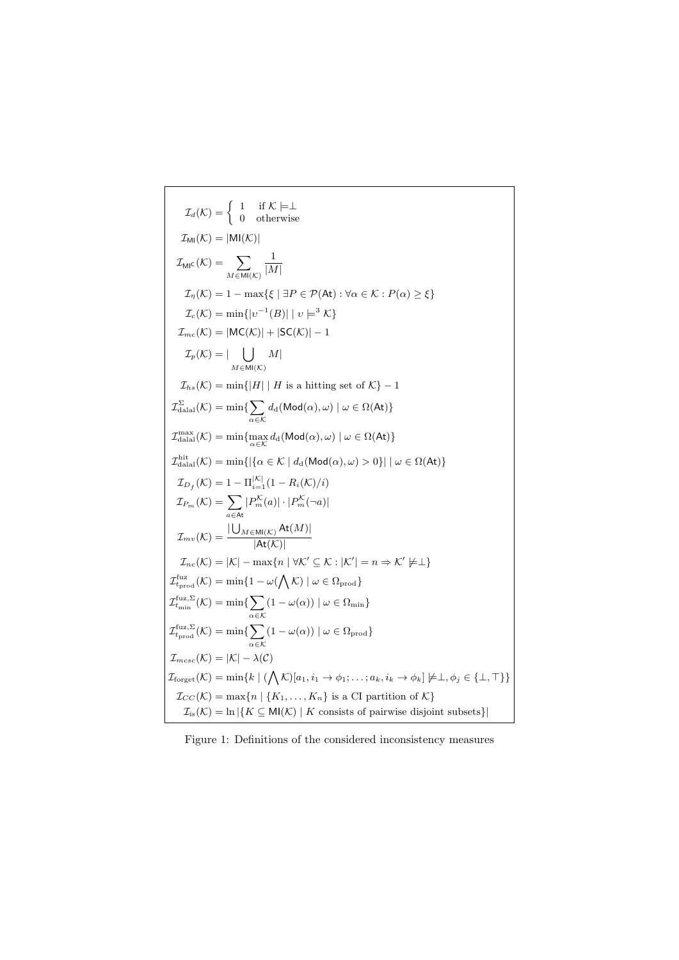$$
\mathcal{I}_{d}(\mathcal{K}) = \begin{cases}\n1 & \text{if } \mathcal{K} \models \bot \\
0 & \text{otherwise}\n\end{cases}
$$
\n
$$
\mathcal{I}_{M}(\mathcal{K}) = |M|(\mathcal{K})|
$$
\n
$$
\mathcal{I}_{M}(\mathcal{K}) = \sum_{M \in M|(\mathcal{K})} \frac{1}{|M|}
$$
\n
$$
\mathcal{I}_{\eta}(\mathcal{K}) = 1 - \max\{\xi \mid \exists P \in \mathcal{P}(At) : \forall \alpha \in \mathcal{K} : P(\alpha) \ge \xi\}
$$
\n
$$
\mathcal{I}_{c}(\mathcal{K}) = \min\{|v^{-1}(B)| | v \models^{3} \mathcal{K}\}
$$
\n
$$
\mathcal{I}_{mc}(\mathcal{K}) = |MC(\mathcal{K})| + |SC(\mathcal{K})| - 1
$$
\n
$$
\mathcal{I}_{p}(\mathcal{K}) = | \bigcup_{M \in M(\mathcal{K})} M|
$$
\n
$$
\mathcal{I}_{hc}(\mathcal{K}) = \min\{|H| | H \text{ is a hitting set of } \mathcal{K}\} - 1
$$
\n
$$
\mathcal{I}_{\text{dala1}}^{\text{S}}(\mathcal{K}) = \min\{|H| | H \text{ is a hitting set of } \mathcal{K}\} - 1
$$
\n
$$
\mathcal{I}_{\text{dala1}}^{\text{max}}(\mathcal{K}) = \min\{\sum_{\alpha \in \mathcal{K}} d_{\alpha}(\text{Mod}(\alpha), \omega) | \omega \in \Omega(\text{At})\}
$$
\n
$$
\mathcal{I}_{\text{dala1}}^{\text{max}}(\mathcal{K}) = \min\{[\{\alpha \in \mathcal{K} | d_{\alpha}(\text{Mod}(\alpha), \omega) > 0\} | \omega \in \Omega(\text{At})\}
$$
\n
$$
\mathcal{I}_{D_{f}}(\mathcal{K}) = 1 - \Pi_{\alpha=1}^{|\mathcal{K}|} (1 - R_{\alpha}(\mathcal{K})/i)
$$
\n
$$
\mathcal{I}_{P_{m}}(\mathcal{K}) = \sum_{\alpha \in \mathcal{K}} |P_{m}^{K}(\alpha)| \cdot |P_{m}^{K}(\neg \alpha)|
$$
\n
$$
\mathcal{I}_{mc
$$

Figure 1: Definitions of the considered inconsistency measures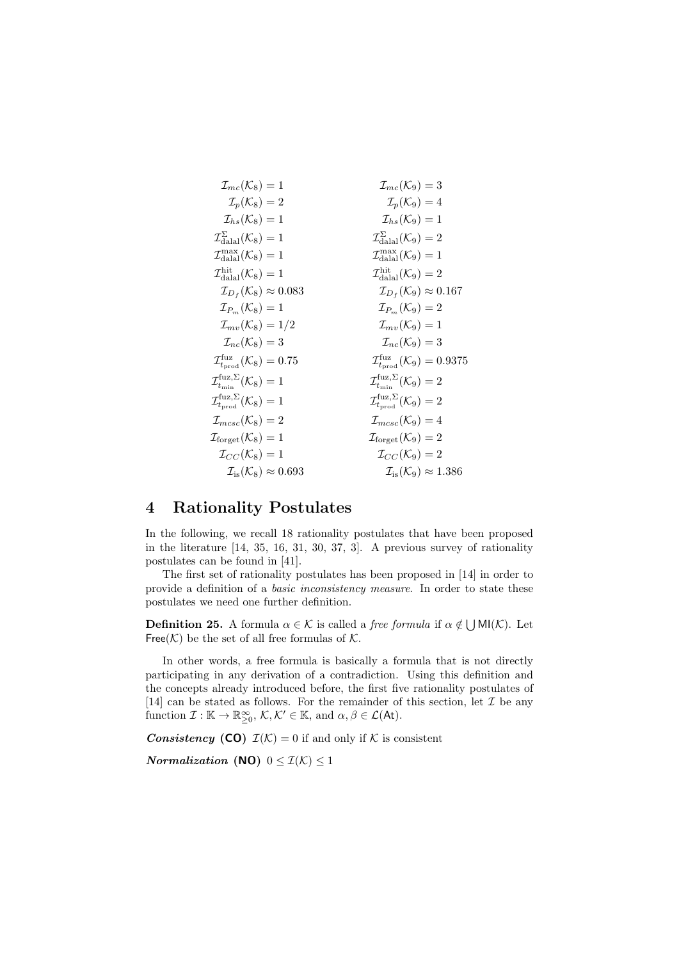| $\mathcal{I}_{mc}(K_8) = 1$                              | $\mathcal{I}_{mc}(K_9) = 3$                              |
|----------------------------------------------------------|----------------------------------------------------------|
| $\mathcal{I}_p(K_8) = 2$                                 | $\mathcal{I}_p(K_9) = 4$                                 |
| $\mathcal{I}_{\text{data}}(K_8) = 1$                     | $\mathcal{I}_{\text{data}}(K_9) = 1$                     |
| $\mathcal{I}_{\text{data}}^{\Sigma}(K_8) = 1$            | $\mathcal{I}_{\text{data}}^{\Sigma}(K_9) = 2$            |
| $\mathcal{I}_{\text{data}}^{\max}(K_8) = 1$              | $\mathcal{I}_{\text{data}}^{\max}(K_9) = 1$              |
| $\mathcal{I}_{\text{data}}^{\max}(K_8) = 1$              | $\mathcal{I}_{\text{data}}^{\max}(K_9) = 2$              |
| $\mathcal{I}_{Dr}(K_8) \approx 0.083$                    | $\mathcal{I}_{Dr}(K_9) \approx 0.167$                    |
| $\mathcal{I}_{pr}(K_8) = 1$                              | $\mathcal{I}_{\text{real}}(K_9) = 2$                     |
| $\mathcal{I}_{mv}(K_8) = 1/2$                            | $\mathcal{I}_{mv}(K_9) = 1$                              |
| $\mathcal{I}_{\text{true}}(K_8) = 3$                     | $\mathcal{I}_{\text{true}}(K_9) = 3$                     |
| $\mathcal{I}_{\text{true}}^{\text{fuz},\Sigma}(K_8) = 1$ | $\mathcal{I}_{\text{true}}^{\text{fuz},\Sigma}(K_9) = 2$ |
| $\mathcal{I}_{\text{true}}^{\text{fuz},\Sigma}(K_8) = 1$ | $\mathcal{I}_{\text{true}}^{\$                           |

# 4 Rationality Postulates

In the following, we recall 18 rationality postulates that have been proposed in the literature [14, 35, 16, 31, 30, 37, 3]. A previous survey of rationality postulates can be found in [41].

The first set of rationality postulates has been proposed in [14] in order to provide a definition of a basic inconsistency measure. In order to state these postulates we need one further definition.

**Definition 25.** A formula  $\alpha \in \mathcal{K}$  is called a *free formula* if  $\alpha \notin \bigcup M(\mathcal{K})$ . Let Free( $K$ ) be the set of all free formulas of  $K$ .

In other words, a free formula is basically a formula that is not directly participating in any derivation of a contradiction. Using this definition and the concepts already introduced before, the first five rationality postulates of [14] can be stated as follows. For the remainder of this section, let  $\mathcal I$  be any function  $\mathcal{I}: \mathbb{K} \to \mathbb{R}_{\geq 0}^{\infty}, \mathcal{K}, \mathcal{K}' \in \mathbb{K}$ , and  $\alpha, \beta \in \mathcal{L}(\mathsf{At})$ .

**Consistency** (CO)  $\mathcal{I}(\mathcal{K}) = 0$  if and only if  $\mathcal{K}$  is consistent

Normalization (NO)  $0 \leq \mathcal{I}(\mathcal{K}) \leq 1$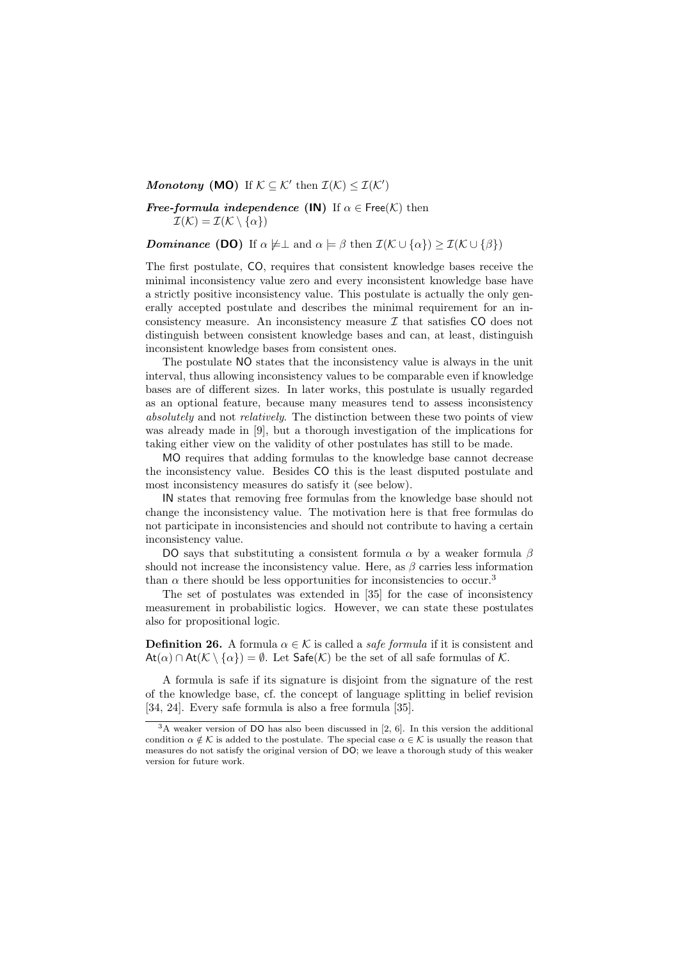### Monotony (MO) If  $K \subseteq K'$  then  $\mathcal{I}(K) \leq \mathcal{I}(K')$

**Free-formula independence (IN)** If  $\alpha \in \text{Free}(\mathcal{K})$  then  $\mathcal{I}(\mathcal{K}) = \mathcal{I}(\mathcal{K} \setminus {\alpha})$ 

**Dominance (DO)** If  $\alpha \not\models \perp$  and  $\alpha \models \beta$  then  $\mathcal{I}(\mathcal{K} \cup {\alpha}) > \mathcal{I}(\mathcal{K} \cup {\beta})$ 

The first postulate, CO, requires that consistent knowledge bases receive the minimal inconsistency value zero and every inconsistent knowledge base have a strictly positive inconsistency value. This postulate is actually the only generally accepted postulate and describes the minimal requirement for an inconsistency measure. An inconsistency measure  $\mathcal I$  that satisfies CO does not distinguish between consistent knowledge bases and can, at least, distinguish inconsistent knowledge bases from consistent ones.

The postulate NO states that the inconsistency value is always in the unit interval, thus allowing inconsistency values to be comparable even if knowledge bases are of different sizes. In later works, this postulate is usually regarded as an optional feature, because many measures tend to assess inconsistency absolutely and not relatively. The distinction between these two points of view was already made in [9], but a thorough investigation of the implications for taking either view on the validity of other postulates has still to be made.

MO requires that adding formulas to the knowledge base cannot decrease the inconsistency value. Besides CO this is the least disputed postulate and most inconsistency measures do satisfy it (see below).

IN states that removing free formulas from the knowledge base should not change the inconsistency value. The motivation here is that free formulas do not participate in inconsistencies and should not contribute to having a certain inconsistency value.

DO says that substituting a consistent formula  $\alpha$  by a weaker formula  $\beta$ should not increase the inconsistency value. Here, as  $\beta$  carries less information than  $\alpha$  there should be less opportunities for inconsistencies to occur.<sup>3</sup>

The set of postulates was extended in [35] for the case of inconsistency measurement in probabilistic logics. However, we can state these postulates also for propositional logic.

**Definition 26.** A formula  $\alpha \in \mathcal{K}$  is called a *safe formula* if it is consistent and  $At(\alpha) \cap At(\mathcal{K} \setminus {\alpha}) = \emptyset$ . Let  $\mathsf{Safe}(\mathcal{K})$  be the set of all safe formulas of  $\mathcal{K}$ .

A formula is safe if its signature is disjoint from the signature of the rest of the knowledge base, cf. the concept of language splitting in belief revision [34, 24]. Every safe formula is also a free formula [35].

<sup>3</sup>A weaker version of DO has also been discussed in [2, 6]. In this version the additional condition  $\alpha \notin \mathcal{K}$  is added to the postulate. The special case  $\alpha \in \mathcal{K}$  is usually the reason that measures do not satisfy the original version of DO; we leave a thorough study of this weaker version for future work.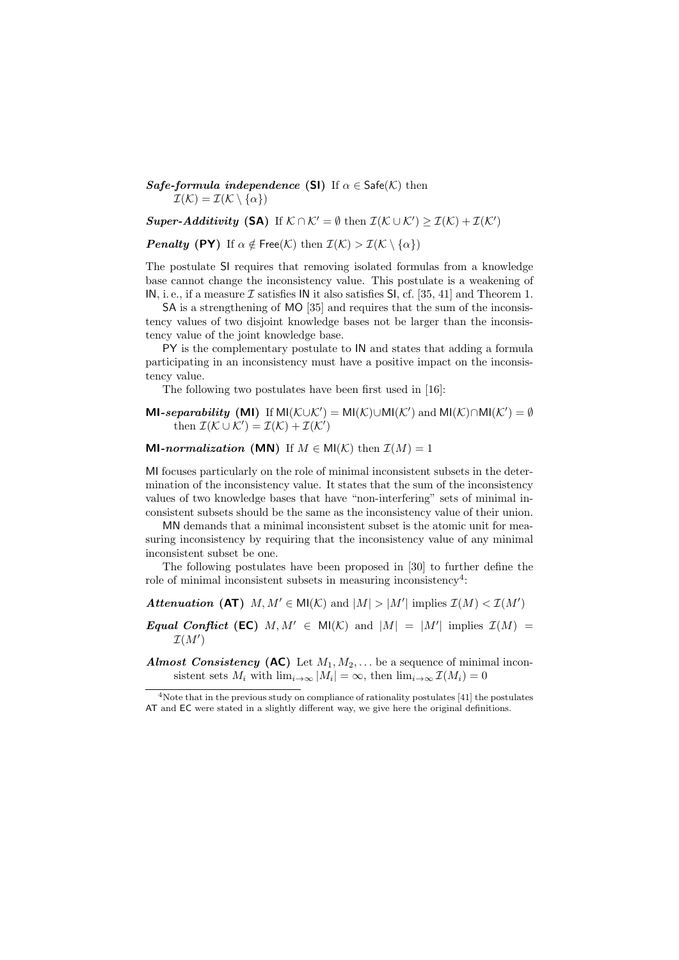Safe-formula independence (SI) If  $\alpha \in \mathsf{Safe}(\mathcal{K})$  then  $\mathcal{I}(\mathcal{K}) = \mathcal{I}(\mathcal{K} \setminus {\alpha})$ 

Super-Additivity (SA) If  $K \cap K' = \emptyset$  then  $\mathcal{I}(\mathcal{K} \cup \mathcal{K}') \geq \mathcal{I}(\mathcal{K}) + \mathcal{I}(\mathcal{K}')$ 

**Penalty (PY)** If  $\alpha \notin \text{Free}(\mathcal{K})$  then  $\mathcal{I}(\mathcal{K}) > \mathcal{I}(\mathcal{K} \setminus {\alpha})$ 

The postulate SI requires that removing isolated formulas from a knowledge base cannot change the inconsistency value. This postulate is a weakening of IN, i. e., if a measure  $\mathcal I$  satisfies IN it also satisfies SI, cf. [35, 41] and Theorem 1.

SA is a strengthening of MO [35] and requires that the sum of the inconsistency values of two disjoint knowledge bases not be larger than the inconsistency value of the joint knowledge base.

PY is the complementary postulate to IN and states that adding a formula participating in an inconsistency must have a positive impact on the inconsistency value.

The following two postulates have been first used in [16]:

MI-separability (MI) If  $MI(\mathcal{K}\cup\mathcal{K}') = MI(\mathcal{K})\cup MI(\mathcal{K}')$  and  $MI(\mathcal{K})\cap MI(\mathcal{K}') = \emptyset$ then  $\mathcal{I}(\mathcal{K} \cup \mathcal{K}') = \mathcal{I}(\mathcal{K}) + \mathcal{I}(\mathcal{K}')$ 

**MI-normalization** (MN) If  $M \in MI(\mathcal{K})$  then  $\mathcal{I}(M) = 1$ 

MI focuses particularly on the role of minimal inconsistent subsets in the determination of the inconsistency value. It states that the sum of the inconsistency values of two knowledge bases that have "non-interfering" sets of minimal inconsistent subsets should be the same as the inconsistency value of their union.

MN demands that a minimal inconsistent subset is the atomic unit for measuring inconsistency by requiring that the inconsistency value of any minimal inconsistent subset be one.

The following postulates have been proposed in [30] to further define the role of minimal inconsistent subsets in measuring inconsistency<sup>4</sup>:

Attenuation (AT)  $M, M' \in \mathsf{MI}(\mathcal{K})$  and  $|M| > |M'|$  implies  $\mathcal{I}(M) < \mathcal{I}(M')$ 

Equal Conflict (EC)  $M, M' \in M(\mathcal{K})$  and  $|M| = |M'|$  implies  $\mathcal{I}(M) =$  $\mathcal{I}(M')$ 

**Almost Consistency (AC)** Let  $M_1, M_2, \ldots$  be a sequence of minimal inconsistent sets  $M_i$  with  $\lim_{i\to\infty} |M_i| = \infty$ , then  $\lim_{i\to\infty} \mathcal{I}(M_i) = 0$ 

<sup>4</sup>Note that in the previous study on compliance of rationality postulates [41] the postulates AT and EC were stated in a slightly different way, we give here the original definitions.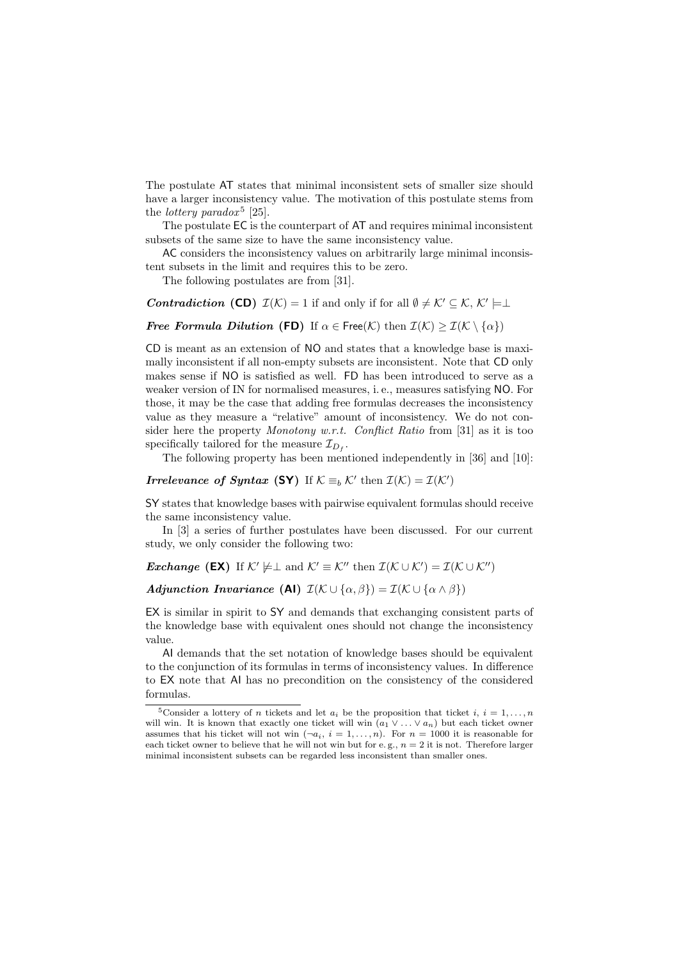The postulate AT states that minimal inconsistent sets of smaller size should have a larger inconsistency value. The motivation of this postulate stems from the *lottery paradox*<sup>5</sup> [25].

The postulate EC is the counterpart of AT and requires minimal inconsistent subsets of the same size to have the same inconsistency value.

AC considers the inconsistency values on arbitrarily large minimal inconsistent subsets in the limit and requires this to be zero.

The following postulates are from [31].

### **Contradiction** (CD)  $\mathcal{I}(\mathcal{K}) = 1$  if and only if for all  $\emptyset \neq \mathcal{K}' \subseteq \mathcal{K}, \mathcal{K}' \models \perp$

**Free Formula Dilution (FD)** If  $\alpha \in \text{Free}(\mathcal{K})$  then  $\mathcal{I}(\mathcal{K}) \geq \mathcal{I}(\mathcal{K} \setminus {\alpha})$ 

CD is meant as an extension of NO and states that a knowledge base is maximally inconsistent if all non-empty subsets are inconsistent. Note that CD only makes sense if NO is satisfied as well. FD has been introduced to serve as a weaker version of IN for normalised measures, i. e., measures satisfying NO. For those, it may be the case that adding free formulas decreases the inconsistency value as they measure a "relative" amount of inconsistency. We do not consider here the property *Monotony w.r.t.* Conflict Ratio from [31] as it is too specifically tailored for the measure  $\mathcal{I}_{D_f}$ .

The following property has been mentioned independently in [36] and [10]:

*Irrelevance of Syntax* (SY) If  $K \equiv_b \mathcal{K}'$  then  $\mathcal{I}(\mathcal{K}) = \mathcal{I}(\mathcal{K}')$ 

SY states that knowledge bases with pairwise equivalent formulas should receive the same inconsistency value.

In [3] a series of further postulates have been discussed. For our current study, we only consider the following two:

*Exchange* (EX) If  $K' \not\models \bot$  and  $K' \equiv K''$  then  $\mathcal{I}(K \cup K') = \mathcal{I}(K \cup K'')$ 

Adjunction Invariance (AI)  $\mathcal{I}(\mathcal{K} \cup {\alpha, \beta}) = \mathcal{I}(\mathcal{K} \cup {\alpha \wedge \beta})$ 

EX is similar in spirit to SY and demands that exchanging consistent parts of the knowledge base with equivalent ones should not change the inconsistency value.

AI demands that the set notation of knowledge bases should be equivalent to the conjunction of its formulas in terms of inconsistency values. In difference to EX note that AI has no precondition on the consistency of the considered formulas.

<sup>&</sup>lt;sup>5</sup>Consider a lottery of *n* tickets and let  $a_i$  be the proposition that ticket i,  $i = 1, \ldots, n$ will win. It is known that exactly one ticket will win  $(a_1 \vee \ldots \vee a_n)$  but each ticket owner assumes that his ticket will not win  $(\neg a_i, i = 1, \ldots, n)$ . For  $n = 1000$  it is reasonable for each ticket owner to believe that he will not win but for e.g.,  $n = 2$  it is not. Therefore larger minimal inconsistent subsets can be regarded less inconsistent than smaller ones.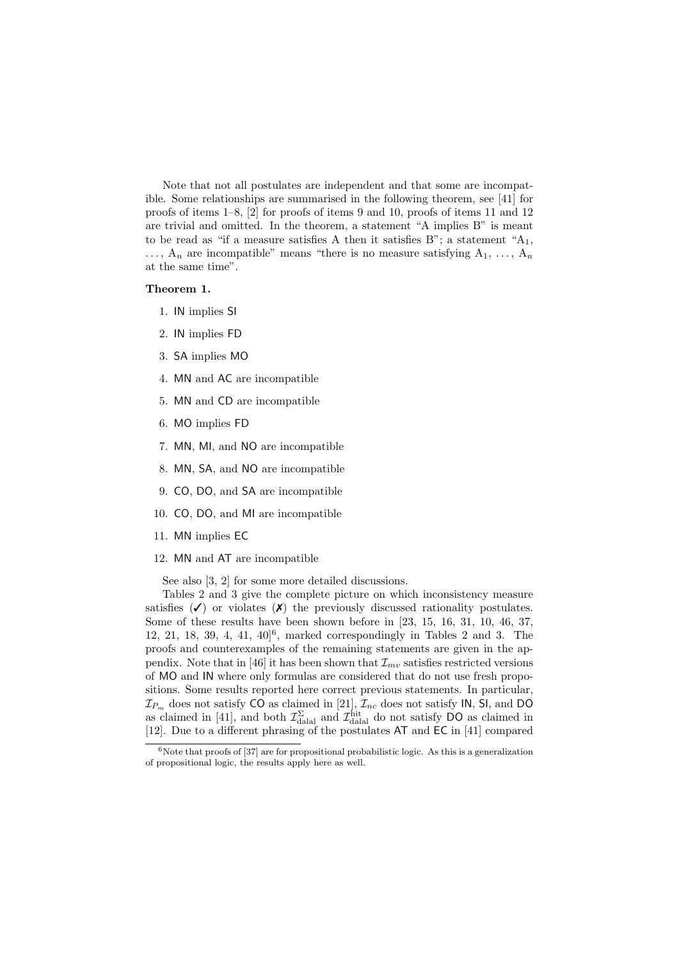Note that not all postulates are independent and that some are incompatible. Some relationships are summarised in the following theorem, see [41] for proofs of items 1–8, [2] for proofs of items 9 and 10, proofs of items 11 and 12 are trivial and omitted. In the theorem, a statement "A implies B" is meant to be read as "if a measure satisfies A then it satisfies B"; a statement " $A_1$ ,  $\ldots$ ,  $A_n$  are incompatible" means "there is no measure satisfying  $A_1, \ldots, A_n$ at the same time".

#### Theorem 1.

- 1. IN implies SI
- 2. IN implies FD
- 3. SA implies MO
- 4. MN and AC are incompatible
- 5. MN and CD are incompatible
- 6. MO implies FD
- 7. MN, MI, and NO are incompatible
- 8. MN, SA, and NO are incompatible
- 9. CO, DO, and SA are incompatible
- 10. CO, DO, and MI are incompatible
- 11. MN implies EC
- 12. MN and AT are incompatible

See also [3, 2] for some more detailed discussions.

Tables 2 and 3 give the complete picture on which inconsistency measure satisfies  $(\checkmark)$  or violates  $(\checkmark)$  the previously discussed rationality postulates. Some of these results have been shown before in [23, 15, 16, 31, 10, 46, 37, 12, 21, 18, 39, 4, 41, 40]<sup>6</sup> , marked correspondingly in Tables 2 and 3. The proofs and counterexamples of the remaining statements are given in the appendix. Note that in [46] it has been shown that  $\mathcal{I}_{mv}$  satisfies restricted versions of MO and IN where only formulas are considered that do not use fresh propositions. Some results reported here correct previous statements. In particular,  $\mathcal{I}_{P_m}$  does not satisfy CO as claimed in [21],  $\mathcal{I}_{nc}$  does not satisfy IN, SI, and DO as claimed in [41], and both  $\mathcal{I}_{\text{dala}}^{\Sigma}$  and  $\mathcal{I}_{\text{dala}}^{\text{hit}}$  do not satisfy DO as claimed in [12]. Due to a different phrasing of the postulates AT and EC in [41] compared

 $6N$ ote that proofs of [37] are for propositional probabilistic logic. As this is a generalization of propositional logic, the results apply here as well.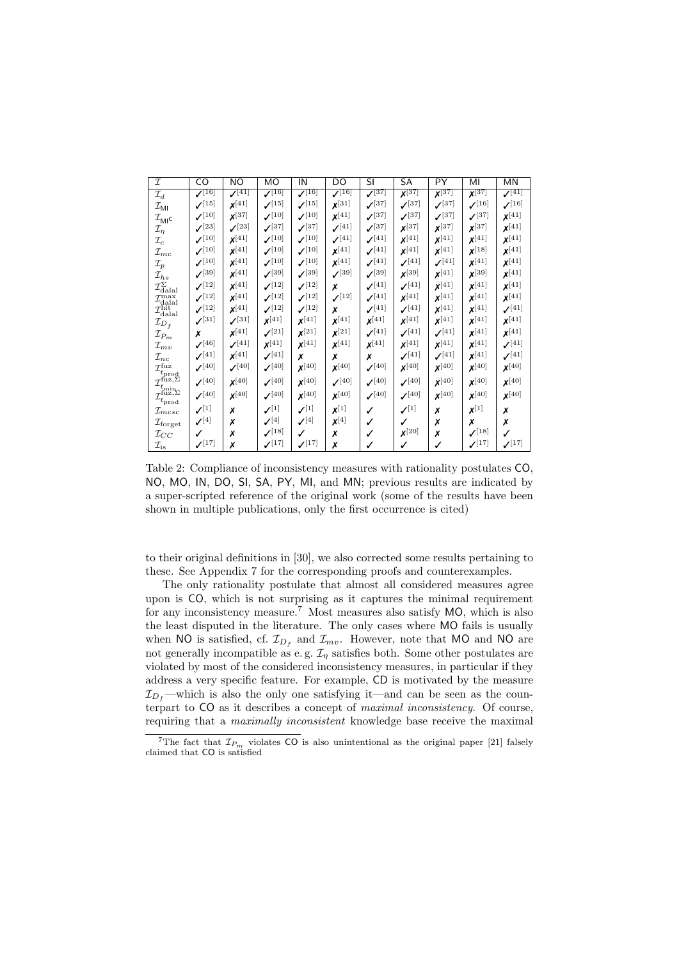| $\mathcal{I}$                                                                                                                                                                                            | CO                                | <b>NO</b>                         | MO                                | IN                   | DO                                | $\overline{\mathsf{SI}}$ | <b>SA</b>                         | PY                   | MI                                | <b>MN</b>                         |
|----------------------------------------------------------------------------------------------------------------------------------------------------------------------------------------------------------|-----------------------------------|-----------------------------------|-----------------------------------|----------------------|-----------------------------------|--------------------------|-----------------------------------|----------------------|-----------------------------------|-----------------------------------|
| $\mathcal{I}_d$                                                                                                                                                                                          | $\sqrt{16}$                       | $\sqrt{41}$                       | $\sqrt{16}$                       | $\sqrt{16}$          | $\sqrt{16}$                       | $\sqrt{37}$              | $\overline{\mathbf{X}^{[37]}}$    | $X^{[37]}$           | $\chi^{[37]}$                     | $\sqrt{41}$                       |
| $\mathcal{I}_{\mathsf{MI}}$                                                                                                                                                                              | $\mathcal{I}^{[15]}$              | $x^{[41]}$                        | $\mathcal{I}^{[15]}$              | $\mathcal{I}^{[15]}$ | $x^{[31]}$                        | $\mathcal{I}^{[37]}$     | $\boldsymbol{\mathcal{N}}^{[37]}$ | $\sqrt{37}$          | $\mathcal{I}^{[16]}$              | $\boldsymbol{\mathcal{N}}^{[16]}$ |
| $\mathcal{I}_{\mathsf{MI}^\mathsf{C}}$                                                                                                                                                                   | $\boldsymbol{\mathcal{N}}^{[10]}$ | $x^{[37]}$                        | $\mathcal{I}^{[10]}$              | $\mathcal{I}^{[10]}$ | $x^{[41]}$                        | $\sqrt{37}$              | $\sqrt{37}$                       | $\sqrt{37}$          | $\mathcal{J}^{[37]}$              | $x^{[41]}$                        |
| $\mathcal{I}_{\eta}$                                                                                                                                                                                     | $\mathcal{I}^{[23]}$              | $\mathcal{I}^{[23]}$              | $\mathcal{I}^{[37]}$              | $\mathcal{I}^{[37]}$ | $\mathcal{J}^{[41]}$              | $\mathcal{J}^{[37]}$     | $x^{[37]}$                        | $x^{[37]}$           | $x^{[37]}$                        | $x^{[41]}$                        |
| $\mathcal{I}_c$                                                                                                                                                                                          | $\boldsymbol{\mathcal{N}}^{[10]}$ | $x^{[41]}$                        | $\mathcal{I}^{[10]}$              | $\mathcal{J}^{[10]}$ | $\mathcal{I}^{[41]}$              | $\mathcal{J}^{[41]}$     | $x^{[41]}$                        | $x^{[41]}$           | $x^{[41]}$                        | $\pmb{\chi} [41]$                 |
| $\mathcal{I}_{mc}$                                                                                                                                                                                       | $\boldsymbol{\mathcal{N}}^{[10]}$ | $x^{[41]}$                        | $\mathcal{I}^{[10]}$              | $\mathcal{I}^{[10]}$ | $x^{[41]}$                        | $\mathcal{I}^{[41]}$     | $x^{[41]}$                        | $x^{[41]}$           | $x^{[18]}$                        | $x^{[41]}$                        |
| $\mathcal{I}_p$                                                                                                                                                                                          | $\mathcal{I}^{[10]}$              | $x^{[41]}$                        | $\mathcal{I}^{[10]}$              | $\mathcal{I}^{[10]}$ | $x^{[41]}$                        | $\mathcal{J}^{[41]}$     | $\mathcal{I}^{[41]}$              | $\mathcal{I}^{[41]}$ | $x^{[41]}$                        | $\pmb{\chi} [41]$                 |
| $\mathcal{I}_{hs}$                                                                                                                                                                                       | $\boldsymbol{\mathcal{N}}^{[39]}$ | $x^{[41]}$                        | $\mathcal{V}^{[39]}$              | $\mathcal{I}^{[39]}$ | $\mathcal{J}^{[39]}$              | $\mathcal{I}^{[39]}$     | $x^{[39]}$                        | $x^{[41]}$           | $x^{[39]}$                        | $\pmb{\chi} [41]$                 |
| $\mathcal{I}^{\Sigma}_{\rm dial}$                                                                                                                                                                        | $\mathcal{I}^{[12]}$              | $x^{[41]}$                        | $\mathcal{I}^{[12]}$              | $\mathcal{I}^{[12]}$ | x                                 | $\mathcal{I}^{[41]}$     | $\mathcal{I}^{[41]}$              | $x^{[41]}$           | $x^{[41]}$                        | $\pmb{\chi} [41]$                 |
| $\mathcal{I}_{\text{dala}}^{\text{max}}$                                                                                                                                                                 | $\mathcal{I}^{[12]}$              | $x^{[41]}$                        | $\mathcal{I}^{[12]}$              | $\mathcal{J}^{[12]}$ | $\mathcal{I}^{[12]}$              | $\mathcal{J}^{[41]}$     | $x^{[41]}$                        | $x^{[41]}$           | $x^{[41]}$                        | $x^{[41]}$                        |
| $\mathcal{I}_{\text{dala}}^{\text{hit}}$                                                                                                                                                                 | $\mathcal{J}^{[12]}$              | $x^{[41]}$                        | $\mathcal{I}^{[12]}$              | $\mathcal{I}^{[12]}$ | x                                 | $\mathcal{I}^{[41]}$     | $\mathcal{I}^{[41]}$              | $x^{[41]}$           | $x^{[41]}$                        | $\boldsymbol{\mathcal{N}}^{[41]}$ |
| $\mathcal{I}_{D_f}$                                                                                                                                                                                      | $\mathcal{I}^{[31]}$              | $\mathcal{J}^{[31]}$              | $x^{[41]}$                        | $x^{[41]}$           | $\pmb{\chi} [41]$                 | $x^{[41]}$               | $x^{[41]}$                        | $x^{[41]}$           | $x^{[41]}$                        | $x^{[41]}$                        |
| $\mathcal I_{P_m}$                                                                                                                                                                                       | x                                 | $x^{[41]}$                        | $\mathcal{I}^{[21]}$              | $\pmb{\chi}^{[21]}$  | $\pmb{\chi}^{[21]}$               | $\mathcal{I}^{[41]}$     | $\mathcal{I}^{[41]}$              | $\mathcal{I}^{[41]}$ | $x^{[41]}$                        | $\pmb{\chi}^{[41]}$               |
| $\mathcal{I}_{mv}$                                                                                                                                                                                       | $\boldsymbol{\mathcal{N}}^{[46]}$ | $\boldsymbol{\mathcal{N}}^{[41]}$ | $x^{[41]}$                        | $x^{[41]}$           | $x^{[41]}$                        | $\pmb{\chi}^{[41]}$      | $x^{[41]}$                        | $x^{[41]}$           | $x^{[41]}$                        | $\mathcal{I}^{[41]}$              |
| $\mathcal{I}_{nc}$                                                                                                                                                                                       | $\boldsymbol{\mathcal{N}}^{[41]}$ | $x^{[41]}$                        | $\mathcal{I}^{[41]}$              | x                    | Х                                 | Х                        | $\boldsymbol{\mathcal{N}}^{[41]}$ | $\mathcal{I}^{[41]}$ | $x^{[41]}$                        | $\boldsymbol{\mathcal{N}}^{[41]}$ |
|                                                                                                                                                                                                          | $\mathcal{V}^{[40]}$              | $\boldsymbol{\mathcal{N}}^{[40]}$ | $\boldsymbol{\mathcal{N}}^{[40]}$ | $\pmb{\chi} [40]$    | $\pmb{\chi} [40]$                 | $\mathcal{V}^{[40]}$     | $\pmb{\chi} [40]$                 | $x^{[40]}$           | $x^{[40]}$                        | $\pmb{\chi} [40]$                 |
| $\mathcal{I}^{\text{fuz}}_{t_{\text{prod}}}, \mathcal{I}^{\text{fuz}, \Sigma}_{t_{\text{min}}}, \mathcal{I}^{\text{fuz}, \Sigma}_{t_{\text{prod}}}, \mathcal{I}^{\text{fuz}, \Sigma}_{t_{\text{prod}}},$ | $\mathcal{I}^{[40]}$              | $\pmb{\chi} [40]$                 | $\boldsymbol{\mathcal{N}}^{[40]}$ | $x^{[40]}$           | $\boldsymbol{\mathcal{N}}^{[40]}$ | $\mathcal{I}^{[40]}$     | $\boldsymbol{\mathcal{N}}^{[40]}$ | $x^{[40]}$           | $\pmb{\chi} [40]$                 | $\pmb{\chi} [40]$                 |
|                                                                                                                                                                                                          | $\mathcal{J}^{[40]}$              | $x^{[40]}$                        | $\mathcal{V}^{[40]}$              | $\pmb{\chi} [40]$    | $x^{[40]}$                        | $\mathcal{I}^{[40]}$     | $\boldsymbol{\mathcal{N}}^{[40]}$ | $x^{[40]}$           | $x^{[40]}$                        | $\pmb{\chi} [40]$                 |
|                                                                                                                                                                                                          |                                   |                                   | $\mathcal{N}^{[1]}$               | $\mathcal{N}^{[1]}$  |                                   |                          |                                   |                      |                                   |                                   |
| $\mathcal{I}_{mcsc}$                                                                                                                                                                                     | $\mathcal{N}^{[1]}$               | х                                 |                                   |                      | $x^{[1]}$                         | ✓                        | $\mathcal{N}^{[1]}$               | Х                    | $x^{[1]}$                         | х                                 |
| $\mathcal{I}_{\text{forget}}$                                                                                                                                                                            | $\mathcal{N}^{[4]}$               | Х                                 | $\mathcal{V}^{[4]}$               | $\mathcal{N}^{[4]}$  | $x^{[4]}$                         | ✓                        | ✓                                 | Х                    | х                                 | Х                                 |
| $\mathcal{I}_{CC}$                                                                                                                                                                                       | ✓                                 | Х                                 | $\boldsymbol{\mathcal{N}}^{[18]}$ | $\checkmark$         | Х                                 |                          | $\pmb{\chi} [20]$                 | х                    | $\mathcal{I}^{[18]}$              | ✓                                 |
| $\mathcal{I}_{\mathrm{is}}$                                                                                                                                                                              | $\mathcal{I}^{[17]}$              | Х                                 | $\boldsymbol{\mathcal{N}}^{[17]}$ | $\mathcal{I}^{[17]}$ | х                                 |                          | ✓                                 | ✓                    | $\boldsymbol{\mathcal{N}}^{[17]}$ | $\mathcal{I}^{[17]}$              |

Table 2: Compliance of inconsistency measures with rationality postulates CO, NO, MO, IN, DO, SI, SA, PY, MI, and MN; previous results are indicated by a super-scripted reference of the original work (some of the results have been shown in multiple publications, only the first occurrence is cited)

to their original definitions in [30], we also corrected some results pertaining to these. See Appendix 7 for the corresponding proofs and counterexamples.

The only rationality postulate that almost all considered measures agree upon is CO, which is not surprising as it captures the minimal requirement for any inconsistency measure.<sup>7</sup> Most measures also satisfy MO, which is also the least disputed in the literature. The only cases where MO fails is usually when NO is satisfied, cf.  $\mathcal{I}_{D_f}$  and  $\mathcal{I}_{mv}$ . However, note that MO and NO are not generally incompatible as e.g.  $\mathcal{I}_\eta$  satisfies both. Some other postulates are violated by most of the considered inconsistency measures, in particular if they address a very specific feature. For example, CD is motivated by the measure  $\mathcal{I}_{D_{\ell}}$ —which is also the only one satisfying it—and can be seen as the counterpart to CO as it describes a concept of maximal inconsistency. Of course, requiring that a maximally inconsistent knowledge base receive the maximal

<sup>&</sup>lt;sup>7</sup>The fact that  $\mathcal{I}_{P_m}$  violates CO is also unintentional as the original paper [21] falsely claimed that CO is satisfied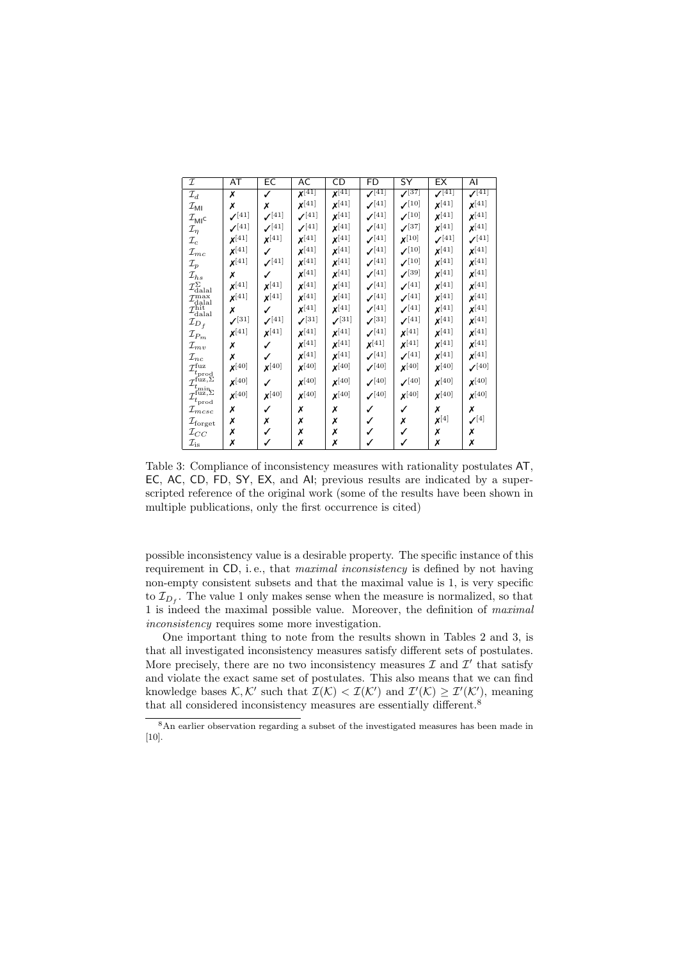| I                                                                                                                 | AT                   | EC                   | AC                   | CD                   | <b>FD</b>            | SY                   | EX                   | AI                               |
|-------------------------------------------------------------------------------------------------------------------|----------------------|----------------------|----------------------|----------------------|----------------------|----------------------|----------------------|----------------------------------|
| ${\mathcal{I}}_d$                                                                                                 | Х                    | ✓                    | $\sqrt{41}$          | $\sqrt{41}$          | $\sqrt{[41]}$        | $\sqrt{37}$          | $\sqrt{41}$          | $\sqrt{41}$                      |
| $\mathcal{I}_{\mathsf{MI}}$                                                                                       | х                    | Х                    | $\pmb{\chi} [41]$    | $x^{[41]}$           | $\mathcal{J}^{[41]}$ | $\mathcal{I}^{[10]}$ | $x^{[41]}$           | $x^{[41]}$                       |
| $\mathcal{I}_{\mathsf{MI}^\mathsf{C}}$                                                                            | $\mathcal{I}^{[41]}$ | $\mathcal{I}^{[41]}$ | $\mathcal{I}^{[41]}$ | $x^{[41]}$           | $\mathcal{J}^{[41]}$ | $\mathcal{I}^{[10]}$ | $x^{[41]}$           | $x^{[41]}$                       |
| $\mathcal{I}_{\eta}$                                                                                              | $\mathcal{I}^{[41]}$ | $\mathcal{J}^{[41]}$ | $\mathcal{I}^{[41]}$ | $x^{[41]}$           | $\mathcal{J}^{[41]}$ | $\mathcal{I}^{[37]}$ | $x^{[41]}$           | $x^{[41]}$                       |
| $\mathcal{I}_c$                                                                                                   | $x^{[41]}$           | $x^{[41]}$           | $x^{[41]}$           | $x^{[41]}$           | $\mathcal{I}^{[41]}$ | $x^{[10]}$           | $\mathcal{I}^{[41]}$ | $\mathcal{I}^{[41]}$             |
| $\mathcal{I}_{mc}$                                                                                                | $x^{[41]}$           | ✓                    | $x^{[41]}$           | $x^{[41]}$           | $\mathcal{I}^{[41]}$ | $\mathcal{I}^{[10]}$ | $x^{[41]}$           | $x^{[41]}$                       |
| $\mathcal{I}_p$                                                                                                   | $x^{[41]}$           | $\mathcal{I}^{[41]}$ | $x^{[41]}$           | $x^{[41]}$           | $\mathcal{J}^{[41]}$ | $\mathcal{I}^{[10]}$ | $x^{[41]}$           | $x^{[41]}$                       |
| $\mathcal{I}_{hs}$                                                                                                | Х                    | ✓                    | $x^{[41]}$           | $\mathbf{X}^{[41]}$  | $\mathcal{I}^{[41]}$ | $\mathcal{I}^{[39]}$ | $x^{[41]}$           | $x^{[41]}$                       |
| $\mathcal{I}^{\Sigma}_{\rm dial}$                                                                                 | $x^{[41]}$           | $x^{[41]}$           | $x^{[41]}$           | $x^{[41]}$           | $\mathcal{J}^{[41]}$ | $\mathcal{J}^{[41]}$ | $x^{[41]}$           | $x^{[41]}$                       |
| $\mathcal{I}_{\rm dala}^{\rm max}$                                                                                | $x^{[41]}$           | $x^{[41]}$           | $x^{[41]}$           | $x^{[41]}$           | $\mathcal{J}^{[41]}$ | $\mathcal{J}^{[41]}$ | $x^{[41]}$           | $x^{[41]}$                       |
| $\mathcal{I}_{\text{dala}}^{\text{hit}}$                                                                          | x                    | ✓                    | $x^{[41]}$           | $x^{[41]}$           | $\mathcal{J}^{[41]}$ | $\mathcal{J}^{[41]}$ | $x^{[41]}$           | $x^{[41]}$                       |
| $\mathcal{I}_{D_f}$                                                                                               | $\mathcal{I}^{[31]}$ | $\mathcal{I}^{[41]}$ | $\mathcal{I}^{[31]}$ | $\mathcal{I}^{[31]}$ | $\mathcal{I}^{[31]}$ | $\mathcal{I}^{[41]}$ | $x^{[41]}$           | $x^{[41]}$                       |
| $\mathcal{I}_{P_m}$                                                                                               | $x^{[41]}$           | $\pmb{\chi}^{[41]}$  | $x^{[41]}$           | $x^{[41]}$           | (41)                 | $x^{[41]}$           | $x^{[41]}$           | $x^{[41]}$                       |
| $\mathcal{I}_{mv}$                                                                                                | х                    | ✓                    | $x^{[41]}$           | $x^{[41]}$           | $x^{[41]}$           | $x^{[41]}$           | $x^{[41]}$           | $x^{[41]}$                       |
| $\mathcal{I}_{nc}$                                                                                                | Х                    | ✓                    | $x^{[41]}$           | $\pmb{\chi}^{[41]}$  | $\mathcal{I}^{[41]}$ | $\mathcal{I}^{[41]}$ | $x^{[41]}$           | $x^{[41]}$                       |
| $\mathcal{I}^{\text{fuz}}_{t_{\text{prod}}}$                                                                      | $\pmb{\chi} [40]$    | $x^{[40]}$           | $\pmb{\chi} [40]$    | $x^{[40]}$           | $\mathcal{I}^{[40]}$ | $x^{[40]}$           | $\pmb{\chi} [40]$    | $\mathcal{I}^{[40]}$             |
|                                                                                                                   | $\pmb{\chi} [40]$    | ✓                    | $\pmb{\chi} [40]$    | $x^{[40]}$           | $\mathcal{I}^{[40]}$ | $\mathcal{I}^{[40]}$ | $x^{[40]}$           | $x^{[40]}$                       |
| $\mathcal{I}_{t_{\mathrm{mid}}}^{\mathrm{fuz},\Sigma}$<br>$\mathcal{I}_{t_{\mathrm{prod}}}^{\mathrm{fuz},\Sigma}$ | $\pmb{\chi} [40]$    | $x^{[40]}$           | $\pmb{\chi} [40]$    | $x^{[40]}$           | $\mathcal{I}^{[40]}$ | $x^{[40]}$           | $\pmb{\chi} [40]$    | $x^{[40]}$                       |
| $\mathcal{I}_{m c s c}$                                                                                           | Х                    | ✓                    | х                    | х                    | ✓                    | ℐ                    | Х                    | x                                |
| $\mathcal{I}_{\mathrm{forget}}$                                                                                   | Х                    | х                    | Х                    | Х                    | ✓                    | Х                    | $x^{[4]}$            | $\boldsymbol{\mathcal{N}}^{[4]}$ |
| $\mathcal{I}_{CC}$                                                                                                | Х                    | ✓                    | Х                    | Х                    | ✓                    | ✓                    | Х                    | х                                |
| $\mathcal{I}_{\mathrm{is}}$                                                                                       | Х                    | ✓                    | Х                    | х                    |                      |                      | Х                    | Х                                |

Table 3: Compliance of inconsistency measures with rationality postulates AT, EC, AC, CD, FD, SY, EX, and AI; previous results are indicated by a superscripted reference of the original work (some of the results have been shown in multiple publications, only the first occurrence is cited)

possible inconsistency value is a desirable property. The specific instance of this requirement in CD, i.e., that *maximal inconsistency* is defined by not having non-empty consistent subsets and that the maximal value is 1, is very specific to  $\mathcal{I}_{D_f}$ . The value 1 only makes sense when the measure is normalized, so that 1 is indeed the maximal possible value. Moreover, the definition of maximal inconsistency requires some more investigation.

One important thing to note from the results shown in Tables 2 and 3, is that all investigated inconsistency measures satisfy different sets of postulates. More precisely, there are no two inconsistency measures  $\mathcal I$  and  $\mathcal I'$  that satisfy and violate the exact same set of postulates. This also means that we can find knowledge bases  $\mathcal{K}, \mathcal{K}'$  such that  $\mathcal{I}(\mathcal{K}) < \mathcal{I}(\mathcal{K}')$  and  $\mathcal{I}'(\mathcal{K}) \geq \mathcal{I}'(\mathcal{K}')$ , meaning that all considered inconsistency measures are essentially different.<sup>8</sup>

<sup>8</sup>An earlier observation regarding a subset of the investigated measures has been made in [10].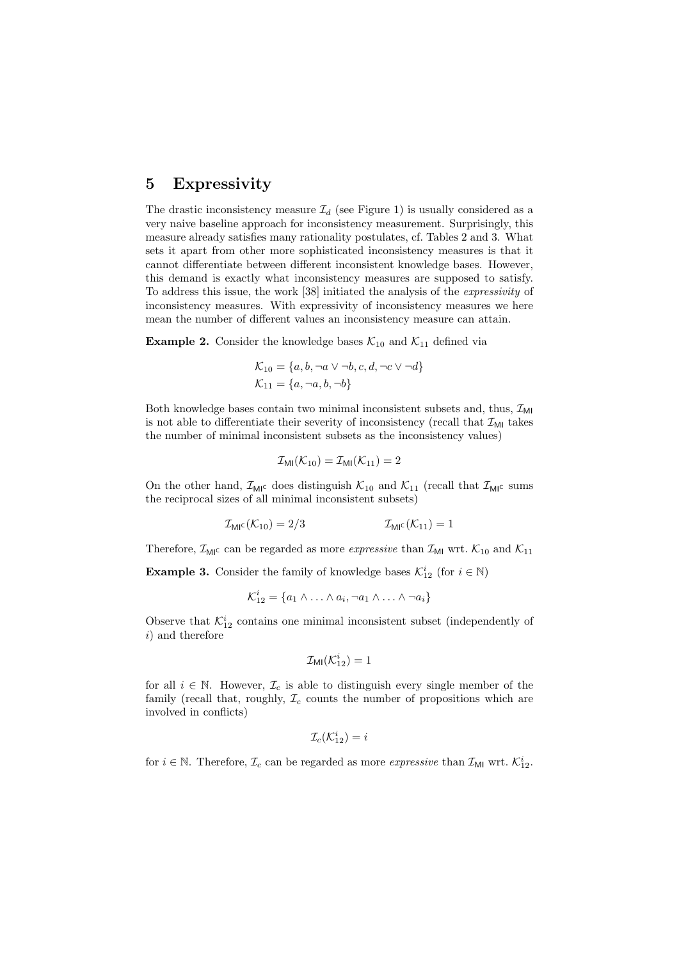### 5 Expressivity

The drastic inconsistency measure  $\mathcal{I}_d$  (see Figure 1) is usually considered as a very naive baseline approach for inconsistency measurement. Surprisingly, this measure already satisfies many rationality postulates, cf. Tables 2 and 3. What sets it apart from other more sophisticated inconsistency measures is that it cannot differentiate between different inconsistent knowledge bases. However, this demand is exactly what inconsistency measures are supposed to satisfy. To address this issue, the work [38] initiated the analysis of the expressivity of inconsistency measures. With expressivity of inconsistency measures we here mean the number of different values an inconsistency measure can attain.

**Example 2.** Consider the knowledge bases  $\mathcal{K}_{10}$  and  $\mathcal{K}_{11}$  defined via

$$
\mathcal{K}_{10} = \{a, b, \neg a \lor \neg b, c, d, \neg c \lor \neg d\}
$$
  

$$
\mathcal{K}_{11} = \{a, \neg a, b, \neg b\}
$$

Both knowledge bases contain two minimal inconsistent subsets and, thus,  $\mathcal{I}_{ML}$ is not able to differentiate their severity of inconsistency (recall that  $\mathcal{I}_{\text{MI}}$  takes the number of minimal inconsistent subsets as the inconsistency values)

$$
\mathcal{I}_{\text{MI}}(\mathcal{K}_{10}) = \mathcal{I}_{\text{MI}}(\mathcal{K}_{11}) = 2
$$

On the other hand,  $\mathcal{I}_{\text{MIC}}$  does distinguish  $\mathcal{K}_{10}$  and  $\mathcal{K}_{11}$  (recall that  $\mathcal{I}_{\text{MIC}}$  sums the reciprocal sizes of all minimal inconsistent subsets)

$$
\mathcal{I}_{\text{MI}^{\text{C}}}(\mathcal{K}_{10}) = 2/3 \qquad \qquad \mathcal{I}_{\text{MI}^{\text{C}}}(\mathcal{K}_{11}) = 1
$$

Therefore,  $\mathcal{I}_{MI}$  can be regarded as more  $\emph{expressive}$  than  $\mathcal{I}_{MI}$  wrt.  $\mathcal{K}_{10}$  and  $\mathcal{K}_{11}$ 

**Example 3.** Consider the family of knowledge bases  $\mathcal{K}_{12}^i$  (for  $i \in \mathbb{N}$ )

$$
\mathcal{K}_{12}^i = \{a_1 \wedge \ldots \wedge a_i, \neg a_1 \wedge \ldots \wedge \neg a_i\}
$$

Observe that  $\mathcal{K}_{12}^i$  contains one minimal inconsistent subset (independently of i) and therefore

$$
\mathcal{I}_{\text{MI}}(\mathcal{K}^i_{12})=1
$$

for all  $i \in \mathbb{N}$ . However,  $\mathcal{I}_c$  is able to distinguish every single member of the family (recall that, roughly,  $\mathcal{I}_c$  counts the number of propositions which are involved in conflicts)

$$
\mathcal{I}_c(\mathcal{K}_{12}^i)=i
$$

for  $i \in \mathbb{N}$ . Therefore,  $\mathcal{I}_c$  can be regarded as more *expressive* than  $\mathcal{I}_{\text{MI}}$  wrt.  $\mathcal{K}_{12}^i$ .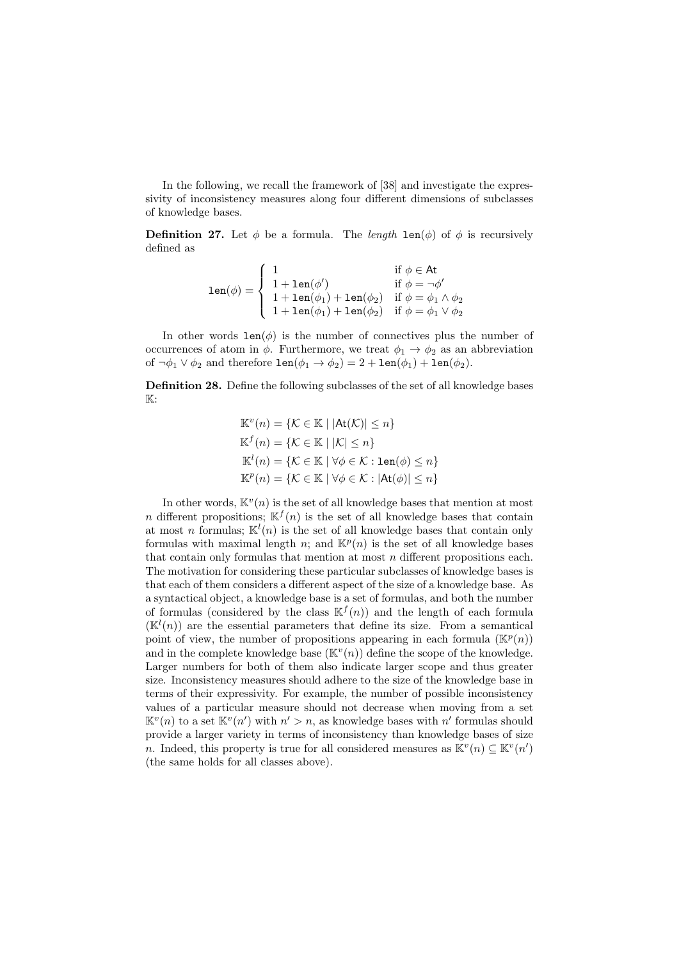In the following, we recall the framework of [38] and investigate the expressivity of inconsistency measures along four different dimensions of subclasses of knowledge bases.

**Definition 27.** Let  $\phi$  be a formula. The *length*  $\text{len}(\phi)$  of  $\phi$  is recursively defined as

$$
\text{len}(\phi) = \left\{ \begin{array}{ll} 1 & \text{if } \phi \in \text{At} \\ 1 + \text{len}(\phi') & \text{if } \phi = \neg \phi' \\ 1 + \text{len}(\phi_1) + \text{len}(\phi_2) & \text{if } \phi = \phi_1 \land \phi_2 \\ 1 + \text{len}(\phi_1) + \text{len}(\phi_2) & \text{if } \phi = \phi_1 \lor \phi_2 \end{array} \right.
$$

In other words  $len(\phi)$  is the number of connectives plus the number of occurrences of atom in  $\phi$ . Furthermore, we treat  $\phi_1 \rightarrow \phi_2$  as an abbreviation of  $\neg \phi_1 \lor \phi_2$  and therefore  $\text{len}(\phi_1 \to \phi_2) = 2 + \text{len}(\phi_1) + \text{len}(\phi_2)$ .

Definition 28. Define the following subclasses of the set of all knowledge bases  $\mathbb{K}$ :

$$
\mathbb{K}^v(n) = \{ \mathcal{K} \in \mathbb{K} \mid |\text{At}(\mathcal{K})| \le n \}
$$
  

$$
\mathbb{K}^f(n) = \{ \mathcal{K} \in \mathbb{K} \mid |\mathcal{K}| \le n \}
$$
  

$$
\mathbb{K}^l(n) = \{ \mathcal{K} \in \mathbb{K} \mid \forall \phi \in \mathcal{K} : \text{len}(\phi) \le n \}
$$
  

$$
\mathbb{K}^p(n) = \{ \mathcal{K} \in \mathbb{K} \mid \forall \phi \in \mathcal{K} : |\text{At}(\phi)| \le n \}
$$

In other words,  $\mathbb{K}^v(n)$  is the set of all knowledge bases that mention at most n different propositions;  $\mathbb{K}^{f}(n)$  is the set of all knowledge bases that contain at most *n* formulas;  $\mathbb{K}^{l}(n)$  is the set of all knowledge bases that contain only formulas with maximal length n; and  $\mathbb{K}^p(n)$  is the set of all knowledge bases that contain only formulas that mention at most n different propositions each. The motivation for considering these particular subclasses of knowledge bases is that each of them considers a different aspect of the size of a knowledge base. As a syntactical object, a knowledge base is a set of formulas, and both the number of formulas (considered by the class  $\mathbb{K}^{f}(n)$ ) and the length of each formula  $(\mathbb{K}^{l}(n))$  are the essential parameters that define its size. From a semantical point of view, the number of propositions appearing in each formula  $(\mathbb{K}^p(n))$ and in the complete knowledge base  $(\mathbb{K}^v(n))$  define the scope of the knowledge. Larger numbers for both of them also indicate larger scope and thus greater size. Inconsistency measures should adhere to the size of the knowledge base in terms of their expressivity. For example, the number of possible inconsistency values of a particular measure should not decrease when moving from a set  $\mathbb{K}^v(n)$  to a set  $\mathbb{K}^v(n')$  with  $n' > n$ , as knowledge bases with n' formulas should provide a larger variety in terms of inconsistency than knowledge bases of size n. Indeed, this property is true for all considered measures as  $\mathbb{K}^v(n) \subseteq \mathbb{K}^v(n')$ (the same holds for all classes above).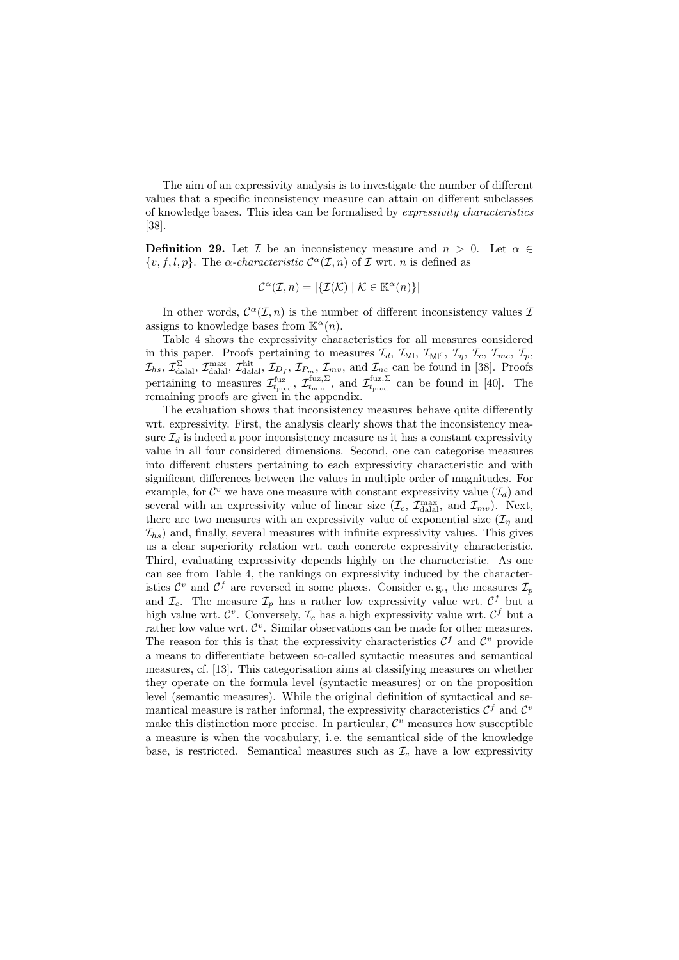The aim of an expressivity analysis is to investigate the number of different values that a specific inconsistency measure can attain on different subclasses of knowledge bases. This idea can be formalised by expressivity characteristics [38].

**Definition 29.** Let  $\mathcal{I}$  be an inconsistency measure and  $n > 0$ . Let  $\alpha \in$  $\{v, f, l, p\}$ . The  $\alpha$ -characteristic  $\mathcal{C}^{\alpha}(\mathcal{I}, n)$  of  $\mathcal{I}$  wrt. n is defined as

$$
\mathcal{C}^{\alpha}(\mathcal{I}, n) = |\{\mathcal{I}(\mathcal{K}) \mid \mathcal{K} \in \mathbb{K}^{\alpha}(n)\}|
$$

In other words,  $\mathcal{C}^{\alpha}(\mathcal{I},n)$  is the number of different inconsistency values  $\mathcal{I}$ assigns to knowledge bases from  $\mathbb{K}^{\alpha}(n)$ .

Table 4 shows the expressivity characteristics for all measures considered in this paper. Proofs pertaining to measures  $\mathcal{I}_d$ ,  $\mathcal{I}_{\text{MI}}$ ,  $\mathcal{I}_{\text{MI}}$ ,  $\mathcal{I}_\eta$ ,  $\mathcal{I}_c$ ,  $\mathcal{I}_{mc}$ ,  $\mathcal{I}_p$ ,  $\mathcal{I}_{hs}$ ,  $\mathcal{I}_{\text{dala}}^{\Sigma}$ ,  $\mathcal{I}_{\text{dala}}^{\text{max}}$ ,  $\mathcal{I}_{\text{b}}^{\text{hit}}$ ,  $\mathcal{I}_{D_f}$ ,  $\mathcal{I}_{P_m}$ ,  $\mathcal{I}_{mv}$ , and  $\mathcal{I}_{nc}$  can be found in [38]. Proofs pertaining to measures  $\mathcal{I}^{\text{fuz}}_{t_{\text{prod}}}$ ,  $\mathcal{I}^{\text{fuz},\Sigma}_{t_{\text{min}}}$ , and  $\mathcal{I}^{\text{fuz},\Sigma}_{t_{\text{prod}}}$  can be found in [40]. The remaining proofs are given in the appendix.

The evaluation shows that inconsistency measures behave quite differently wrt. expressivity. First, the analysis clearly shows that the inconsistency measure  $\mathcal{I}_d$  is indeed a poor inconsistency measure as it has a constant expressivity value in all four considered dimensions. Second, one can categorise measures into different clusters pertaining to each expressivity characteristic and with significant differences between the values in multiple order of magnitudes. For example, for  $\mathcal{C}^v$  we have one measure with constant expressivity value  $(\mathcal{I}_d)$  and several with an expressivity value of linear size  $(\mathcal{I}_c, \mathcal{I}_{\text{dala}}^{\text{max}}, \text{ and } \mathcal{I}_{mv})$ . Next, there are two measures with an expressivity value of exponential size  $(\mathcal{I}_n$  and  $\mathcal{I}_{hs}$ ) and, finally, several measures with infinite expressivity values. This gives us a clear superiority relation wrt. each concrete expressivity characteristic. Third, evaluating expressivity depends highly on the characteristic. As one can see from Table 4, the rankings on expressivity induced by the characteristics  $\mathcal{C}^v$  and  $\mathcal{C}^f$  are reversed in some places. Consider e.g., the measures  $\mathcal{I}_p$ and  $\mathcal{I}_c$ . The measure  $\mathcal{I}_p$  has a rather low expressivity value wrt.  $\mathcal{C}^f$  but a high value wrt.  $\mathcal{C}^v$ . Conversely,  $\mathcal{I}_c$  has a high expressivity value wrt.  $\mathcal{C}^f$  but a rather low value wrt.  $\mathcal{C}^v$ . Similar observations can be made for other measures. The reason for this is that the expressivity characteristics  $\mathcal{C}^f$  and  $\mathcal{C}^v$  provide a means to differentiate between so-called syntactic measures and semantical measures, cf. [13]. This categorisation aims at classifying measures on whether they operate on the formula level (syntactic measures) or on the proposition level (semantic measures). While the original definition of syntactical and semantical measure is rather informal, the expressivity characteristics  $\mathcal{C}^f$  and  $\mathcal{C}^v$ make this distinction more precise. In particular,  $\mathcal{C}^v$  measures how susceptible a measure is when the vocabulary, i. e. the semantical side of the knowledge base, is restricted. Semantical measures such as  $\mathcal{I}_c$  have a low expressivity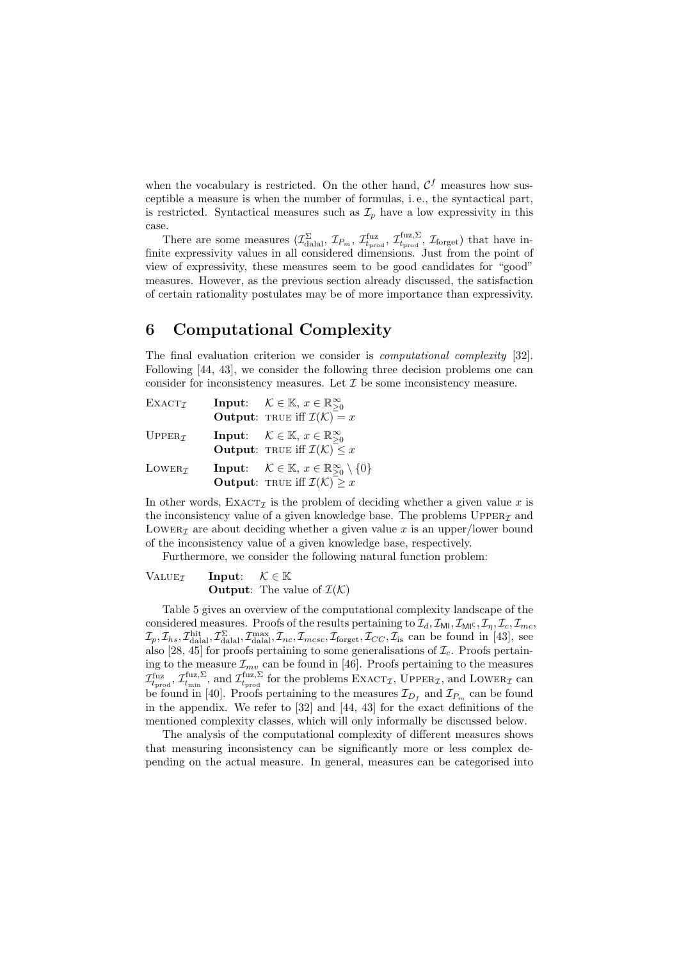when the vocabulary is restricted. On the other hand,  $\mathcal{C}^f$  measures how susceptible a measure is when the number of formulas, i. e., the syntactical part, is restricted. Syntactical measures such as  $\mathcal{I}_p$  have a low expressivity in this case.

There are some measures  $(\mathcal{I}_{\text{dala}}^{\Sigma}, \mathcal{I}_{P_m}, \mathcal{I}_{t_{\text{prod}}}^{\text{fuz}}, \mathcal{I}_{t_{\text{prod}}}^{\text{fuz}, \Sigma}, \mathcal{I}_{\text{forget}})$  that have infinite expressivity values in all considered dimensions. Just from the point of view of expressivity, these measures seem to be good candidates for "good" measures. However, as the previous section already discussed, the satisfaction of certain rationality postulates may be of more importance than expressivity.

### 6 Computational Complexity

The final evaluation criterion we consider is computational complexity [32]. Following [44, 43], we consider the following three decision problems one can consider for inconsistency measures. Let  $\mathcal I$  be some inconsistency measure.

| EXACT <sub>Z</sub>                 | <b>Input:</b> $\mathcal{K} \in \mathbb{K}$ , $x \in \mathbb{R}^{\infty}_{\geq 0}$<br><b>Output:</b> TRUE iff $\mathcal{I}(\mathcal{K}) = x$                    |
|------------------------------------|----------------------------------------------------------------------------------------------------------------------------------------------------------------|
| $UPPER\tau$                        | <b>Input:</b> $\mathcal{K} \in \mathbb{K}$ , $x \in \mathbb{R}^{\infty}_{\geq 0}$<br><b>Output:</b> TRUE iff $\mathcal{I}(\mathcal{K}) \leq x$                 |
| LOWER <sub><math>\tau</math></sub> | <b>Input:</b> $\mathcal{K} \in \mathbb{K}$ , $x \in \mathbb{R}^{\infty}_{\geq 0} \setminus \{0\}$<br><b>Output:</b> TRUE iff $\mathcal{I}(\mathcal{K}) \geq x$ |

In other words,  $\text{EXACT}_{\mathcal{I}}$  is the problem of deciding whether a given value x is the inconsistency value of a given knowledge base. The problems  $\textsc{Upper}_\mathcal{I}$  and LOWER<sub>Z</sub> are about deciding whether a given value x is an upper/lower bound of the inconsistency value of a given knowledge base, respectively.

Furthermore, we consider the following natural function problem:

| VALUEx | Input: $\mathcal{K} \in \mathbb{K}$ |                                                        |
|--------|-------------------------------------|--------------------------------------------------------|
|        |                                     | <b>Output:</b> The value of $\mathcal{I}(\mathcal{K})$ |

Table 5 gives an overview of the computational complexity landscape of the considered measures. Proofs of the results pertaining to  $\mathcal{I}_d$ ,  $\mathcal{I}_{ML}$ ,  $\mathcal{I}_{ML}$ ,  $\mathcal{I}_r$ ,  $\mathcal{I}_c$ ,  $\mathcal{I}_{mc}$ ,  $\mathcal{I}_p, \mathcal{I}_{hs}, \mathcal{I}_{\text{dala}}^{\text{hit}}, \mathcal{I}_{\text{dala}}^{\text{max}}, \mathcal{I}_{nc}, \mathcal{I}_{mcsc}, \mathcal{I}_{\text{forget}}, \mathcal{I}_{CC}, \mathcal{I}_{\text{is}}$  can be found in [43], see also [28, 45] for proofs pertaining to some generalisations of  $\mathcal{I}_c$ . Proofs pertaining to the measure  $\mathcal{I}_{mv}$  can be found in [46]. Proofs pertaining to the measures  $\mathcal{I}_{t_{\rm prod}}^{\rm fuz, \Sigma}$ , and  $\mathcal{I}_{t_{\rm prod}}^{\rm fuz, \Sigma}$  for the problems  $\rm EXACT_{\mathcal{I}}$ , UPPER<sub>Z</sub>, and LOWER<sub>Z</sub> can be found in [40]. Proofs pertaining to the measures  $\mathcal{I}_{D_f}$  and  $\mathcal{I}_{P_m}$  can be found in the appendix. We refer to [32] and [44, 43] for the exact definitions of the mentioned complexity classes, which will only informally be discussed below.

The analysis of the computational complexity of different measures shows that measuring inconsistency can be significantly more or less complex depending on the actual measure. In general, measures can be categorised into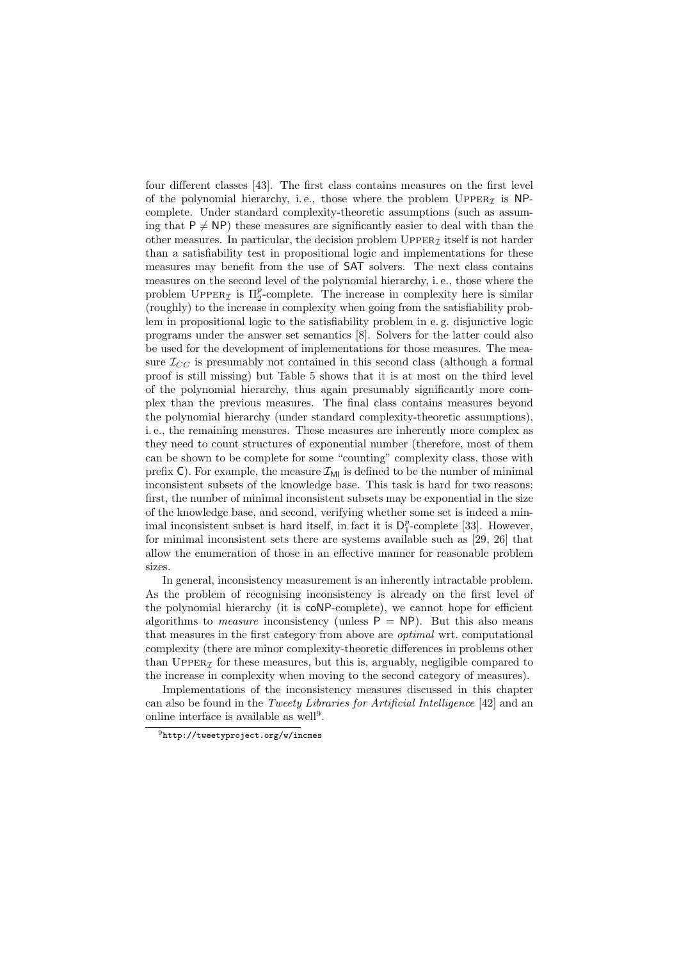four different classes [43]. The first class contains measures on the first level of the polynomial hierarchy, i.e., those where the problem  $\text{UpperER}_{\mathcal{I}}$  is NPcomplete. Under standard complexity-theoretic assumptions (such as assuming that  $P \neq NP$ ) these measures are significantly easier to deal with than the other measures. In particular, the decision problem  $\text{Upper}_{\mathcal{I}}$  itself is not harder than a satisfiability test in propositional logic and implementations for these measures may benefit from the use of SAT solvers. The next class contains measures on the second level of the polynomial hierarchy, i. e., those where the problem UPPER<sub>I</sub> is  $\Pi_2^p$ -complete. The increase in complexity here is similar (roughly) to the increase in complexity when going from the satisfiability problem in propositional logic to the satisfiability problem in e. g. disjunctive logic programs under the answer set semantics [8]. Solvers for the latter could also be used for the development of implementations for those measures. The measure  $\mathcal{I}_{CC}$  is presumably not contained in this second class (although a formal proof is still missing) but Table 5 shows that it is at most on the third level of the polynomial hierarchy, thus again presumably significantly more complex than the previous measures. The final class contains measures beyond the polynomial hierarchy (under standard complexity-theoretic assumptions), i. e., the remaining measures. These measures are inherently more complex as they need to count structures of exponential number (therefore, most of them can be shown to be complete for some "counting" complexity class, those with prefix C). For example, the measure  $\mathcal{I}_{\text{MI}}$  is defined to be the number of minimal inconsistent subsets of the knowledge base. This task is hard for two reasons: first, the number of minimal inconsistent subsets may be exponential in the size of the knowledge base, and second, verifying whether some set is indeed a minimal inconsistent subset is hard itself, in fact it is  $D_1^p$ -complete [33]. However, for minimal inconsistent sets there are systems available such as [29, 26] that allow the enumeration of those in an effective manner for reasonable problem sizes.

In general, inconsistency measurement is an inherently intractable problem. As the problem of recognising inconsistency is already on the first level of the polynomial hierarchy (it is coNP-complete), we cannot hope for efficient algorithms to *measure* inconsistency (unless  $P = NP$ ). But this also means that measures in the first category from above are optimal wrt. computational complexity (there are minor complexity-theoretic differences in problems other than UPPER $_I$  for these measures, but this is, arguably, negligible compared to the increase in complexity when moving to the second category of measures).

Implementations of the inconsistency measures discussed in this chapter can also be found in the Tweety Libraries for Artificial Intelligence [42] and an online interface is available as well<sup>9</sup>.

<sup>9</sup>http://tweetyproject.org/w/incmes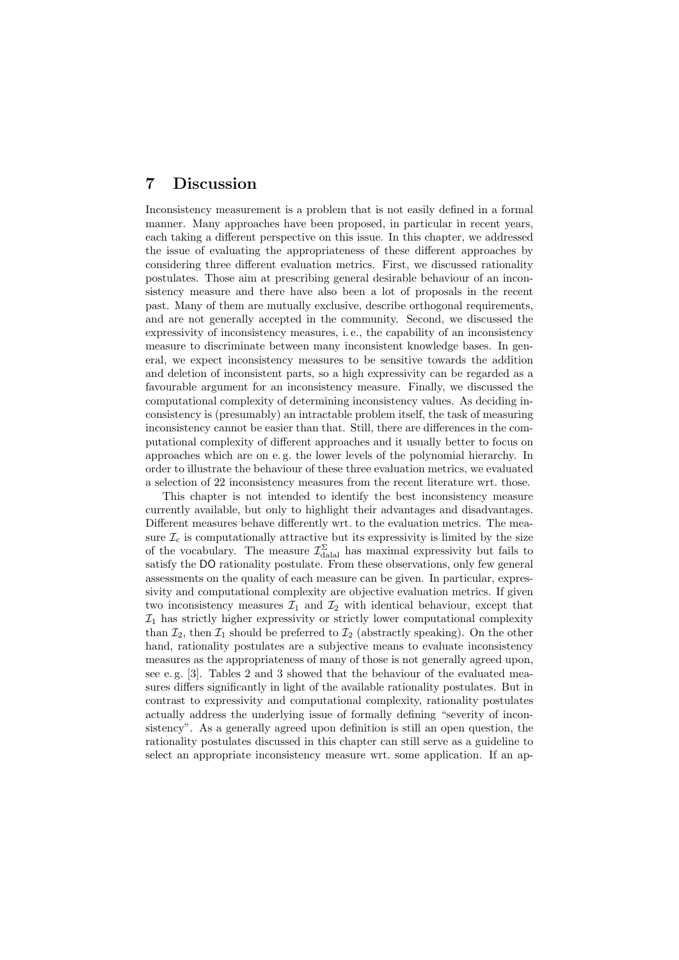### 7 Discussion

Inconsistency measurement is a problem that is not easily defined in a formal manner. Many approaches have been proposed, in particular in recent years, each taking a different perspective on this issue. In this chapter, we addressed the issue of evaluating the appropriateness of these different approaches by considering three different evaluation metrics. First, we discussed rationality postulates. Those aim at prescribing general desirable behaviour of an inconsistency measure and there have also been a lot of proposals in the recent past. Many of them are mutually exclusive, describe orthogonal requirements, and are not generally accepted in the community. Second, we discussed the expressivity of inconsistency measures, i. e., the capability of an inconsistency measure to discriminate between many inconsistent knowledge bases. In general, we expect inconsistency measures to be sensitive towards the addition and deletion of inconsistent parts, so a high expressivity can be regarded as a favourable argument for an inconsistency measure. Finally, we discussed the computational complexity of determining inconsistency values. As deciding inconsistency is (presumably) an intractable problem itself, the task of measuring inconsistency cannot be easier than that. Still, there are differences in the computational complexity of different approaches and it usually better to focus on approaches which are on e. g. the lower levels of the polynomial hierarchy. In order to illustrate the behaviour of these three evaluation metrics, we evaluated a selection of 22 inconsistency measures from the recent literature wrt. those.

This chapter is not intended to identify the best inconsistency measure currently available, but only to highlight their advantages and disadvantages. Different measures behave differently wrt. to the evaluation metrics. The measure  $\mathcal{I}_c$  is computationally attractive but its expressivity is limited by the size of the vocabulary. The measure  $\mathcal{I}_{\text{dala}}^{\Sigma}$  has maximal expressivity but fails to satisfy the DO rationality postulate. From these observations, only few general assessments on the quality of each measure can be given. In particular, expressivity and computational complexity are objective evaluation metrics. If given two inconsistency measures  $\mathcal{I}_1$  and  $\mathcal{I}_2$  with identical behaviour, except that  $I_1$  has strictly higher expressivity or strictly lower computational complexity than  $\mathcal{I}_2$ , then  $\mathcal{I}_1$  should be preferred to  $\mathcal{I}_2$  (abstractly speaking). On the other hand, rationality postulates are a subjective means to evaluate inconsistency measures as the appropriateness of many of those is not generally agreed upon, see e. g. [3]. Tables 2 and 3 showed that the behaviour of the evaluated measures differs significantly in light of the available rationality postulates. But in contrast to expressivity and computational complexity, rationality postulates actually address the underlying issue of formally defining "severity of inconsistency". As a generally agreed upon definition is still an open question, the rationality postulates discussed in this chapter can still serve as a guideline to select an appropriate inconsistency measure wrt. some application. If an ap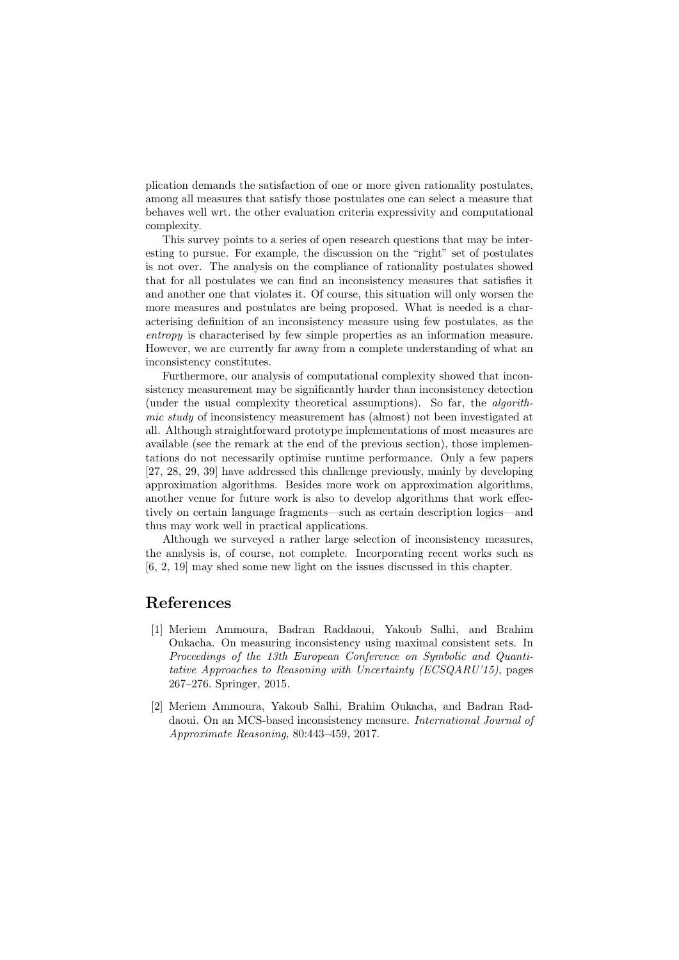plication demands the satisfaction of one or more given rationality postulates, among all measures that satisfy those postulates one can select a measure that behaves well wrt. the other evaluation criteria expressivity and computational complexity.

This survey points to a series of open research questions that may be interesting to pursue. For example, the discussion on the "right" set of postulates is not over. The analysis on the compliance of rationality postulates showed that for all postulates we can find an inconsistency measures that satisfies it and another one that violates it. Of course, this situation will only worsen the more measures and postulates are being proposed. What is needed is a characterising definition of an inconsistency measure using few postulates, as the entropy is characterised by few simple properties as an information measure. However, we are currently far away from a complete understanding of what an inconsistency constitutes.

Furthermore, our analysis of computational complexity showed that inconsistency measurement may be significantly harder than inconsistency detection (under the usual complexity theoretical assumptions). So far, the algorithmic study of inconsistency measurement has (almost) not been investigated at all. Although straightforward prototype implementations of most measures are available (see the remark at the end of the previous section), those implementations do not necessarily optimise runtime performance. Only a few papers [27, 28, 29, 39] have addressed this challenge previously, mainly by developing approximation algorithms. Besides more work on approximation algorithms, another venue for future work is also to develop algorithms that work effectively on certain language fragments—such as certain description logics—and thus may work well in practical applications.

Although we surveyed a rather large selection of inconsistency measures, the analysis is, of course, not complete. Incorporating recent works such as [6, 2, 19] may shed some new light on the issues discussed in this chapter.

### References

- [1] Meriem Ammoura, Badran Raddaoui, Yakoub Salhi, and Brahim Oukacha. On measuring inconsistency using maximal consistent sets. In Proceedings of the 13th European Conference on Symbolic and Quantitative Approaches to Reasoning with Uncertainty (ECSQARU'15), pages 267–276. Springer, 2015.
- [2] Meriem Ammoura, Yakoub Salhi, Brahim Oukacha, and Badran Raddaoui. On an MCS-based inconsistency measure. International Journal of Approximate Reasoning, 80:443–459, 2017.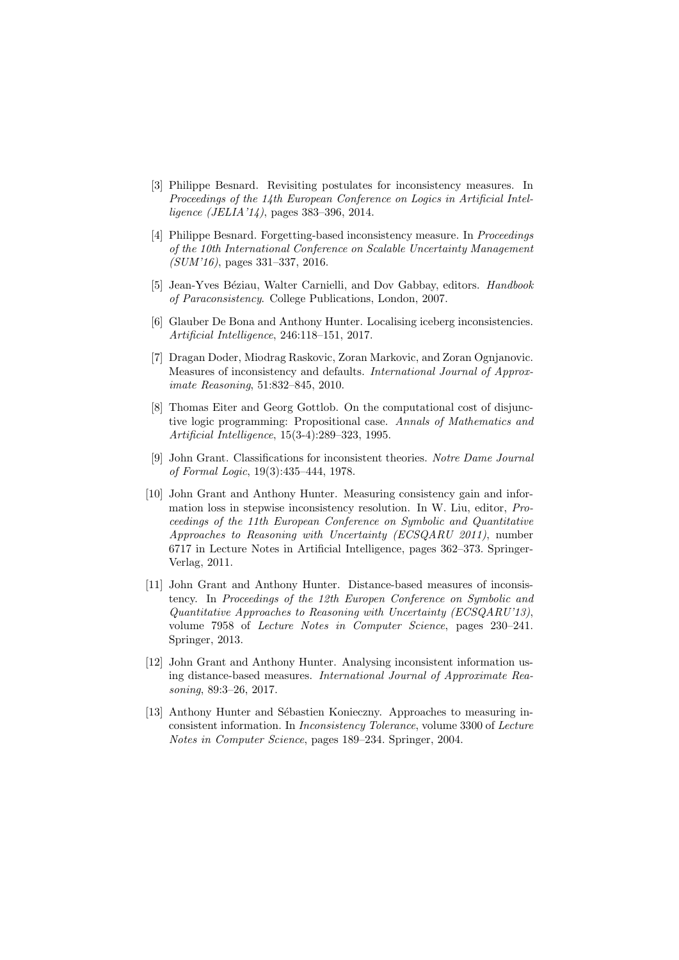- [3] Philippe Besnard. Revisiting postulates for inconsistency measures. In Proceedings of the 14th European Conference on Logics in Artificial Intelligence (JELIA'14), pages 383–396, 2014.
- [4] Philippe Besnard. Forgetting-based inconsistency measure. In Proceedings of the 10th International Conference on Scalable Uncertainty Management (SUM'16), pages 331–337, 2016.
- [5] Jean-Yves Béziau, Walter Carnielli, and Dov Gabbay, editors. Handbook of Paraconsistency. College Publications, London, 2007.
- [6] Glauber De Bona and Anthony Hunter. Localising iceberg inconsistencies. Artificial Intelligence, 246:118–151, 2017.
- [7] Dragan Doder, Miodrag Raskovic, Zoran Markovic, and Zoran Ognjanovic. Measures of inconsistency and defaults. International Journal of Approximate Reasoning, 51:832–845, 2010.
- [8] Thomas Eiter and Georg Gottlob. On the computational cost of disjunctive logic programming: Propositional case. Annals of Mathematics and Artificial Intelligence, 15(3-4):289–323, 1995.
- [9] John Grant. Classifications for inconsistent theories. Notre Dame Journal of Formal Logic, 19(3):435–444, 1978.
- [10] John Grant and Anthony Hunter. Measuring consistency gain and information loss in stepwise inconsistency resolution. In W. Liu, editor, Proceedings of the 11th European Conference on Symbolic and Quantitative Approaches to Reasoning with Uncertainty (ECSQARU 2011), number 6717 in Lecture Notes in Artificial Intelligence, pages 362–373. Springer-Verlag, 2011.
- [11] John Grant and Anthony Hunter. Distance-based measures of inconsistency. In Proceedings of the 12th Europen Conference on Symbolic and Quantitative Approaches to Reasoning with Uncertainty (ECSQARU'13), volume 7958 of Lecture Notes in Computer Science, pages 230–241. Springer, 2013.
- [12] John Grant and Anthony Hunter. Analysing inconsistent information using distance-based measures. International Journal of Approximate Reasoning, 89:3–26, 2017.
- [13] Anthony Hunter and Sébastien Konieczny. Approaches to measuring inconsistent information. In Inconsistency Tolerance, volume 3300 of Lecture Notes in Computer Science, pages 189–234. Springer, 2004.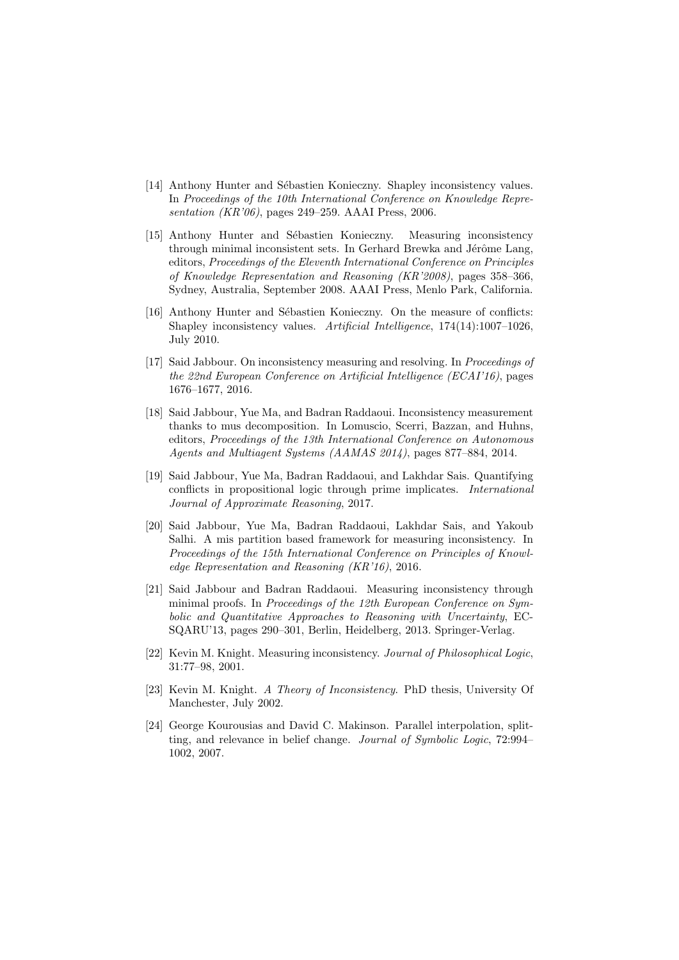- [14] Anthony Hunter and Sébastien Konieczny. Shapley inconsistency values. In Proceedings of the 10th International Conference on Knowledge Representation (KR'06), pages 249–259. AAAI Press, 2006.
- [15] Anthony Hunter and Sébastien Konieczny. Measuring inconsistency through minimal inconsistent sets. In Gerhard Brewka and Jérôme Lang, editors, Proceedings of the Eleventh International Conference on Principles of Knowledge Representation and Reasoning (KR'2008), pages 358–366, Sydney, Australia, September 2008. AAAI Press, Menlo Park, California.
- [16] Anthony Hunter and Sébastien Konieczny. On the measure of conflicts: Shapley inconsistency values. Artificial Intelligence, 174(14):1007–1026, July 2010.
- [17] Said Jabbour. On inconsistency measuring and resolving. In Proceedings of the 22nd European Conference on Artificial Intelligence (ECAI'16), pages 1676–1677, 2016.
- [18] Said Jabbour, Yue Ma, and Badran Raddaoui. Inconsistency measurement thanks to mus decomposition. In Lomuscio, Scerri, Bazzan, and Huhns, editors, Proceedings of the 13th International Conference on Autonomous Agents and Multiagent Systems (AAMAS 2014), pages 877–884, 2014.
- [19] Said Jabbour, Yue Ma, Badran Raddaoui, and Lakhdar Sais. Quantifying conflicts in propositional logic through prime implicates. International Journal of Approximate Reasoning, 2017.
- [20] Said Jabbour, Yue Ma, Badran Raddaoui, Lakhdar Sais, and Yakoub Salhi. A mis partition based framework for measuring inconsistency. In Proceedings of the 15th International Conference on Principles of Knowledge Representation and Reasoning (KR'16), 2016.
- [21] Said Jabbour and Badran Raddaoui. Measuring inconsistency through minimal proofs. In Proceedings of the 12th European Conference on Symbolic and Quantitative Approaches to Reasoning with Uncertainty, EC-SQARU'13, pages 290–301, Berlin, Heidelberg, 2013. Springer-Verlag.
- [22] Kevin M. Knight. Measuring inconsistency. Journal of Philosophical Logic, 31:77–98, 2001.
- [23] Kevin M. Knight. A Theory of Inconsistency. PhD thesis, University Of Manchester, July 2002.
- [24] George Kourousias and David C. Makinson. Parallel interpolation, splitting, and relevance in belief change. Journal of Symbolic Logic, 72:994– 1002, 2007.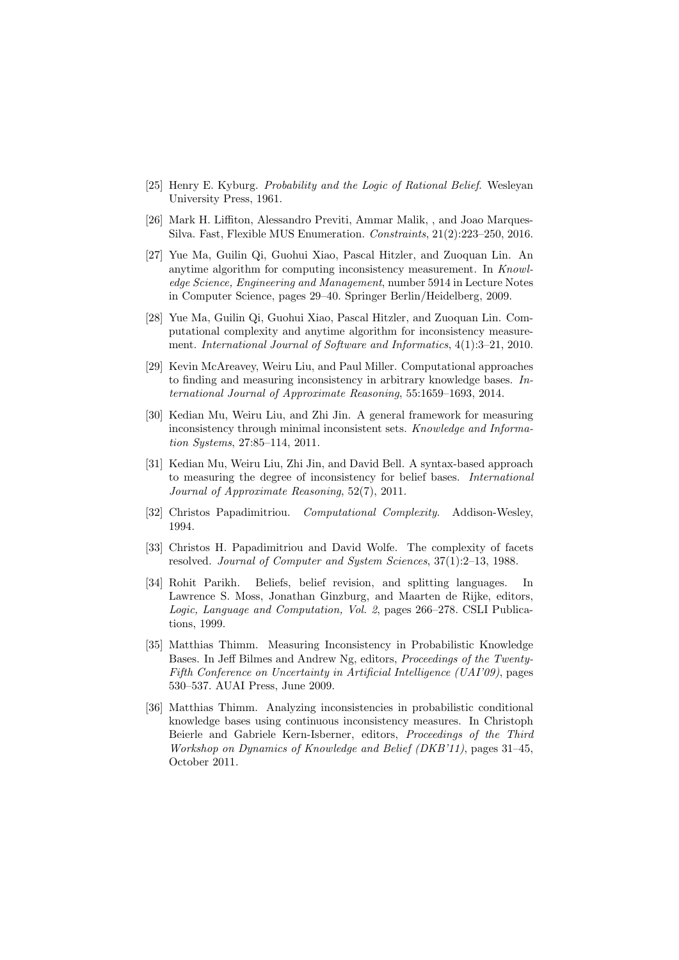- [25] Henry E. Kyburg. Probability and the Logic of Rational Belief. Wesleyan University Press, 1961.
- [26] Mark H. Liffiton, Alessandro Previti, Ammar Malik, , and Joao Marques-Silva. Fast, Flexible MUS Enumeration. Constraints, 21(2):223–250, 2016.
- [27] Yue Ma, Guilin Qi, Guohui Xiao, Pascal Hitzler, and Zuoquan Lin. An anytime algorithm for computing inconsistency measurement. In Knowledge Science, Engineering and Management, number 5914 in Lecture Notes in Computer Science, pages 29–40. Springer Berlin/Heidelberg, 2009.
- [28] Yue Ma, Guilin Qi, Guohui Xiao, Pascal Hitzler, and Zuoquan Lin. Computational complexity and anytime algorithm for inconsistency measurement. International Journal of Software and Informatics, 4(1):3–21, 2010.
- [29] Kevin McAreavey, Weiru Liu, and Paul Miller. Computational approaches to finding and measuring inconsistency in arbitrary knowledge bases. International Journal of Approximate Reasoning, 55:1659–1693, 2014.
- [30] Kedian Mu, Weiru Liu, and Zhi Jin. A general framework for measuring inconsistency through minimal inconsistent sets. Knowledge and Information Systems, 27:85–114, 2011.
- [31] Kedian Mu, Weiru Liu, Zhi Jin, and David Bell. A syntax-based approach to measuring the degree of inconsistency for belief bases. International Journal of Approximate Reasoning, 52(7), 2011.
- [32] Christos Papadimitriou. Computational Complexity. Addison-Wesley, 1994.
- [33] Christos H. Papadimitriou and David Wolfe. The complexity of facets resolved. Journal of Computer and System Sciences, 37(1):2–13, 1988.
- [34] Rohit Parikh. Beliefs, belief revision, and splitting languages. In Lawrence S. Moss, Jonathan Ginzburg, and Maarten de Rijke, editors, Logic, Language and Computation, Vol. 2, pages 266–278. CSLI Publications, 1999.
- [35] Matthias Thimm. Measuring Inconsistency in Probabilistic Knowledge Bases. In Jeff Bilmes and Andrew Ng, editors, Proceedings of the Twenty-Fifth Conference on Uncertainty in Artificial Intelligence (UAI'09), pages 530–537. AUAI Press, June 2009.
- [36] Matthias Thimm. Analyzing inconsistencies in probabilistic conditional knowledge bases using continuous inconsistency measures. In Christoph Beierle and Gabriele Kern-Isberner, editors, Proceedings of the Third Workshop on Dynamics of Knowledge and Belief (DKB'11), pages 31–45, October 2011.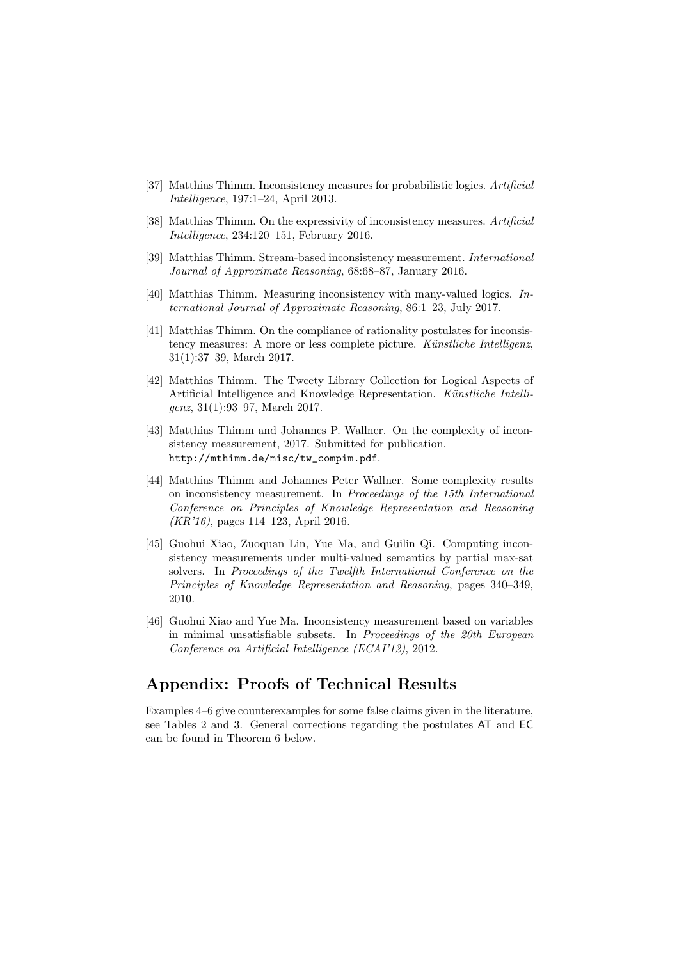- [37] Matthias Thimm. Inconsistency measures for probabilistic logics. Artificial Intelligence, 197:1–24, April 2013.
- [38] Matthias Thimm. On the expressivity of inconsistency measures. Artificial Intelligence, 234:120–151, February 2016.
- [39] Matthias Thimm. Stream-based inconsistency measurement. International Journal of Approximate Reasoning, 68:68–87, January 2016.
- [40] Matthias Thimm. Measuring inconsistency with many-valued logics. International Journal of Approximate Reasoning, 86:1–23, July 2017.
- [41] Matthias Thimm. On the compliance of rationality postulates for inconsistency measures: A more or less complete picture. Künstliche Intelligenz, 31(1):37–39, March 2017.
- [42] Matthias Thimm. The Tweety Library Collection for Logical Aspects of Artificial Intelligence and Knowledge Representation. Künstliche Intelligenz, 31(1):93–97, March 2017.
- [43] Matthias Thimm and Johannes P. Wallner. On the complexity of inconsistency measurement, 2017. Submitted for publication. http://mthimm.de/misc/tw\_compim.pdf.
- [44] Matthias Thimm and Johannes Peter Wallner. Some complexity results on inconsistency measurement. In Proceedings of the 15th International Conference on Principles of Knowledge Representation and Reasoning (KR'16), pages 114–123, April 2016.
- [45] Guohui Xiao, Zuoquan Lin, Yue Ma, and Guilin Qi. Computing inconsistency measurements under multi-valued semantics by partial max-sat solvers. In Proceedings of the Twelfth International Conference on the Principles of Knowledge Representation and Reasoning, pages 340–349, 2010.
- [46] Guohui Xiao and Yue Ma. Inconsistency measurement based on variables in minimal unsatisfiable subsets. In Proceedings of the 20th European Conference on Artificial Intelligence (ECAI'12), 2012.

# Appendix: Proofs of Technical Results

Examples 4–6 give counterexamples for some false claims given in the literature, see Tables 2 and 3. General corrections regarding the postulates AT and EC can be found in Theorem 6 below.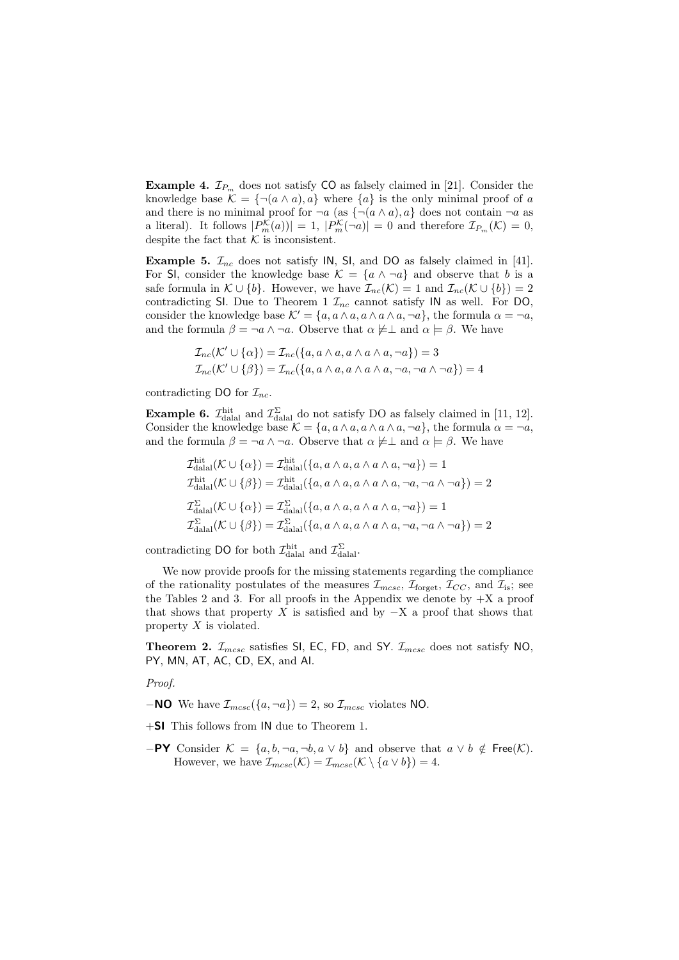**Example 4.**  $\mathcal{I}_{P_m}$  does not satisfy CO as falsely claimed in [21]. Consider the knowledge base  $\mathcal{K} = \{\neg(a \wedge a), a\}$  where  $\{a\}$  is the only minimal proof of a and there is no minimal proof for  $\neg a$  (as  $\{\neg(a \land a), a\}$  does not contain  $\neg a$  as a literal). It follows  $|P_m^{\mathcal{K}}(a)| = 1, |P_m^{\mathcal{K}}(\neg a)| = 0$  and therefore  $\mathcal{I}_{P_m}(\mathcal{K}) = 0$ , despite the fact that  $\mathcal K$  is inconsistent.

**Example 5.**  $\mathcal{I}_{nc}$  does not satisfy IN, SI, and DO as falsely claimed in [41]. For SI, consider the knowledge base  $\mathcal{K} = \{a \land \neg a\}$  and observe that b is a safe formula in  $\mathcal{K} \cup \{b\}$ . However, we have  $\mathcal{I}_{nc}(\mathcal{K}) = 1$  and  $\mathcal{I}_{nc}(\mathcal{K} \cup \{b\}) = 2$ contradicting SI. Due to Theorem 1  $\mathcal{I}_{nc}$  cannot satisfy IN as well. For DO, consider the knowledge base  $\mathcal{K}' = \{a, a \wedge a, a \wedge a, \neg a\}$ , the formula  $\alpha = \neg a$ , and the formula  $\beta = \neg a \wedge \neg a$ . Observe that  $\alpha \not\models \bot$  and  $\alpha \models \beta$ . We have

$$
\mathcal{I}_{nc}(\mathcal{K}' \cup \{\alpha\}) = \mathcal{I}_{nc}(\{a, a \wedge a, a \wedge a \wedge a, \neg a\}) = 3
$$
  

$$
\mathcal{I}_{nc}(\mathcal{K}' \cup \{\beta\}) = \mathcal{I}_{nc}(\{a, a \wedge a, a \wedge a \wedge a, \neg a, \neg a \wedge \neg a\}) = 4
$$

contradicting DO for  $\mathcal{I}_{nc}$ .

**Example 6.**  $\mathcal{I}_{\text{dala}}^{\text{hit}}$  and  $\mathcal{I}_{\text{dala}}^{\Sigma}$  do not satisfy DO as falsely claimed in [11, 12]. Consider the knowledge base  $\mathcal{K} = \{a, a \wedge a, a \wedge a \wedge a, \neg a\}$ , the formula  $\alpha = \neg a$ , and the formula  $\beta = \neg a \wedge \neg a$ . Observe that  $\alpha \not\models \bot$  and  $\alpha \models \beta$ . We have

$$
\mathcal{I}_{\text{dala}}^{\text{hit}}(\mathcal{K} \cup \{\alpha\}) = \mathcal{I}_{\text{dala}}^{\text{hit}}(\{a, a \wedge a, a \wedge a \wedge a, \neg a\}) = 1
$$
\n
$$
\mathcal{I}_{\text{dala}}^{\text{hit}}(\mathcal{K} \cup \{\beta\}) = \mathcal{I}_{\text{dala}}^{\text{hit}}(\{a, a \wedge a, a \wedge a \wedge a, \neg a, \neg a \wedge \neg a\}) = 2
$$
\n
$$
\mathcal{I}_{\text{dala}}^{\Sigma}(\mathcal{K} \cup \{\alpha\}) = \mathcal{I}_{\text{dala}}^{\Sigma}(\{a, a \wedge a, a \wedge a \wedge a, \neg a\}) = 1
$$
\n
$$
\mathcal{I}_{\text{dala}}^{\Sigma}(\mathcal{K} \cup \{\beta\}) = \mathcal{I}_{\text{dala}}^{\Sigma}(\{a, a \wedge a, a \wedge a \wedge a, \neg a, \neg a \wedge \neg a\}) = 2
$$

contradicting DO for both  $\mathcal{I}_{\text{dala}}^{\text{hit}}$  and  $\mathcal{I}_{\text{dala}}^{\Sigma}$ .

We now provide proofs for the missing statements regarding the compliance of the rationality postulates of the measures  $\mathcal{I}_{m\text{csc}}$ ,  $\mathcal{I}_{\text{forget}}$ ,  $\mathcal{I}_{CC}$ , and  $\mathcal{I}_{is}$ ; see the Tables 2 and 3. For all proofs in the Appendix we denote by  $+X$  a proof that shows that property X is satisfied and by  $-X$  a proof that shows that property  $X$  is violated.

**Theorem 2.**  $\mathcal{I}_{mcsc}$  satisfies SI, EC, FD, and SY.  $\mathcal{I}_{mcsc}$  does not satisfy NO, PY, MN, AT, AC, CD, EX, and AI.

Proof.

**−NO** We have  $\mathcal{I}_{mcsc}(\{a, \neg a\}) = 2$ , so  $\mathcal{I}_{mcsc}$  violates NO.

- +SI This follows from IN due to Theorem 1.
- $-$ PY Consider  $\mathcal{K} = \{a, b, \neg a, \neg b, a \lor b\}$  and observe that  $a \lor b \notin \text{Free}(\mathcal{K})$ . However, we have  $\mathcal{I}_{mcsc}(\mathcal{K}) = \mathcal{I}_{mcsc}(\mathcal{K} \setminus \{a \vee b\}) = 4.$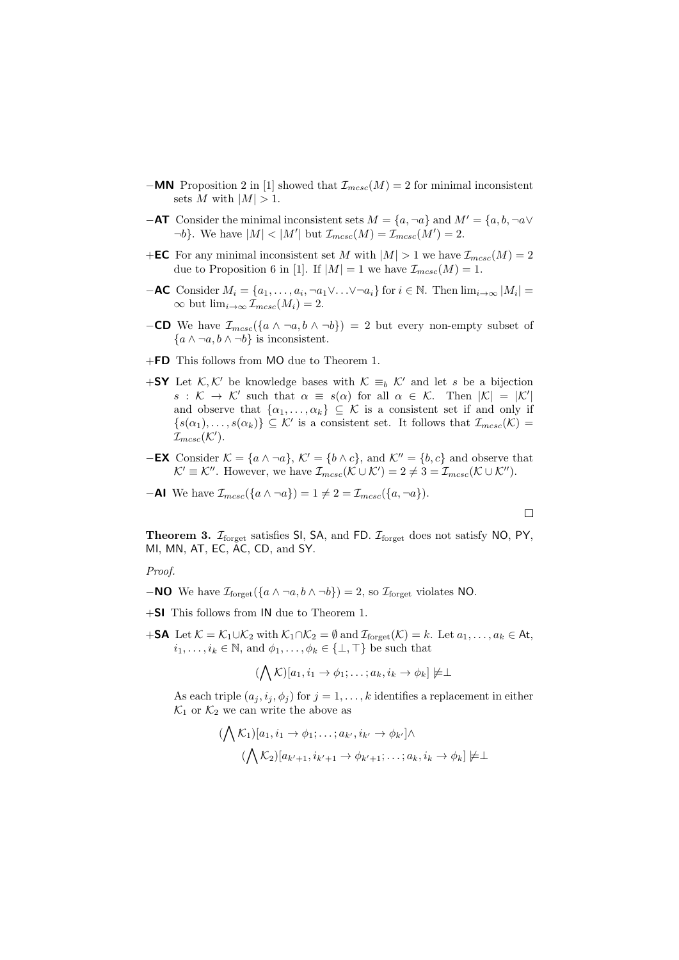- **−MN** Proposition 2 in [1] showed that  $\mathcal{I}_{mesc}(M) = 2$  for minimal inconsistent sets M with  $|M| > 1$ .
- **−AT** Consider the minimal inconsistent sets  $M = \{a, \neg a\}$  and  $M' = \{a, b, \neg a \vee b\}$  $\neg b$ . We have  $|M| < |M'|$  but  $\mathcal{I}_{mcsc}(M) = \mathcal{I}_{mcsc}(M') = 2$ .
- +**EC** For any minimal inconsistent set M with  $|M| > 1$  we have  $\mathcal{I}_{mcsc}(M) = 2$ due to Proposition 6 in [1]. If  $|M| = 1$  we have  $\mathcal{I}_{mcsc}(M) = 1$ .
- $-\mathsf{AC}$  Consider  $M_i = \{a_1, \ldots, a_i, \neg a_1 \vee \ldots \vee \neg a_i\}$  for  $i \in \mathbb{N}$ . Then  $\lim_{i \to \infty} |M_i| =$  $\infty$  but  $\lim_{i\to\infty} \mathcal{I}_{m\text{csc}}(M_i) = 2$ .
- −CD We have  $\mathcal{I}_{mcsc}(\lbrace a \wedge \neg a, b \wedge \neg b \rbrace) = 2$  but every non-empty subset of  ${a \wedge \neg a, b \wedge \neg b}$  is inconsistent.
- +FD This follows from MO due to Theorem 1.
- +SY Let K, K' be knowledge bases with  $K \equiv_b K'$  and let s be a bijection  $s: \mathcal{K} \to \mathcal{K}'$  such that  $\alpha \equiv s(\alpha)$  for all  $\alpha \in \mathcal{K}$ . Then  $|\mathcal{K}| = |\mathcal{K}'|$ and observe that  $\{\alpha_1,\ldots,\alpha_k\}\subseteq\mathcal{K}$  is a consistent set if and only if  ${s(\alpha_1), \ldots, s(\alpha_k)} \subseteq \mathcal{K}'$  is a consistent set. It follows that  $\mathcal{I}_{mcsc}(\mathcal{K}) =$  $\mathcal{I}_{m c s c}(\mathcal{K}^{\prime}).$
- −**EX** Consider  $K = \{a \land \neg a\}$ ,  $K' = \{b \land c\}$ , and  $K'' = \{b, c\}$  and observe that  $\mathcal{K}' \equiv \mathcal{K}''$ . However, we have  $\mathcal{I}_{mcsc}(\mathcal{K} \cup \mathcal{K}') = 2 \neq 3 = \mathcal{I}_{mcsc}(\mathcal{K} \cup \mathcal{K}'')$ .

**-Al** We have 
$$
\mathcal{I}_{mcsc}(\lbrace a \wedge \neg a \rbrace) = 1 \neq 2 = \mathcal{I}_{mcsc}(\lbrace a, \neg a \rbrace)
$$
.

$$
\qquad \qquad \Box
$$

**Theorem 3.**  $\mathcal{I}_{\text{forget}}$  satisfies SI, SA, and FD.  $\mathcal{I}_{\text{forget}}$  does not satisfy NO, PY, MI, MN, AT, EC, AC, CD, and SY.

Proof.

- **−NO** We have  $\mathcal{I}_{\text{forest}}(\{a \wedge \neg a, b \wedge \neg b\}) = 2$ , so  $\mathcal{I}_{\text{forest}}$  violates NO.
- +SI This follows from IN due to Theorem 1.
- +SA Let  $\mathcal{K} = \mathcal{K}_1 \cup \mathcal{K}_2$  with  $\mathcal{K}_1 \cap \mathcal{K}_2 = \emptyset$  and  $\mathcal{I}_{\text{forget}}(\mathcal{K}) = k$ . Let  $a_1, \ldots, a_k \in \mathsf{At}$ ,  $i_1, \ldots, i_k \in \mathbb{N}$ , and  $\phi_1, \ldots, \phi_k \in \{\perp, \top\}$  be such that

$$
(\bigwedge \mathcal{K})[a_1, i_1 \to \phi_1; \ldots; a_k, i_k \to \phi_k] \not\models \perp
$$

As each triple  $(a_j, i_j, \phi_j)$  for  $j = 1, ..., k$  identifies a replacement in either  $\mathcal{K}_1$  or  $\mathcal{K}_2$  we can write the above as

$$
(\bigwedge \mathcal{K}_1)[a_1, i_1 \to \phi_1; \dots; a_{k'}, i_{k'} \to \phi_{k'}] \land (\bigwedge \mathcal{K}_2)[a_{k'+1}, i_{k'+1} \to \phi_{k'+1}; \dots; a_k, i_k \to \phi_k] \neq \perp
$$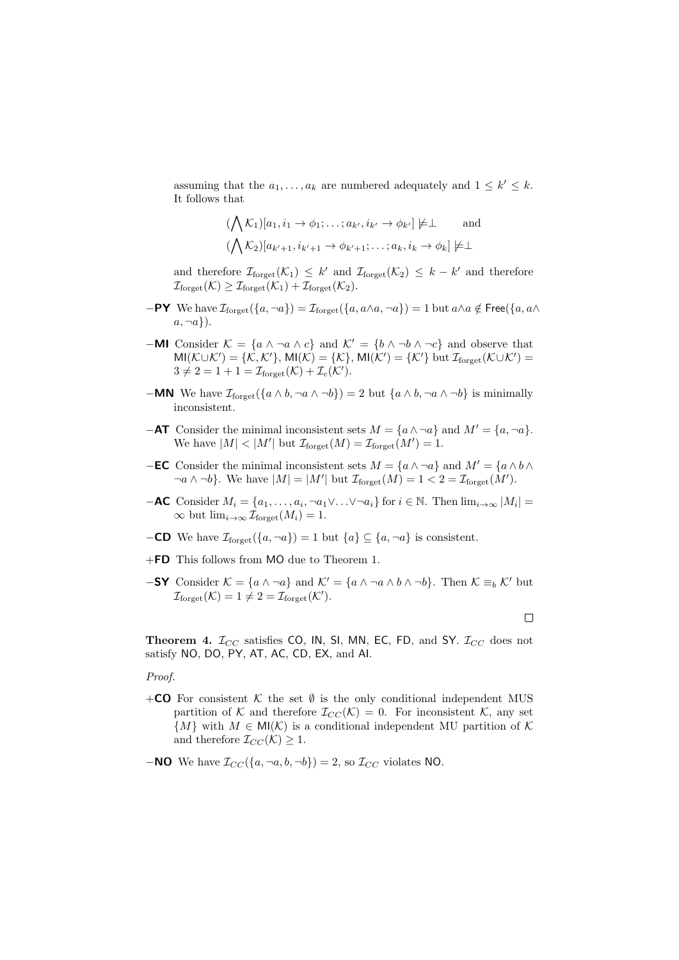assuming that the  $a_1, \ldots, a_k$  are numbered adequately and  $1 \leq k' \leq k$ . It follows that

$$
(\bigwedge \mathcal{K}_1)[a_1, i_1 \to \phi_1; \dots; a_{k'}, i_{k'} \to \phi_{k'}] \neq \perp \quad \text{and}
$$
  

$$
(\bigwedge \mathcal{K}_2)[a_{k'+1}, i_{k'+1} \to \phi_{k'+1}; \dots; a_k, i_k \to \phi_k] \neq \perp
$$

and therefore  $\mathcal{I}_{\text{forget}}(\mathcal{K}_1) \leq k'$  and  $\mathcal{I}_{\text{forget}}(\mathcal{K}_2) \leq k - k'$  and therefore  $\mathcal{I}_{\text{forget}}(\mathcal{K}) \geq \mathcal{I}_{\text{forget}}(\mathcal{K}_1) + \mathcal{I}_{\text{forget}}(\mathcal{K}_2).$ 

- $-$ PY We have  $\mathcal{I}_{\text{forget}}(\{a, \neg a\}) = \mathcal{I}_{\text{forget}}(\{a, a \wedge a, \neg a\}) = 1$  but  $a \wedge a \notin \text{Free}(\{a, a \wedge a, \neg a\})$  $a, \neg a$ .
- −MI Consider  $\mathcal{K} = \{a \land \neg a \land c\}$  and  $\mathcal{K}' = \{b \land \neg b \land \neg c\}$  and observe that  $MI(\mathcal{K}\cup\mathcal{K}')=\{\mathcal{K},\mathcal{K}'\},\,MI(\mathcal{K})=\{\mathcal{K}\},\,MI(\mathcal{K}')=\{\mathcal{K}'\}\,\,\text{but}\,\,\mathcal{I}_{\text{forget}}(\mathcal{K}\cup\mathcal{K}')=$  $3 \neq 2 = 1 + 1 = \mathcal{I}_{\text{forget}}(\mathcal{K}) + \mathcal{I}_c(\mathcal{K}').$
- **−MN** We have  $\mathcal{I}_{\text{forest}}(\{a \land b, \neg a \land \neg b\}) = 2$  but  $\{a \land b, \neg a \land \neg b\}$  is minimally inconsistent.
- **−AT** Consider the minimal inconsistent sets  $M = \{a \land \neg a\}$  and  $M' = \{a, \neg a\}.$ We have  $|M| < |M'|$  but  $\mathcal{I}_{\text{forget}}(M) = \mathcal{I}_{\text{forget}}(M') = 1$ .
- −EC Consider the minimal inconsistent sets  $M = \{a \land \neg a\}$  and  $M' = \{a \land b \land a\}$  $\neg a \wedge \neg b$ . We have  $|M| = |M'|$  but  $\mathcal{I}_{\text{forget}}(M) = 1 < 2 = \mathcal{I}_{\text{forget}}(M')$ .
- $-\mathsf{AC}$  Consider  $M_i = \{a_1, \ldots, a_i, \neg a_1 \vee \ldots \vee \neg a_i\}$  for  $i \in \mathbb{N}$ . Then  $\lim_{i \to \infty} |M_i| =$  $\infty$  but  $\lim_{i\to\infty} \mathcal{I}_{\text{forget}}(M_i) = 1.$
- **−CD** We have  $\mathcal{I}_{\text{forest}}(\{a, \neg a\}) = 1$  but  $\{a\} \subseteq \{a, \neg a\}$  is consistent.
- +FD This follows from MO due to Theorem 1.
- −SY Consider  $\mathcal{K} = \{a \wedge \neg a\}$  and  $\mathcal{K}' = \{a \wedge \neg a \wedge b \wedge \neg b\}$ . Then  $\mathcal{K} \equiv_b \mathcal{K}'$  but  $\mathcal{I}_{\text{forget}}(\mathcal{K}) = 1 \neq 2 = \mathcal{I}_{\text{forget}}(\mathcal{K}').$

 $\Box$ 

**Theorem 4.**  $\mathcal{I}_{CC}$  satisfies CO, IN, SI, MN, EC, FD, and SY.  $\mathcal{I}_{CC}$  does not satisfy NO, DO, PY, AT, AC, CD, EX, and AI.

#### Proof.

- +CO For consistent  $K$  the set  $\emptyset$  is the only conditional independent MUS partition of K and therefore  $\mathcal{I}_{CC}(\mathcal{K})=0$ . For inconsistent K, any set  ${M}$  with  $M \in \mathsf{MI}(\mathcal{K})$  is a conditional independent MU partition of  $\mathcal K$ and therefore  $\mathcal{I}_{CC}(\mathcal{K}) \geq 1$ .
- **−NO** We have  $\mathcal{I}_{CC}(\{a, \neg a, b, \neg b\}) = 2$ , so  $\mathcal{I}_{CC}$  violates NO.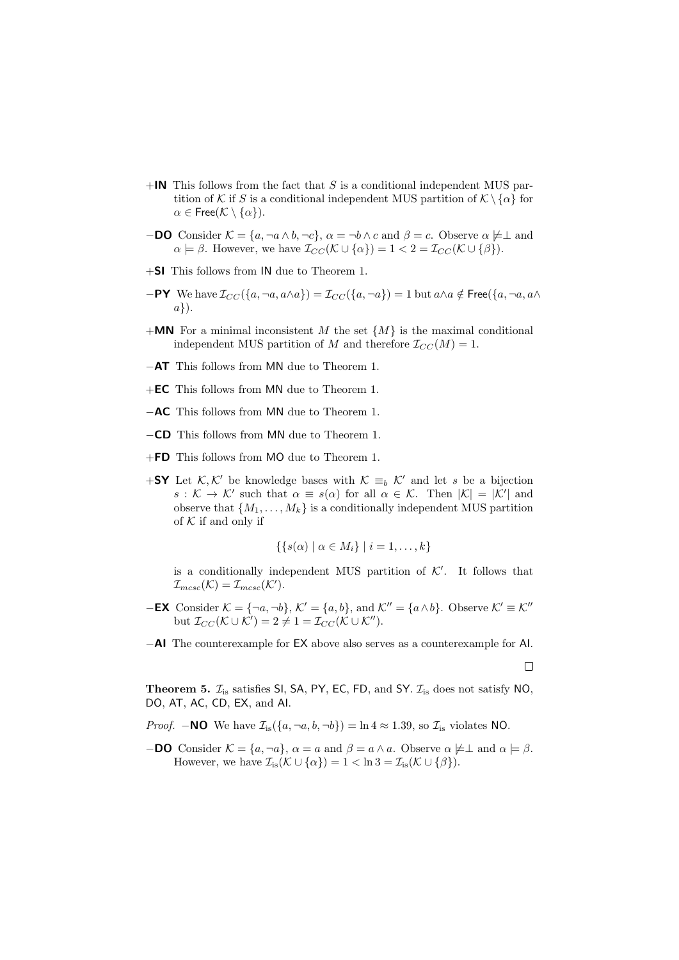- $+$ IN This follows from the fact that S is a conditional independent MUS partition of K if S is a conditional independent MUS partition of  $\mathcal{K} \setminus \{\alpha\}$  for  $\alpha \in \mathsf{Free}(\mathcal{K} \setminus \{\alpha\}).$
- **−DO** Consider  $\mathcal{K} = \{a, \neg a \wedge b, \neg c\}$ ,  $\alpha = \neg b \wedge c$  and  $\beta = c$ . Observe  $\alpha \not\models \bot$  and  $\alpha \models \beta$ . However, we have  $\mathcal{I}_{CC}(\mathcal{K} \cup {\alpha}) = 1 < 2 = \mathcal{I}_{CC}(\mathcal{K} \cup {\beta}).$
- +SI This follows from IN due to Theorem 1.
- $-$ PY We have  $\mathcal{I}_{CC}(\{a, \neg a, a \wedge a\}) = \mathcal{I}_{CC}(\{a, \neg a\}) = 1$  but  $a \wedge a \notin \text{Free}(\{a, \neg a, a \wedge a\})$ a}).
- $+MN$  For a minimal inconsistent M the set  $\{M\}$  is the maximal conditional independent MUS partition of M and therefore  $\mathcal{I}_{CC}(M) = 1$ .
- −AT This follows from MN due to Theorem 1.
- +EC This follows from MN due to Theorem 1.
- −AC This follows from MN due to Theorem 1.
- −CD This follows from MN due to Theorem 1.
- +FD This follows from MO due to Theorem 1.
- +SY Let K, K' be knowledge bases with  $K \equiv_b \mathcal{K}'$  and let s be a bijection  $s: \mathcal{K} \to \mathcal{K}'$  such that  $\alpha \equiv s(\alpha)$  for all  $\alpha \in \mathcal{K}$ . Then  $|\mathcal{K}| = |\mathcal{K}'|$  and observe that  $\{M_1, \ldots, M_k\}$  is a conditionally independent MUS partition of  $K$  if and only if

$$
\{\{s(\alpha) \mid \alpha \in M_i\} \mid i = 1, \ldots, k\}
$$

is a conditionally independent MUS partition of  $K'$ . It follows that  $\mathcal{I}_{mcsc}(\mathcal{K})=\mathcal{I}_{mcsc}(\mathcal{K}').$ 

- −EX Consider  $K = \{\neg a, \neg b\}$ ,  $K' = \{a, b\}$ , and  $K'' = \{a \wedge b\}$ . Observe  $K' \equiv K''$ but  $\mathcal{I}_{CC}(\mathcal{K} \cup \mathcal{K}') = 2 \neq 1 = \mathcal{I}_{CC}(\mathcal{K} \cup \mathcal{K}'').$
- −AI The counterexample for EX above also serves as a counterexample for AI.

 $\Box$ 

**Theorem 5.**  $\mathcal{I}_{is}$  satisfies SI, SA, PY, EC, FD, and SY.  $\mathcal{I}_{is}$  does not satisfy NO, DO, AT, AC, CD, EX, and AI.

*Proof.* **−NO** We have  $\mathcal{I}_{is}(\{a, \neg a, b, \neg b\}) = \ln 4 \approx 1.39$ , so  $\mathcal{I}_{is}$  violates NO.

**−DO** Consider  $\mathcal{K} = \{a, \neg a\}$ ,  $\alpha = a$  and  $\beta = a \land a$ . Observe  $\alpha \not\models \bot$  and  $\alpha \models \beta$ . However, we have  $\mathcal{I}_{is}(\mathcal{K} \cup {\alpha}) = 1 < \ln 3 = \mathcal{I}_{is}(\mathcal{K} \cup {\beta}).$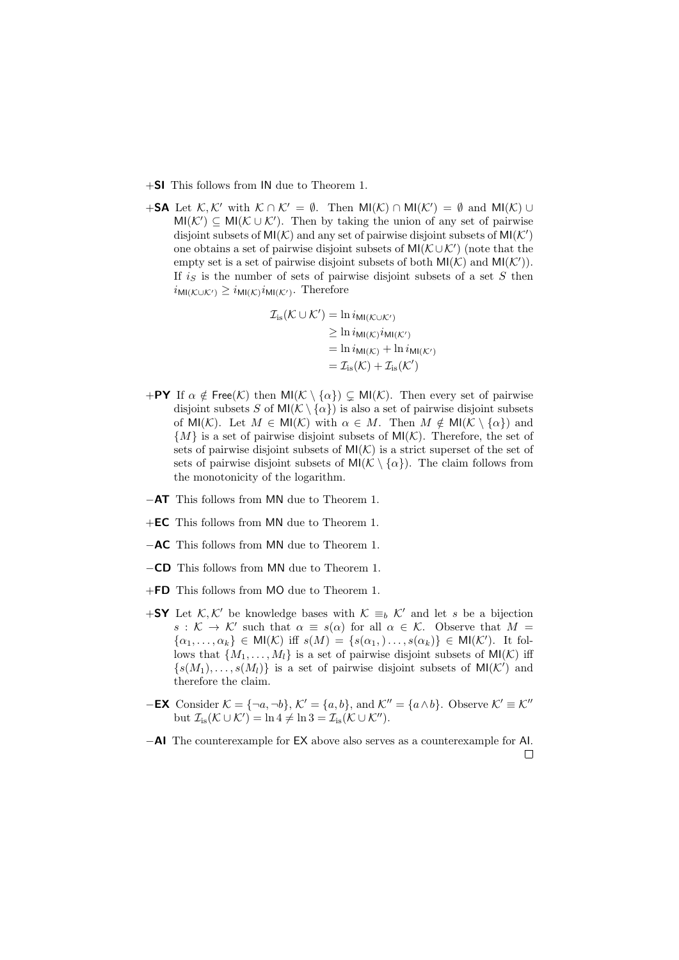- +SI This follows from IN due to Theorem 1.
- +SA Let  $\mathcal{K}, \mathcal{K}'$  with  $\mathcal{K} \cap \mathcal{K}' = \emptyset$ . Then MI( $\mathcal{K}$ )  $\cap$  MI( $\mathcal{K}'$ ) =  $\emptyset$  and MI( $\mathcal{K}$ )  $\cup$  $MI(\mathcal{K}') \subseteq MI(\mathcal{K} \cup \mathcal{K}')$ . Then by taking the union of any set of pairwise disjoint subsets of  $MI(K)$  and any set of pairwise disjoint subsets of  $MI(K')$ one obtains a set of pairwise disjoint subsets of  $MI(\mathcal{K}\cup\mathcal{K}')$  (note that the empty set is a set of pairwise disjoint subsets of both  $MI(K)$  and  $MI(K')$ . If  $i<sub>S</sub>$  is the number of sets of pairwise disjoint subsets of a set S then  $i_{\textsf{MI}(\mathcal{K}\cup\mathcal{K}^\prime)}\geq i_{\textsf{MI}(\mathcal{K})}i_{\textsf{MI}(\mathcal{K}^\prime)}.$  Therefore

$$
\mathcal{I}_{is}(\mathcal{K} \cup \mathcal{K}') = \ln i_{\mathsf{MI}(\mathcal{K} \cup \mathcal{K}')}
$$
  
\n
$$
\geq \ln i_{\mathsf{MI}(\mathcal{K})} i_{\mathsf{MI}(\mathcal{K}')}
$$
  
\n
$$
= \ln i_{\mathsf{MI}(\mathcal{K})} + \ln i_{\mathsf{MI}(\mathcal{K}')}
$$
  
\n
$$
= \mathcal{I}_{is}(\mathcal{K}) + \mathcal{I}_{is}(\mathcal{K}')
$$

- +PY If  $\alpha \notin \text{Free}(\mathcal{K})$  then  $\text{MI}(\mathcal{K} \setminus {\{\alpha\}}) \subseteq \text{MI}(\mathcal{K})$ . Then every set of pairwise disjoint subsets S of  $MI(\mathcal{K}\setminus{\{\alpha\}})$  is also a set of pairwise disjoint subsets of MI(K). Let  $M \in M(\mathcal{K})$  with  $\alpha \in M$ . Then  $M \notin M(\mathcal{K} \setminus {\alpha})$  and  ${M}$  is a set of pairwise disjoint subsets of  $MI(K)$ . Therefore, the set of sets of pairwise disjoint subsets of  $MI(\mathcal{K})$  is a strict superset of the set of sets of pairwise disjoint subsets of  $MI(\mathcal{K} \setminus {\{\alpha\}})$ . The claim follows from the monotonicity of the logarithm.
- −AT This follows from MN due to Theorem 1.
- +EC This follows from MN due to Theorem 1.
- −AC This follows from MN due to Theorem 1.
- −CD This follows from MN due to Theorem 1.
- +FD This follows from MO due to Theorem 1.
- +SY Let K, K' be knowledge bases with  $K \equiv_b K'$  and let s be a bijection  $s: \mathcal{K} \to \mathcal{K}'$  such that  $\alpha \equiv s(\alpha)$  for all  $\alpha \in \mathcal{K}$ . Observe that  $M =$  $\{\alpha_1,\ldots,\alpha_k\} \in \mathsf{MI}(\mathcal{K})$  iff  $s(M) = \{s(\alpha_1),\ldots,s(\alpha_k)\} \in \mathsf{MI}(\mathcal{K}')$ . It follows that  $\{M_1, \ldots, M_l\}$  is a set of pairwise disjoint subsets of  $MI(\mathcal{K})$  iff  $\{s(M_1), \ldots, s(M_l)\}\$ is a set of pairwise disjoint subsets of  $\mathsf{MI}(\mathcal{K}')$  and therefore the claim.
- −EX Consider  $\mathcal{K} = \{\neg a, \neg b\}, \mathcal{K}' = \{a, b\}, \text{ and } \mathcal{K}'' = \{a \wedge b\}.$  Observe  $\mathcal{K}' \equiv \mathcal{K}''$ but  $\mathcal{I}_{is}(\mathcal{K} \cup \mathcal{K}') = \ln 4 \neq \ln 3 = \mathcal{I}_{is}(\mathcal{K} \cup \mathcal{K}'').$
- −AI The counterexample for EX above also serves as a counterexample for AI. $\Box$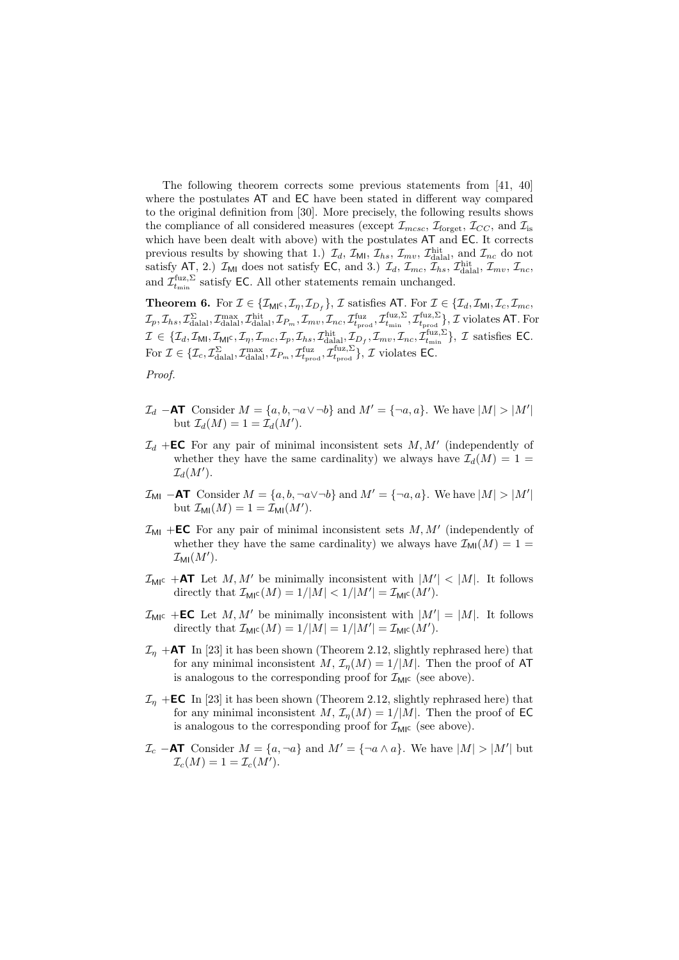The following theorem corrects some previous statements from [41, 40] where the postulates AT and EC have been stated in different way compared to the original definition from [30]. More precisely, the following results shows the compliance of all considered measures (except  $\mathcal{I}_{mcsc}$ ,  $\mathcal{I}_{forget}$ ,  $\mathcal{I}_{CC}$ , and  $\mathcal{I}_{is}$ which have been dealt with above) with the postulates AT and EC. It corrects previous results by showing that 1.)  $\mathcal{I}_d$ ,  $\mathcal{I}_{\text{MI}}$ ,  $\mathcal{I}_{hs}$ ,  $\mathcal{I}_{mv}$ ,  $\mathcal{I}_{\text{dial}}^{\text{hit}}$ , and  $\mathcal{I}_{nc}$  do not satisfy AT, 2.)  $\mathcal{I}_{\text{MI}}$  does not satisfy EC, and 3.)  $\mathcal{I}_d$ ,  $\mathcal{I}_{mc}$ ,  $\mathcal{I}_{hs}$ ,  $\mathcal{I}_{\text{dial}}^{\text{hit}}$ ,  $\mathcal{I}_{mv}$ ,  $\mathcal{I}_{nc}$ , and  $\mathcal{I}_{t_{\text{min}}}^{\text{fuz},\Sigma}$  satisfy EC. All other statements remain unchanged.

**Theorem 6.** For  $\mathcal{I} \in \{\mathcal{I}_{\mathsf{MI}}\in, \mathcal{I}_{\eta}, \mathcal{I}_{D_f}\},\mathcal{I}$  satisfies AT. For  $\mathcal{I} \in \{\mathcal{I}_d, \mathcal{I}_{\mathsf{MI}}, \mathcal{I}_c, \mathcal{I}_{mc},\$  $\mathcal{I}_p, \mathcal{I}_{hs}, \mathcal{I}_{\text{dall}}^{\Sigma}, \mathcal{I}_{\text{dall}}^{\text{max}}, \mathcal{I}_{\text{hill}}^{\text{hit}}, \mathcal{I}_{P_m}, \mathcal{I}_{mv}, \mathcal{I}_{nc}, \mathcal{I}_{t_{\text{prod}}}^{\text{tuz}}, \mathcal{I}_{t_{\text{prod}}}^{\text{fuz}}, \mathcal{I}_{t_{\text{prod}}}^{\text{fuz}, \Sigma} \}, \mathcal{I} \text{ violates AT. For}$  $\mathcal{I} \in \{\mathcal{I}_d, \mathcal{I}_{\mathsf{MI}}, \mathcal{I}_{\mathsf{MI}^{\mathsf{C}}}, \mathcal{I}_{\eta}, \mathcal{I}_{mc}, \mathcal{I}_{p}, \mathcal{I}_{hs}, \mathcal{I}_{\text{dall}}, \mathcal{I}_{D_f}, \mathcal{I}_{mv}, \mathcal{I}_{nc}, \mathcal{I}_{t_{\min}}^{fuz, \Sigma}\}, \mathcal{I} \text{ satisfies EC}.$ For  $\mathcal{I} \in \{ \mathcal{I}_c, \mathcal{I}_{\text{dala}}^{\Sigma}, \mathcal{I}_{\text{dala}}^{\text{max}}, \mathcal{I}_{P_m}, \mathcal{I}_{t_{\text{prod}}}^{\text{fuz}}, \mathcal{I}_{t_{\text{prod}}}^{\text{fuz}, \Sigma} \}, \mathcal{I}$  violates EC.

Proof.

- $\mathcal{I}_d$  –AT Consider  $M = \{a, b, \neg a \vee \neg b\}$  and  $M' = \{\neg a, a\}$ . We have  $|M| > |M'|$ but  $\mathcal{I}_d(M) = 1 = \mathcal{I}_d(M')$ .
- $\mathcal{I}_d$  +**EC** For any pair of minimal inconsistent sets  $M, M'$  (independently of whether they have the same cardinality) we always have  $\mathcal{I}_d(M) = 1$  =  $\mathcal{I}_d(M').$
- $\mathcal{I}_{\text{MI}}$  –AT Consider  $M = \{a, b, \neg a \lor \neg b\}$  and  $M' = \{\neg a, a\}$ . We have  $|M| > |M'|$ but  $\mathcal{I}_{\text{MI}}(M) = 1 = \mathcal{I}_{\text{MI}}(M').$
- $\mathcal{I}_{\text{MI}}$  +**EC** For any pair of minimal inconsistent sets  $M, M'$  (independently of whether they have the same cardinality) we always have  $\mathcal{I}_{\text{MI}}(M) = 1$  $\mathcal{I}_{\textsf{MI}}(M').$
- $\mathcal{I}_{\mathsf{MI}^{\mathsf{C}}}$  +AT Let  $M, M'$  be minimally inconsistent with  $|M'| < |M|$ . It follows directly that  $\mathcal{I}_{\text{MIC}}(M) = 1/|M| < 1/|M'| = \mathcal{I}_{\text{MIC}}(M').$
- $\mathcal{I}_{\text{MIC}}$  +**EC** Let M, M' be minimally inconsistent with  $|M'| = |M|$ . It follows directly that  $\mathcal{I}_{\text{MIC}}(M) = 1/|M| = 1/|M'| = \mathcal{I}_{\text{MIC}}(M').$
- $\mathcal{I}_n$  +AT In [23] it has been shown (Theorem 2.12, slightly rephrased here) that for any minimal inconsistent  $M$ ,  $\mathcal{I}_n(M) = 1/|M|$ . Then the proof of AT is analogous to the corresponding proof for  $\mathcal{I}_{\text{MIC}}$  (see above).
- $\mathcal{I}_n$  +**EC** In [23] it has been shown (Theorem 2.12, slightly rephrased here) that for any minimal inconsistent  $M, \mathcal{I}_n(M) = 1/|M|$ . Then the proof of EC is analogous to the corresponding proof for  $\mathcal{I}_{\mathsf{MI}^{\mathsf{C}}}$  (see above).
- $\mathcal{I}_c$  –AT Consider  $M = \{a, \neg a\}$  and  $M' = \{\neg a \wedge a\}$ . We have  $|M| > |M'|$  but  $\mathcal{I}_c(M) = 1 = \mathcal{I}_c(M').$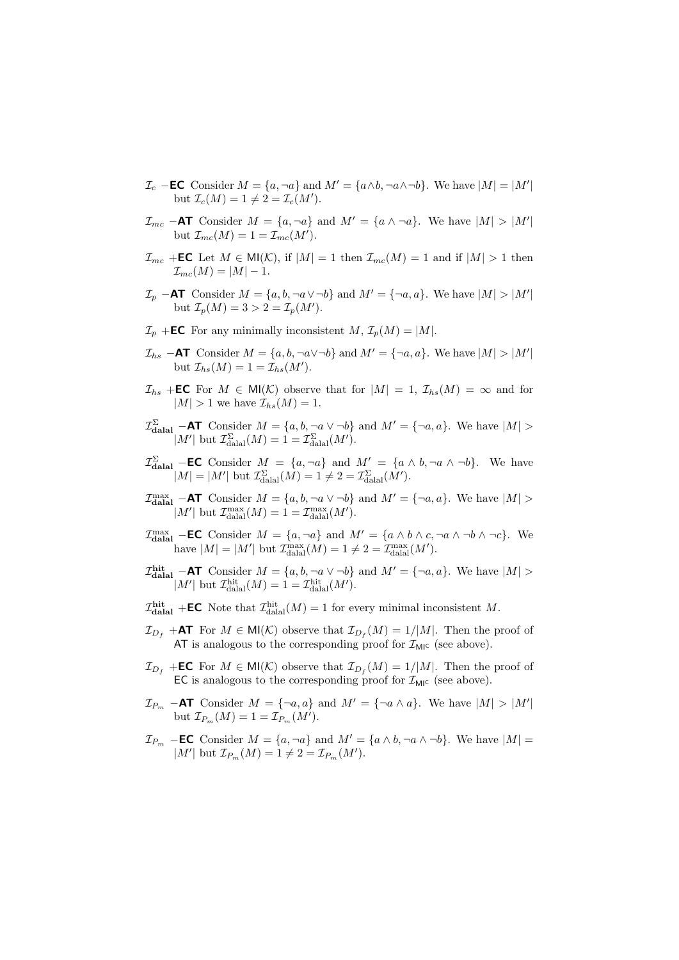- $\mathcal{I}_c$  –**EC** Consider  $M = \{a, \neg a\}$  and  $M' = \{a \land b, \neg a \land \neg b\}$ . We have  $|M| = |M'|$ but  $\mathcal{I}_c(M) = 1 \neq 2 = \mathcal{I}_c(M').$
- $\mathcal{I}_{mc}$  –AT Consider  $M = \{a, \neg a\}$  and  $M' = \{a \land \neg a\}$ . We have  $|M| > |M'|$ but  $\mathcal{I}_{mc}(M) = 1 = \mathcal{I}_{mc}(M').$
- $\mathcal{I}_{mc}$  +**EC** Let  $M \in \mathsf{MI}(\mathcal{K})$ , if  $|M| = 1$  then  $\mathcal{I}_{mc}(M) = 1$  and if  $|M| > 1$  then  $\mathcal{I}_{mc}(M) = |M| - 1.$
- $\mathcal{I}_p$  –AT Consider  $M = \{a, b, \neg a \vee \neg b\}$  and  $M' = \{\neg a, a\}$ . We have  $|M| > |M'|$ but  $\mathcal{I}_p(M) = 3 > 2 = \mathcal{I}_p(M').$
- $\mathcal{I}_p$  +**EC** For any minimally inconsistent  $M$ ,  $\mathcal{I}_p(M) = |M|$ .
- $\mathcal{I}_{hs}$  –AT Consider  $M = \{a, b, \neg a \lor \neg b\}$  and  $M' = \{\neg a, a\}$ . We have  $|M| > |M'|$ but  $\mathcal{I}_{hs}(M) = 1 = \mathcal{I}_{hs}(M').$
- $\mathcal{I}_{hs}$  +**EC** For  $M \in \mathsf{MI}(\mathcal{K})$  observe that for  $|M| = 1$ ,  $\mathcal{I}_{hs}(M) = \infty$  and for  $|M| > 1$  we have  $\mathcal{I}_{hs}(M) = 1$ .
- $\mathcal{I}_{\text{datal}}^{\Sigma}$  –AT Consider  $M = \{a, b, \neg a \vee \neg b\}$  and  $M' = \{\neg a, a\}$ . We have  $|M| >$  $|M'|$  but  $\mathcal{I}_{\text{dala}}^{\Sigma}(M) = 1 = \mathcal{I}_{\text{dala}}^{\Sigma}(M').$
- $\mathcal{I}_{\text{datal}}^{\Sigma}$  **EC** Consider  $M = \{a, \neg a\}$  and  $M' = \{a \land b, \neg a \land \neg b\}$ . We have  $|M| = |M'|$  but  $\mathcal{I}_{\text{dala}}^{\Sigma}(M) = 1 \neq 2 = \mathcal{I}_{\text{dala}}^{\Sigma}(M').$
- $\mathcal{I}_{\text{dual}}^{\max}$  –AT Consider  $M = \{a, b, \neg a \lor \neg b\}$  and  $M' = \{\neg a, a\}$ . We have  $|M| >$  $|M'|$  but  $\mathcal{I}_{\text{dala}}^{\text{max}}(M) = 1 = \mathcal{I}_{\text{dala}}^{\text{max}}(M').$
- $\mathcal{I}_{\text{dalal}}^{\text{max}}$  **EC** Consider  $M = \{a, \neg a\}$  and  $M' = \{a \land b \land c, \neg a \land \neg b \land \neg c\}$ . We have  $|M| = |M'|$  but  $\mathcal{I}_{\text{dala}}^{\text{max}}(M) = 1 \neq 2 = \mathcal{I}_{\text{dala}}^{\text{max}}(M').$
- $\mathcal{I}^{\text{hit}}_{\text{dalal}}$  –AT Consider  $M = \{a, b, \neg a \lor \neg b\}$  and  $M' = \{\neg a, a\}$ . We have  $|M| >$ |M'| but  $\mathcal{I}_{\text{dala}}^{\text{hit}}(M) = 1 = \mathcal{I}_{\text{dala}}^{\text{hit}}(M').$
- $\mathcal{I}^{\text{hit}}_{\text{dalal}}$  +**EC** Note that  $\mathcal{I}^{\text{hit}}_{\text{dalal}}(M) = 1$  for every minimal inconsistent M.
- $\mathcal{I}_{D_f}$  +AT For  $M \in \mathsf{MI}(\mathcal{K})$  observe that  $\mathcal{I}_{D_f}(M) = 1/|M|$ . Then the proof of AT is analogous to the corresponding proof for  $\mathcal{I}_{\mathsf{MI}^c}$  (see above).
- $\mathcal{I}_{D_f}$  +**EC** For  $M \in \mathsf{MI}(\mathcal{K})$  observe that  $\mathcal{I}_{D_f}(M) = 1/|M|$ . Then the proof of EC is analogous to the corresponding proof for  $\mathcal{I}_{\text{MI}}$  (see above).
- $\mathcal{I}_{P_m}$  –AT Consider  $M = \{\neg a, a\}$  and  $M' = \{\neg a \wedge a\}$ . We have  $|M| > |M'|$ but  $\mathcal{I}_{P_m}(M) = 1 = \mathcal{I}_{P_m}(M').$
- $\mathcal{I}_{P_m}$  –**EC** Consider  $M = \{a, \neg a\}$  and  $M' = \{a \land b, \neg a \land \neg b\}$ . We have  $|M|$ |M'| but  $\mathcal{I}_{P_m}(M) = 1 \neq 2 = \mathcal{I}_{P_m}(M').$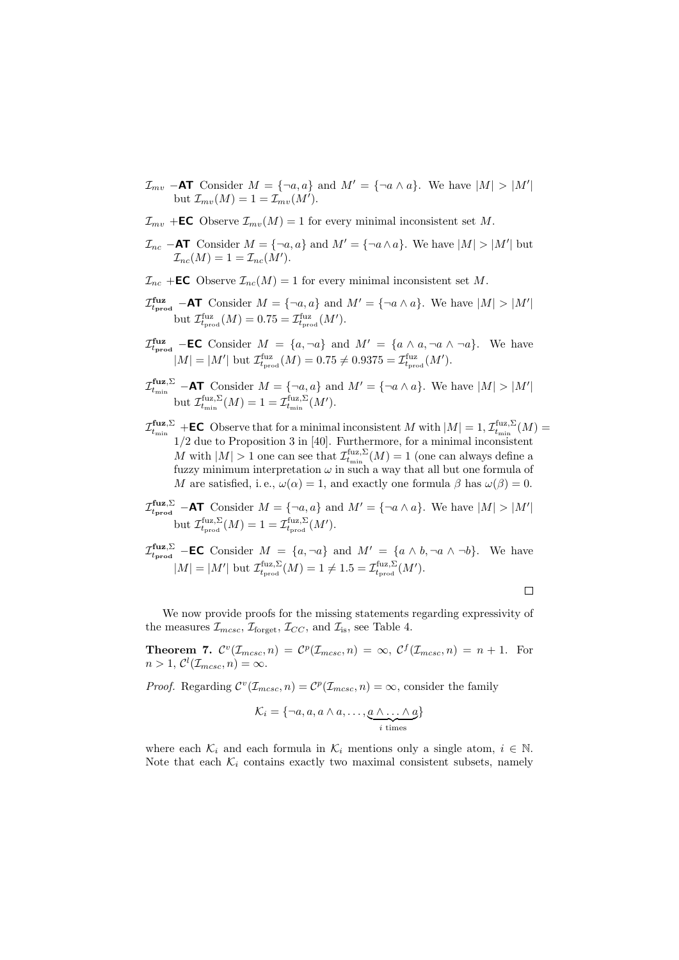- $\mathcal{I}_{mv}$  –AT Consider  $M = \{\neg a, a\}$  and  $M' = \{\neg a \wedge a\}$ . We have  $|M| > |M'|$ but  $\mathcal{I}_{mv}(M) = 1 = \mathcal{I}_{mv}(M').$
- $\mathcal{I}_{mv}$  +**EC** Observe  $\mathcal{I}_{mv}(M) = 1$  for every minimal inconsistent set M.
- $\mathcal{I}_{nc}$  –AT Consider  $M = \{\neg a, a\}$  and  $M' = \{\neg a \wedge a\}$ . We have  $|M| > |M'|$  but  $\mathcal{I}_{nc}(M) = 1 = \mathcal{I}_{nc}(M').$
- $\mathcal{I}_{nc}$  +**EC** Observe  $\mathcal{I}_{nc}(M) = 1$  for every minimal inconsistent set M.
- $\mathcal{I}_{t_{\text{prod}}}^{\text{fuz}}$  –AT Consider  $M = \{\neg a, a\}$  and  $M' = \{\neg a \wedge a\}$ . We have  $|M| > |M'|$ but  $\mathcal{I}_{t_{\text{prod}}}^{\text{fuz}}(M) = 0.75 = \mathcal{I}_{t_{\text{prod}}}^{\text{fuz}}(M').$
- $\mathcal{I}_{t_{\text{prod}}}^{\text{fuz}}$  **EC** Consider  $M = \{a, \neg a\}$  and  $M' = \{a \land a, \neg a \land \neg a\}$ . We have  $|M| = |M'|$  but  $\mathcal{I}_{t_{\text{prod}}}^{\text{fuz}}(M) = 0.75 \neq 0.9375 = \mathcal{I}_{t_{\text{prod}}}^{\text{fuz}}(M').$
- $\mathcal{I}^{\text{fuz},\Sigma}_{t_{\min}}$  –AT Consider  $M = \{\neg a, a\}$  and  $M' = \{\neg a \wedge a\}$ . We have  $|M| > |M'|$ but  $\mathcal{I}_{t_{\min}}^{\text{fuz},\Sigma}(M) = 1 = \mathcal{I}_{t_{\min}}^{\text{fuz},\Sigma}(M').$
- $\mathcal{I}^{\mathbf{fuz},\Sigma}_{t_{\min}}$  +**EC** Observe that for a minimal inconsistent M with  $|M| = 1$ ,  $\mathcal{I}^{\text{fuz},\Sigma}_{t_{\min}}(M) =$ 1/2 due to Proposition 3 in [40]. Furthermore, for a minimal inconsistent M with  $|M| > 1$  one can see that  $\mathcal{I}_{t_{\min}}^{\text{fuz},\Sigma}(M) = 1$  (one can always define a fuzzy minimum interpretation  $\omega$  in such a way that all but one formula of M are satisfied, i.e.,  $\omega(\alpha) = 1$ , and exactly one formula  $\beta$  has  $\omega(\beta) = 0$ .
- $\mathcal{I}_{t_{\text{prod}}}^{\text{fuz},\Sigma}$  –AT Consider  $M = \{\neg a, a\}$  and  $M' = \{\neg a \wedge a\}$ . We have  $|M| > |M'|$ but  $\mathcal{I}_{t_{\text{prod}}}^{\text{fuz},\Sigma}(M) = 1 = \mathcal{I}_{t_{\text{prod}}}^{\text{fuz},\Sigma}(M').$
- $\mathcal{I}_{t_{\text{prod}}}^{\text{fuz},\Sigma}$  –**EC** Consider  $M = \{a, \neg a\}$  and  $M' = \{a \land b, \neg a \land \neg b\}$ . We have  $|M| = |M'|$  but  $\mathcal{I}_{t_{\text{prod}}}^{\text{fuz},\Sigma}(M) = 1 \neq 1.5 = \mathcal{I}_{t_{\text{prod}}}^{\text{fuz},\Sigma}(M').$

 $\Box$ 

We now provide proofs for the missing statements regarding expressivity of the measures  $\mathcal{I}_{mcsc}$ ,  $\mathcal{I}_{\text{forget}}$ ,  $\mathcal{I}_{CC}$ , and  $\mathcal{I}_{\text{is}}$ , see Table 4.

**Theorem 7.**  $\mathcal{C}^v(\mathcal{I}_{mcsc}, n) = \mathcal{C}^p(\mathcal{I}_{mcsc}, n) = \infty$ ,  $\mathcal{C}^f(\mathcal{I}_{mcsc}, n) = n + 1$ . For  $n > 1, C^{l}(\mathcal{I}_{mcsc}, n) = \infty.$ 

*Proof.* Regarding  $C^v(\mathcal{I}_{m\csc}, n) = C^p(\mathcal{I}_{m\csc}, n) = \infty$ , consider the family

$$
\mathcal{K}_i = \{\neg a, a, a \wedge a, \dots, \underbrace{a \wedge \dots \wedge a}_{i \text{ times}}\}
$$

where each  $\mathcal{K}_i$  and each formula in  $\mathcal{K}_i$  mentions only a single atom,  $i \in \mathbb{N}$ . Note that each  $\mathcal{K}_i$  contains exactly two maximal consistent subsets, namely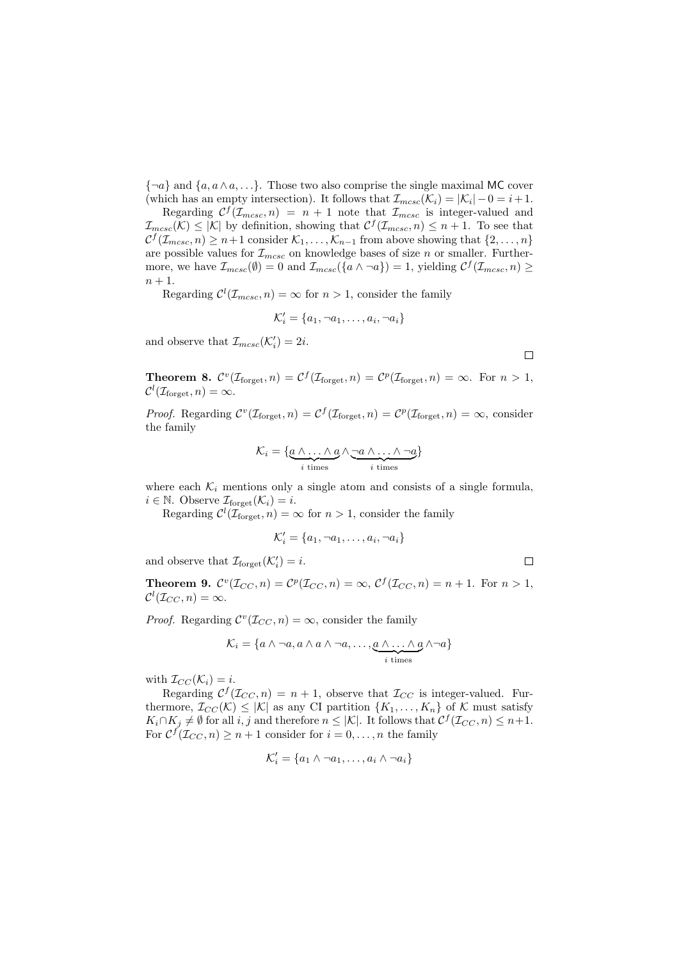${\lbrace \neg a \rbrace}$  and  ${\lbrace a, a \wedge a, \ldots \rbrace}$ . Those two also comprise the single maximal MC cover (which has an empty intersection). It follows that  $\mathcal{I}_{mcsc}(\mathcal{K}_i) = |\mathcal{K}_i| - 0 = i + 1$ .

Regarding  $\mathcal{C}^f(\mathcal{I}_{mcsc}, n) = n + 1$  note that  $\mathcal{I}_{mcsc}$  is integer-valued and  $\mathcal{I}_{mcsc}(\mathcal{K}) \leq |\mathcal{K}|$  by definition, showing that  $\mathcal{C}^f(\mathcal{I}_{mcsc}, n) \leq n+1$ . To see that  $C^f(\mathcal{I}_{mcsc}, n) \geq n+1$  consider  $\mathcal{K}_1, \ldots, \mathcal{K}_{n-1}$  from above showing that  $\{2, \ldots, n\}$ are possible values for  $\mathcal{I}_{mcsc}$  on knowledge bases of size n or smaller. Furthermore, we have  $\mathcal{I}_{mcsc}(\emptyset) = 0$  and  $\mathcal{I}_{mcsc}(\{a \wedge \neg a\}) = 1$ , yielding  $\mathcal{C}^f(\mathcal{I}_{mcsc}, n) \geq 0$  $n+1$ .

Regarding  $\mathcal{C}^l(\mathcal{I}_{mcsc}, n) = \infty$  for  $n > 1$ , consider the family

$$
\mathcal{K}'_i = \{a_1, \neg a_1, \dots, a_i, \neg a_i\}
$$

and observe that  $\mathcal{I}_{mcsc}(\mathcal{K}'_i) = 2i$ .

 $\Box$ 

 $\Box$ 

**Theorem 8.**  $\mathcal{C}^v(\mathcal{I}_{\text{forget}}, n) = \mathcal{C}^f(\mathcal{I}_{\text{forget}}, n) = \mathcal{C}^p(\mathcal{I}_{\text{forget}}, n) = \infty$ . For  $n > 1$ ,  $\mathcal{C}^l(\mathcal{I}_{\text{forget}}, n) = \infty.$ 

*Proof.* Regarding  $\mathcal{C}^v(\mathcal{I}_{\text{forget}}, n) = \mathcal{C}^f(\mathcal{I}_{\text{forget}}, n) = \mathcal{C}^p(\mathcal{I}_{\text{forget}}, n) = \infty$ , consider the family

$$
\mathcal{K}_i = \{ \underbrace{a \wedge \ldots \wedge a}_{i \text{ times}} \wedge \underbrace{\neg a \wedge \ldots \wedge \neg a}_{i \text{ times}} \}
$$

where each  $\mathcal{K}_i$  mentions only a single atom and consists of a single formula,  $i \in \mathbb{N}$ . Observe  $\mathcal{I}_{\text{forget}}(\mathcal{K}_i) = i$ .

Regarding  $\mathcal{C}^l(\mathcal{I}_{\text{forget}}, n) = \infty$  for  $n > 1$ , consider the family

$$
\mathcal{K}'_i = \{a_1, \neg a_1, \dots, a_i, \neg a_i\}
$$

and observe that  $\mathcal{I}_{\text{forget}}(\mathcal{K}'_i) = i$ .

**Theorem 9.**  $\mathcal{C}^v(\mathcal{I}_{CC}, n) = \mathcal{C}^p(\mathcal{I}_{CC}, n) = \infty$ ,  $\mathcal{C}^f(\mathcal{I}_{CC}, n) = n + 1$ . For  $n > 1$ ,  $\mathcal{C}^l(\mathcal{I}_{CC}, n) = \infty.$ 

*Proof.* Regarding  $\mathcal{C}^v(\mathcal{I}_{CC}, n) = \infty$ , consider the family

$$
\mathcal{K}_i = \{a \wedge \neg a, a \wedge a \wedge \neg a, \dots, \underbrace{a \wedge \dots \wedge a}_{i \text{ times}} \wedge \neg a\}
$$

with  $\mathcal{I}_{CC}(\mathcal{K}_i) = i$ .

Regarding  $C^{f}(\mathcal{I}_{CC}, n) = n + 1$ , observe that  $\mathcal{I}_{CC}$  is integer-valued. Furthermore,  $\mathcal{I}_{CC}(\mathcal{K}) \leq |\mathcal{K}|$  as any CI partition  $\{K_1, \ldots, K_n\}$  of  $\mathcal K$  must satisfy  $K_i \cap K_j \neq \emptyset$  for all i, j and therefore  $n \leq |\mathcal{K}|$ . It follows that  $\mathcal{C}^f(\mathcal{I}_{CC}, n) \leq n+1$ . For  $C^f(\mathcal{I}_{CC}, n) \geq n+1$  consider for  $i = 0, \ldots, n$  the family

$$
\mathcal{K}'_i = \{a_1 \wedge \neg a_1, \dots, a_i \wedge \neg a_i\}
$$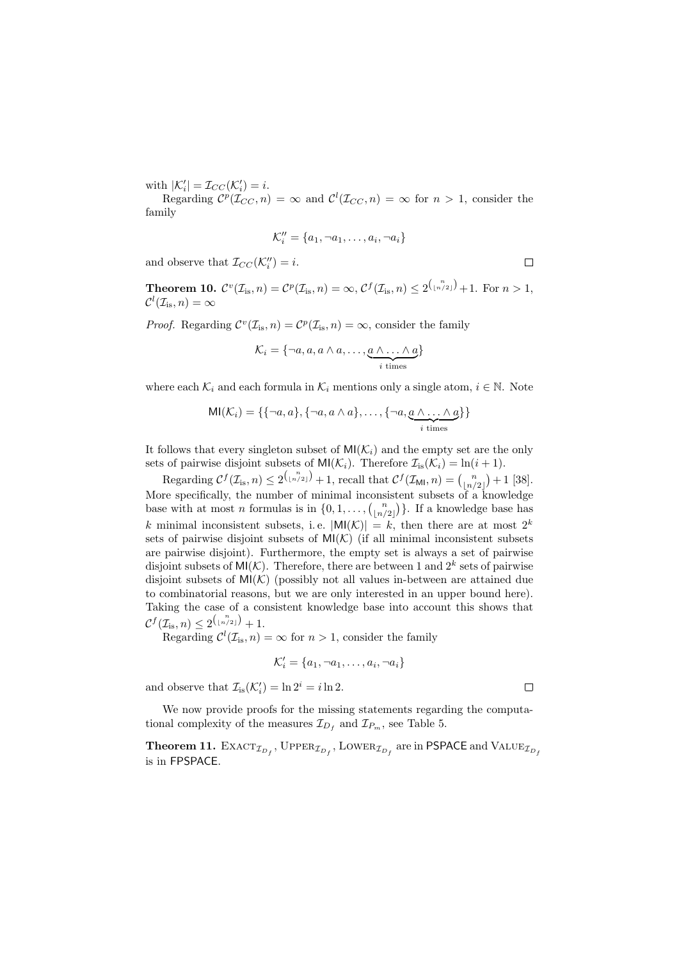with  $|\mathcal{K}'_i| = \mathcal{I}_{CC}(\mathcal{K}'_i) = i$ .

Regarding  $\mathcal{C}^p(\mathcal{I}_{CC}, n) = \infty$  and  $\mathcal{C}^l(\mathcal{I}_{CC}, n) = \infty$  for  $n > 1$ , consider the family

$$
\mathcal{K}_i'' = \{a_1, \neg a_1, \dots, a_i, \neg a_i\}
$$

and observe that  $\mathcal{I}_{CC}(\mathcal{K}_i'') = i$ .

**Theorem 10.**  $\mathcal{C}^v(\mathcal{I}_{is}, n) = \mathcal{C}^p(\mathcal{I}_{is}, n) = \infty$ ,  $\mathcal{C}^f(\mathcal{I}_{is}, n) \leq 2^{\binom{n}{\lfloor n/2 \rfloor}} + 1$ . For  $n > 1$ ,  $\mathcal{C}^l(\mathcal{I}_{\text{is}}, n) = \infty$ 

*Proof.* Regarding  $C^v(\mathcal{I}_{is}, n) = C^p(\mathcal{I}_{is}, n) = \infty$ , consider the family

$$
\mathcal{K}_i = \{\neg a, a, a \wedge a, \ldots, \underbrace{a \wedge \ldots \wedge a}_{i \text{ times}}\}
$$

where each  $\mathcal{K}_i$  and each formula in  $\mathcal{K}_i$  mentions only a single atom,  $i \in \mathbb{N}$ . Note

$$
MI(\mathcal{K}_i) = \{ \{\neg a, a\}, \{\neg a, a \wedge a\}, \dots, \{\neg a, \underbrace{a \wedge \dots \wedge a}_{i \text{ times}} \} \}
$$

It follows that every singleton subset of  $\text{MI}(\mathcal{K}_i)$  and the empty set are the only sets of pairwise disjoint subsets of  $\text{MI}(\mathcal{K}_i)$ . Therefore  $\mathcal{I}_{is}(\mathcal{K}_i) = \ln(i+1)$ .

Regarding  $C^f(\mathcal{I}_{\text{is}}, n) \leq 2^{\binom{n}{\lfloor n/2 \rfloor}} + 1$ , recall that  $C^f(\mathcal{I}_{\text{MI}}, n) = \binom{n}{\lfloor n/2 \rfloor} + 1$  [38]. More specifically, the number of minimal inconsistent subsets of a knowledge base with at most *n* formulas is in  $\{0, 1, \ldots, {n \choose \lfloor n/2 \rfloor}\}$ . If a knowledge base has k minimal inconsistent subsets, i.e.  $|M(K)| = k$ , then there are at most  $2^k$ sets of pairwise disjoint subsets of  $MI(K)$  (if all minimal inconsistent subsets are pairwise disjoint). Furthermore, the empty set is always a set of pairwise disjoint subsets of  $\mathsf{MI}(\mathcal{K})$ . Therefore, there are between 1 and  $2^k$  sets of pairwise disjoint subsets of  $MI(K)$  (possibly not all values in-between are attained due to combinatorial reasons, but we are only interested in an upper bound here). Taking the case of a consistent knowledge base into account this shows that  $C^{f}(\mathcal{I}_{\text{is}}, n) \leq 2^{\binom{n}{\lfloor n/2 \rfloor}} + 1.$ 

Regarding  $\mathcal{C}^l(\mathcal{I}_{\text{is}}, n) = \infty$  for  $n > 1$ , consider the family

$$
\mathcal{K}'_i = \{a_1, \neg a_1, \dots, a_i, \neg a_i\}
$$

and observe that  $\mathcal{I}_{is}(\mathcal{K}'_i) = \ln 2^i = i \ln 2$ .

We now provide proofs for the missing statements regarding the computational complexity of the measures  $\mathcal{I}_{D_f}$  and  $\mathcal{I}_{P_m}$ , see Table 5.

**Theorem 11.**  $\text{EXACT}_{\mathcal{I}_{D_f}}$ ,  $\text{Upper}_{\mathcal{I}_{D_f}}$ ,  $\text{Lower}_{\mathcal{I}_{D_f}}$  are in PSPACE and  $\text{VALUE}_{\mathcal{I}_{D_f}}$ is in FPSPACE.

 $\Box$ 

 $\Box$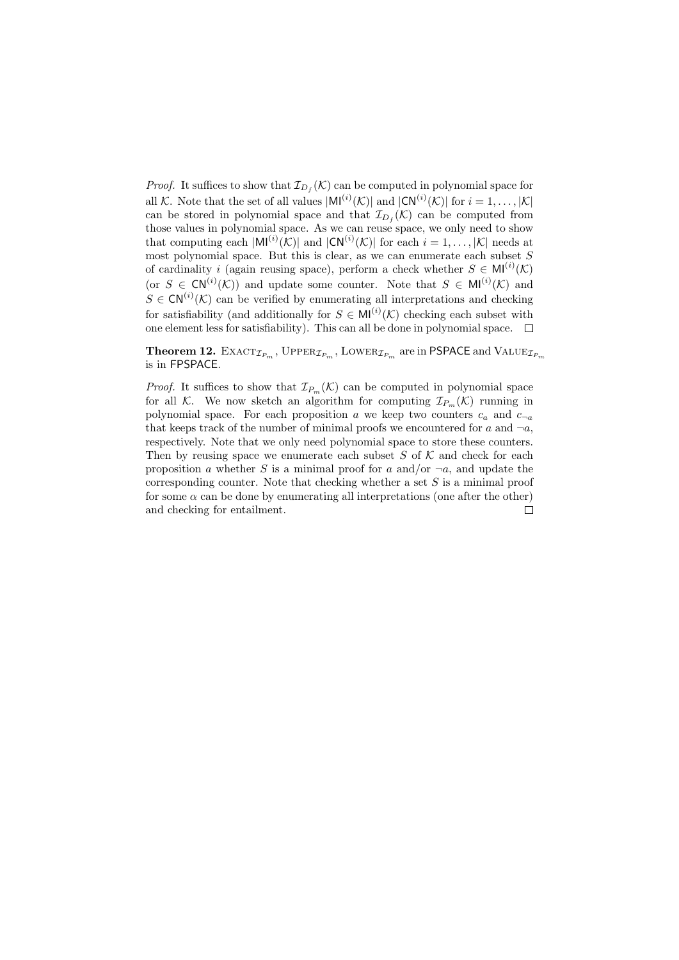*Proof.* It suffices to show that  $\mathcal{I}_{D_f}(\mathcal{K})$  can be computed in polynomial space for all K. Note that the set of all values  $|M^{(i)}(\mathcal{K})|$  and  $|CN^{(i)}(\mathcal{K})|$  for  $i=1,\ldots,|\mathcal{K}|$ can be stored in polynomial space and that  $\mathcal{I}_{D_f}(\mathcal{K})$  can be computed from those values in polynomial space. As we can reuse space, we only need to show that computing each  $|\text{MI}^{(i)}(\mathcal{K})|$  and  $|\text{CN}^{(i)}(\mathcal{K})|$  for each  $i = 1, ..., |\mathcal{K}|$  needs at most polynomial space. But this is clear, as we can enumerate each subset  $S$ of cardinality i (again reusing space), perform a check whether  $S \in M^{(i)}(\mathcal{K})$ (or  $S \in \text{CN}^{(i)}(\mathcal{K})$ ) and update some counter. Note that  $S \in \text{MI}^{(i)}(\mathcal{K})$  and  $S \in \mathsf{CN}^{(i)}(\mathcal{K})$  can be verified by enumerating all interpretations and checking for satisfiability (and additionally for  $S \in M^{(i)}(\mathcal{K})$  checking each subset with one element less for satisfiability). This can all be done in polynomial space.  $\Box$ 

**Theorem 12.** EXACT<sub> $I_{P_m}$ </sub>, UPPER<sub> $I_{P_m}$ </sub>, LOWER<sub> $I_{P_m}$ </sub> are in PSPACE and VALUE<sub> $I_{P_m}$ </sub> is in FPSPACE.

*Proof.* It suffices to show that  $\mathcal{I}_{P_m}(\mathcal{K})$  can be computed in polynomial space for all K. We now sketch an algorithm for computing  $\mathcal{I}_{P_m}(\mathcal{K})$  running in polynomial space. For each proposition a we keep two counters  $c_a$  and  $c_{\neg a}$ that keeps track of the number of minimal proofs we encountered for a and  $\neg a$ , respectively. Note that we only need polynomial space to store these counters. Then by reusing space we enumerate each subset  $S$  of  $K$  and check for each proposition a whether S is a minimal proof for a and/or  $\neg a$ , and update the corresponding counter. Note that checking whether a set S is a minimal proof for some  $\alpha$  can be done by enumerating all interpretations (one after the other) and checking for entailment. $\Box$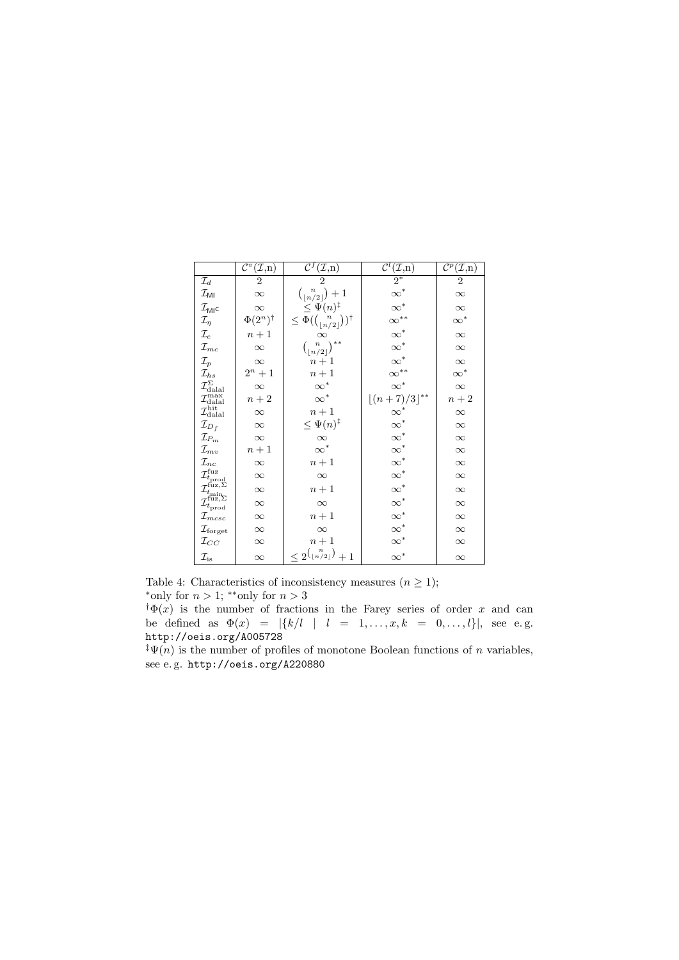|                                                                                                                                                           | $\overline{\mathcal{C}^v}(\mathcal{I},\underline{n})$ | $\bar{c}^{\bar{\tau}}$<br>$(\mathcal{I},n)$            | $\mathcal{C}^l$<br>$(\mathcal{I},n)$                           | $\overline{\mathcal{C}^p}(\mathcal{I},n)$ |
|-----------------------------------------------------------------------------------------------------------------------------------------------------------|-------------------------------------------------------|--------------------------------------------------------|----------------------------------------------------------------|-------------------------------------------|
| $\mathcal{I}_d$                                                                                                                                           | 2                                                     |                                                        | $\overline{2^*}$                                               | $\overline{2}$                            |
| $\mathcal{I}_{\mathsf{MI}}$                                                                                                                               | $\infty$                                              | $\binom{n}{\lfloor n/2 \rfloor}+1$                     | $\infty^*$<br>$\infty^*$                                       | $\infty$                                  |
| $\mathcal{I}_{\mathsf{MI}}$ c                                                                                                                             | $\infty$                                              | $\leq \Psi(n)^{\ddagger}$                              |                                                                | $\infty$                                  |
| $\mathcal{I}_\eta$                                                                                                                                        | $\Phi(2^n)^{\dagger}$                                 | $\leq \Phi({n \choose \lfloor n/2 \rfloor})^{\dagger}$ | $\infty^{**}$                                                  | $\infty^*$                                |
| $\mathcal{I}_c$                                                                                                                                           | $n+1$                                                 | $\infty$                                               | $\infty^*$                                                     | $\infty$                                  |
| $\mathcal{I}_{mc}$                                                                                                                                        | $\infty$                                              | $\binom{n}{\lfloor n/2 \rfloor}$ **                    | $\infty^*$                                                     | $\infty$                                  |
| $\mathcal{I}_p$                                                                                                                                           | $\infty$                                              | $n+1$                                                  | $\infty^*$                                                     | $\infty$                                  |
| $\mathcal{I}_{hs}$                                                                                                                                        | $2^n + 1$                                             | $n+1$                                                  | $\infty^{**}$                                                  | $\infty^*$                                |
| $\mathcal{I}^{\Sigma}_{\rm{dala}}$                                                                                                                        | $\infty$                                              | $\infty^*$                                             | $\infty^*$                                                     | $\infty$                                  |
| $\mathcal{I}^{\rm max}_{\rm dala}$                                                                                                                        | $n+2$                                                 | $\infty^*$                                             | $\lfloor (n+7)/3 \rfloor^{**}$                                 | $n+2$                                     |
| $\mathcal{I}^{\text{hit}}_{\text{dala}l}$                                                                                                                 | $\infty$                                              | $n+1$                                                  | $\begin{matrix} \infty^* \\ \infty^* \\ \infty^* \end{matrix}$ | $\infty$                                  |
| $\mathcal{I}_{D_f}$                                                                                                                                       | $\infty$                                              | $\leq \Psi(n)^{\ddagger}$                              |                                                                | $\infty$                                  |
| $\mathcal{I}_{P_m}$                                                                                                                                       | $\infty$                                              | $\infty$                                               |                                                                | $\infty$                                  |
| $\mathcal{I}_{mv}$                                                                                                                                        | $n+1$                                                 | $\infty^*$                                             | $\infty^*$                                                     | $\infty$                                  |
| $\mathcal{I}_{nc}$                                                                                                                                        | $\infty$                                              | $n+1$                                                  |                                                                | $\infty$                                  |
|                                                                                                                                                           | $\infty$                                              | $\infty$                                               | $\infty^*$                                                     | $\infty$                                  |
|                                                                                                                                                           | $\infty$                                              | $n+1$                                                  | $\infty^*$                                                     | $\infty$                                  |
| $\mathcal{I}^{\text{fuz}}_{t_{\text{prod}}}$<br>$\mathcal{I}^{\text{fuz},\Sigma}_{t_{\text{min}}}$<br>$\mathcal{I}^{\text{fuz},\Sigma}_{t_{\text{prod}}}$ | $\infty$                                              | $\infty$                                               | $\infty^*$                                                     | $\infty$                                  |
| $\mathcal{I}_{m c s c}$                                                                                                                                   | $\infty$                                              | $n+1$                                                  | $\infty^*$                                                     | $\infty$                                  |
| $\mathcal{I}_{\mathrm{forget}}$                                                                                                                           | $\infty$                                              | $\infty$                                               | $\infty^*$                                                     | $\infty$                                  |
| $\mathcal{I}_{CC}$                                                                                                                                        | $\infty$                                              | $n+1$                                                  | $\infty^*$                                                     | $\infty$                                  |
| $\mathcal{I}_{\mathrm{is}}$                                                                                                                               | $\infty$                                              | $\langle 2^{\binom{n}{\lfloor n/2\rfloor}}$<br>$+1$    | $\infty^*$                                                     | $\infty$                                  |

Table 4: Characteristics of inconsistency measures  $(n \geq 1);$ \*only for  $n > 1$ ; \*\*only for  $n > 3$ 

 $\phi(x)$  is the number of fractions in the Farey series of order x and can be defined as  $\Phi(x) = |\{k/l \mid l = 1, ..., x, k = 0, ..., l\}|$ , see e.g. http://oeis.org/A005728

 $\sqrt{\Psi(n)}$  is the number of profiles of monotone Boolean functions of n variables, see e. g. http://oeis.org/A220880